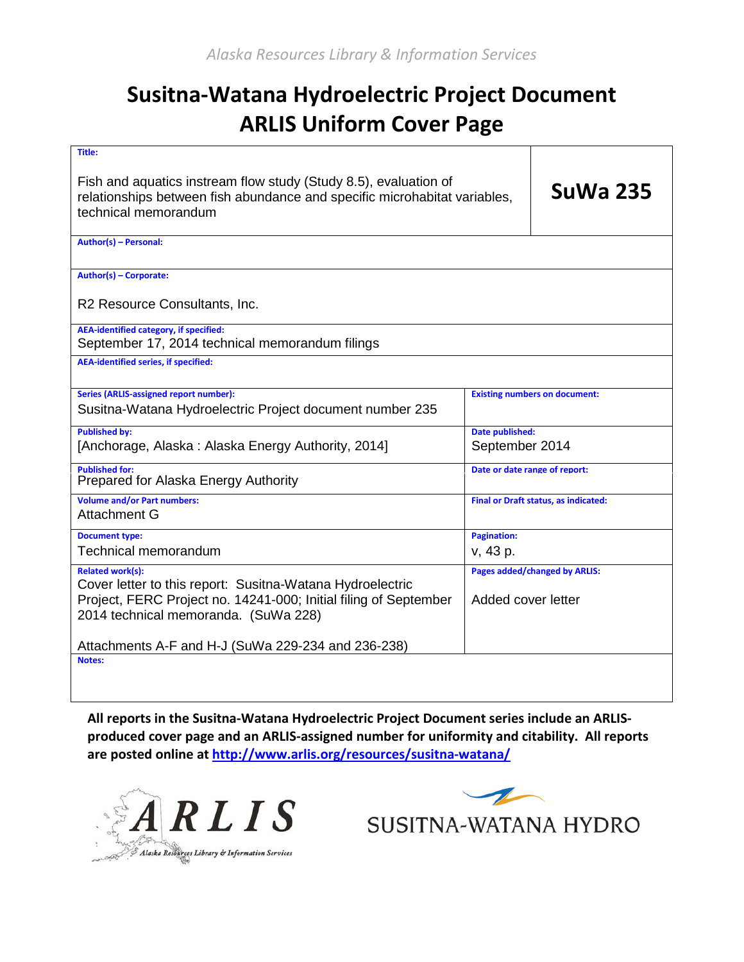# **Susitna-Watana Hydroelectric Project Document ARLIS Uniform Cover Page**

| Title:<br>Fish and aquatics instream flow study (Study 8.5), evaluation of<br>relationships between fish abundance and specific microhabitat variables,<br>technical memorandum                                                                         | <b>SuWa 235</b>                   |                                      |
|---------------------------------------------------------------------------------------------------------------------------------------------------------------------------------------------------------------------------------------------------------|-----------------------------------|--------------------------------------|
| Author(s) - Personal:                                                                                                                                                                                                                                   |                                   |                                      |
| Author(s) - Corporate:                                                                                                                                                                                                                                  |                                   |                                      |
| R <sub>2</sub> Resource Consultants, Inc.                                                                                                                                                                                                               |                                   |                                      |
| <b>AEA-identified category, if specified:</b><br>September 17, 2014 technical memorandum filings                                                                                                                                                        |                                   |                                      |
| <b>AEA-identified series, if specified:</b>                                                                                                                                                                                                             |                                   |                                      |
| <b>Series (ARLIS-assigned report number):</b><br>Susitna-Watana Hydroelectric Project document number 235                                                                                                                                               |                                   | <b>Existing numbers on document:</b> |
|                                                                                                                                                                                                                                                         |                                   |                                      |
| <b>Published by:</b><br>[Anchorage, Alaska: Alaska Energy Authority, 2014]                                                                                                                                                                              | Date published:<br>September 2014 |                                      |
| <b>Published for:</b><br>Prepared for Alaska Energy Authority                                                                                                                                                                                           | Date or date range of report:     |                                      |
| <b>Volume and/or Part numbers:</b><br>Attachment G                                                                                                                                                                                                      |                                   | Final or Draft status, as indicated: |
| <b>Document type:</b>                                                                                                                                                                                                                                   | <b>Pagination:</b>                |                                      |
| <b>Technical memorandum</b>                                                                                                                                                                                                                             | v, 43 p.                          |                                      |
| <b>Related work(s):</b><br>Pages added/changed by ARLIS:<br>Cover letter to this report: Susitna-Watana Hydroelectric<br>Project, FERC Project no. 14241-000; Initial filing of September<br>Added cover letter<br>2014 technical memoranda. (SuWa 228) |                                   |                                      |
| Attachments A-F and H-J (SuWa 229-234 and 236-238)<br>Notes:                                                                                                                                                                                            |                                   |                                      |

**All reports in the Susitna-Watana Hydroelectric Project Document series include an ARLISproduced cover page and an ARLIS-assigned number for uniformity and citability. All reports are posted online a[t http://www.arlis.org/resources/susitna-watana/](http://www.arlis.org/resources/susitna-watana/)**



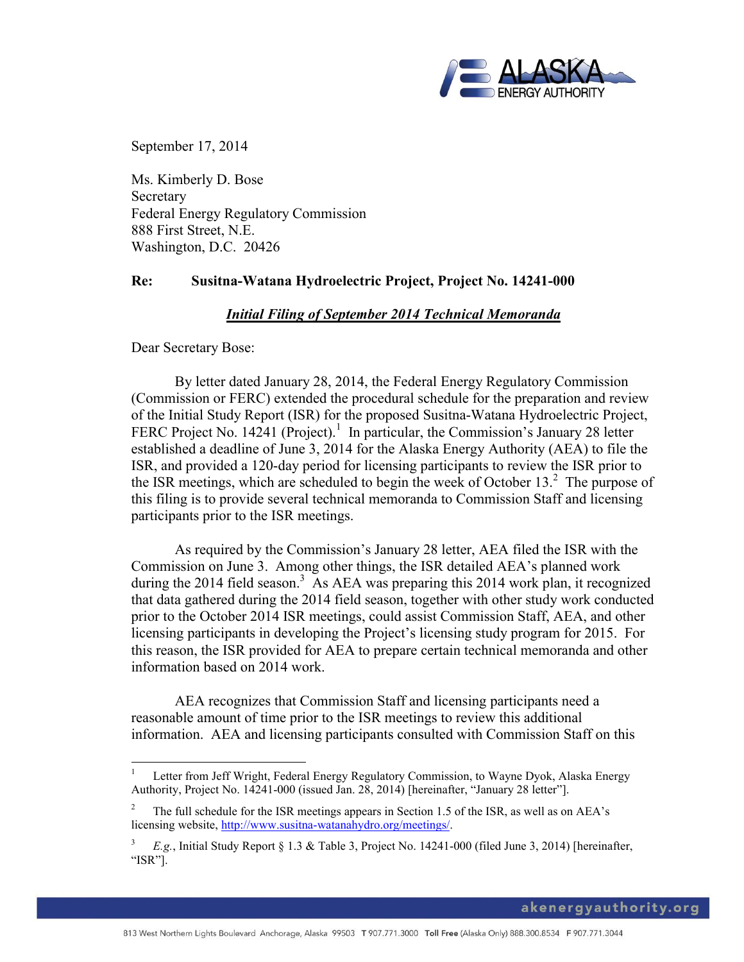

September 17, 2014

Ms. Kimberly D. Bose Secretary Federal Energy Regulatory Commission 888 First Street, N.E. Washington, D.C. 20426

#### **Re: Susitna-Watana Hydroelectric Project, Project No. 14241-000**

#### *Initial Filing of September 2014 Technical Memoranda*

Dear Secretary Bose:

 $\overline{a}$ 

By letter dated January 28, 2014, the Federal Energy Regulatory Commission (Commission or FERC) extended the procedural schedule for the preparation and review of the Initial Study Report (ISR) for the proposed Susitna-Watana Hydroelectric Project, FERC Project No. 14241 (Project).<sup>1</sup> In particular, the Commission's January 28 letter established a deadline of June 3, 2014 for the Alaska Energy Authority (AEA) to file the ISR, and provided a 120-day period for licensing participants to review the ISR prior to the ISR meetings, which are scheduled to begin the week of October 13. 2 The purpose of this filing is to provide several technical memoranda to Commission Staff and licensing participants prior to the ISR meetings.

As required by the Commission's January 28 letter, AEA filed the ISR with the Commission on June 3. Among other things, the ISR detailed AEA's planned work during the 2014 field season.<sup>3</sup> As AEA was preparing this 2014 work plan, it recognized that data gathered during the 2014 field season, together with other study work conducted prior to the October 2014 ISR meetings, could assist Commission Staff, AEA, and other licensing participants in developing the Project's licensing study program for 2015. For this reason, the ISR provided for AEA to prepare certain technical memoranda and other information based on 2014 work.

AEA recognizes that Commission Staff and licensing participants need a reasonable amount of time prior to the ISR meetings to review this additional information. AEA and licensing participants consulted with Commission Staff on this

<sup>&</sup>lt;sup>1</sup> Letter from Jeff Wright, Federal Energy Regulatory Commission, to Wayne Dyok, Alaska Energy Authority, Project No. 14241-000 (issued Jan. 28, 2014) [hereinafter, "January 28 letter"].

<sup>&</sup>lt;sup>2</sup> The full schedule for the ISR meetings appears in Section 1.5 of the ISR, as well as on AEA's licensing website, http://www.susitna-watanahydro.org/meetings/.

<sup>3</sup> *E.g.*, Initial Study Report § 1.3 & Table 3, Project No. 14241-000 (filed June 3, 2014) [hereinafter, "ISR"].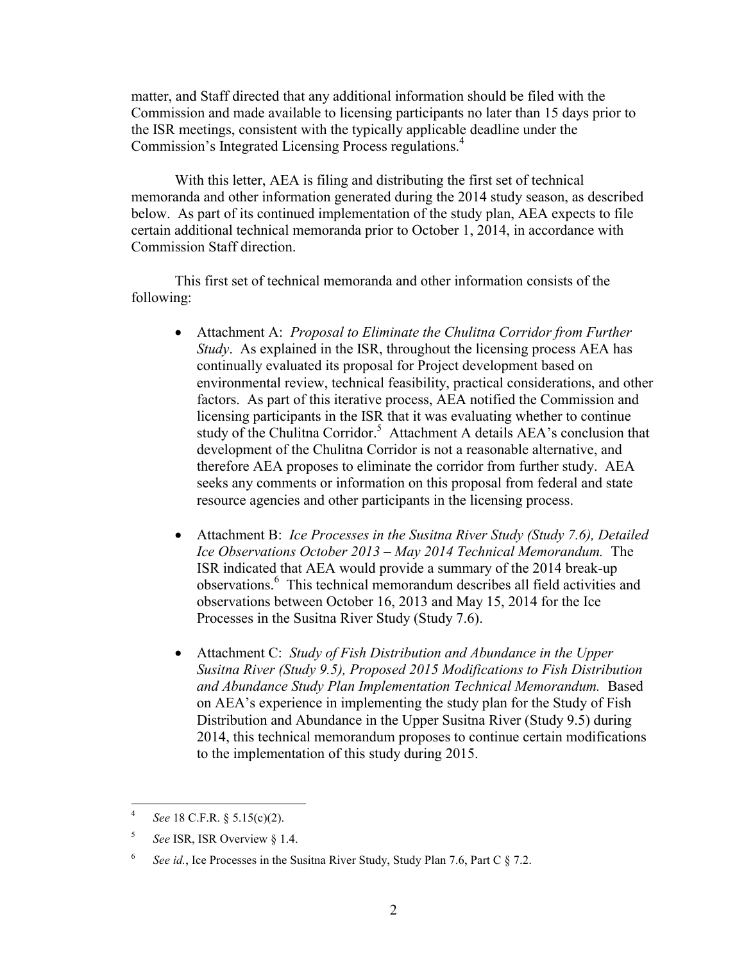matter, and Staff directed that any additional information should be filed with the Commission and made available to licensing participants no later than 15 days prior to the ISR meetings, consistent with the typically applicable deadline under the Commission's Integrated Licensing Process regulations.<sup>4</sup>

With this letter, AEA is filing and distributing the first set of technical memoranda and other information generated during the 2014 study season, as described below. As part of its continued implementation of the study plan, AEA expects to file certain additional technical memoranda prior to October 1, 2014, in accordance with Commission Staff direction.

This first set of technical memoranda and other information consists of the following:

- Attachment A: *Proposal to Eliminate the Chulitna Corridor from Further Study*. As explained in the ISR, throughout the licensing process AEA has continually evaluated its proposal for Project development based on environmental review, technical feasibility, practical considerations, and other factors. As part of this iterative process, AEA notified the Commission and licensing participants in the ISR that it was evaluating whether to continue study of the Chulitna Corridor.<sup>5</sup> Attachment A details AEA's conclusion that development of the Chulitna Corridor is not a reasonable alternative, and therefore AEA proposes to eliminate the corridor from further study. AEA seeks any comments or information on this proposal from federal and state resource agencies and other participants in the licensing process.
- Attachment B: *Ice Processes in the Susitna River Study (Study 7.6), Detailed Ice Observations October 2013 – May 2014 Technical Memorandum.* The ISR indicated that AEA would provide a summary of the 2014 break-up observations.<sup>6</sup> This technical memorandum describes all field activities and observations between October 16, 2013 and May 15, 2014 for the Ice Processes in the Susitna River Study (Study 7.6).
- Attachment C: *Study of Fish Distribution and Abundance in the Upper Susitna River (Study 9.5), Proposed 2015 Modifications to Fish Distribution and Abundance Study Plan Implementation Technical Memorandum.* Based on AEA's experience in implementing the study plan for the Study of Fish Distribution and Abundance in the Upper Susitna River (Study 9.5) during 2014, this technical memorandum proposes to continue certain modifications to the implementation of this study during 2015.

 $\frac{1}{4}$ *See* 18 C.F.R. § 5.15(c)(2).

<sup>5</sup> *See* ISR, ISR Overview § 1.4.

<sup>6</sup> *See id.*, Ice Processes in the Susitna River Study, Study Plan 7.6, Part C § 7.2.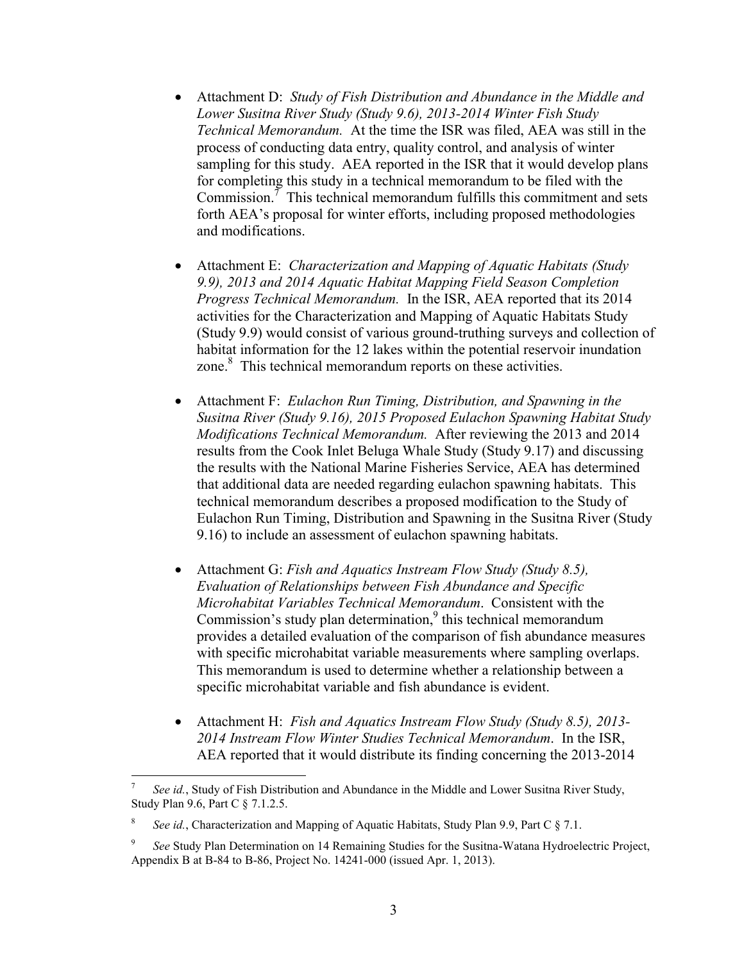- Attachment D: *Study of Fish Distribution and Abundance in the Middle and Lower Susitna River Study (Study 9.6), 2013-2014 Winter Fish Study Technical Memorandum.* At the time the ISR was filed, AEA was still in the process of conducting data entry, quality control, and analysis of winter sampling for this study. AEA reported in the ISR that it would develop plans for completing this study in a technical memorandum to be filed with the Commission.<sup> $\tau$ </sup> This technical memorandum fulfills this commitment and sets forth AEA's proposal for winter efforts, including proposed methodologies and modifications.
- Attachment E: *Characterization and Mapping of Aquatic Habitats (Study 9.9), 2013 and 2014 Aquatic Habitat Mapping Field Season Completion Progress Technical Memorandum.* In the ISR, AEA reported that its 2014 activities for the Characterization and Mapping of Aquatic Habitats Study (Study 9.9) would consist of various ground-truthing surveys and collection of habitat information for the 12 lakes within the potential reservoir inundation zone.<sup>8</sup> This technical memorandum reports on these activities.
- Attachment F: *Eulachon Run Timing, Distribution, and Spawning in the Susitna River (Study 9.16), 2015 Proposed Eulachon Spawning Habitat Study Modifications Technical Memorandum.* After reviewing the 2013 and 2014 results from the Cook Inlet Beluga Whale Study (Study 9.17) and discussing the results with the National Marine Fisheries Service, AEA has determined that additional data are needed regarding eulachon spawning habitats. This technical memorandum describes a proposed modification to the Study of Eulachon Run Timing, Distribution and Spawning in the Susitna River (Study 9.16) to include an assessment of eulachon spawning habitats.
- Attachment G: *Fish and Aquatics Instream Flow Study (Study 8.5), Evaluation of Relationships between Fish Abundance and Specific Microhabitat Variables Technical Memorandum*. Consistent with the Commission's study plan determination, $9$  this technical memorandum provides a detailed evaluation of the comparison of fish abundance measures with specific microhabitat variable measurements where sampling overlaps. This memorandum is used to determine whether a relationship between a specific microhabitat variable and fish abundance is evident.
- Attachment H: *Fish and Aquatics Instream Flow Study (Study 8.5), 2013- 2014 Instream Flow Winter Studies Technical Memorandum*. In the ISR, AEA reported that it would distribute its finding concerning the 2013-2014

 $\overline{a}$ 

<sup>7</sup> *See id.*, Study of Fish Distribution and Abundance in the Middle and Lower Susitna River Study, Study Plan 9.6, Part C § 7.1.2.5.

<sup>8</sup> *See id.*, Characterization and Mapping of Aquatic Habitats, Study Plan 9.9, Part C § 7.1.

<sup>9</sup> *See* Study Plan Determination on 14 Remaining Studies for the Susitna-Watana Hydroelectric Project, Appendix B at B-84 to B-86, Project No. 14241-000 (issued Apr. 1, 2013).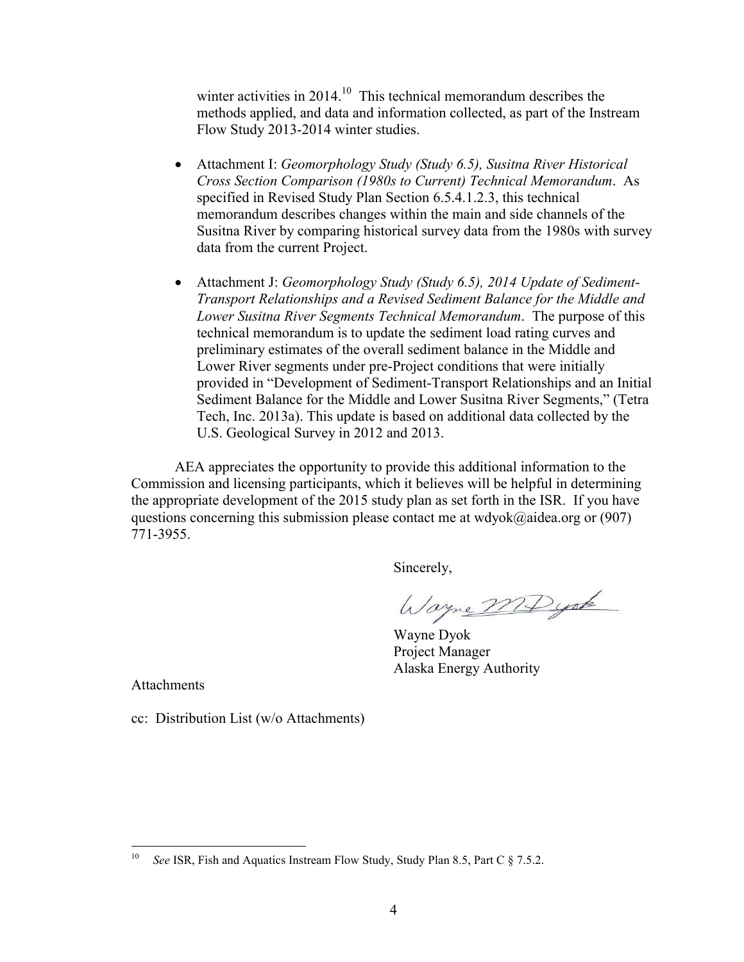winter activities in  $2014$ <sup>10</sup> This technical memorandum describes the methods applied, and data and information collected, as part of the Instream Flow Study 2013-2014 winter studies.

- Attachment I: *Geomorphology Study (Study 6.5), Susitna River Historical Cross Section Comparison (1980s to Current) Technical Memorandum*. As specified in Revised Study Plan Section 6.5.4.1.2.3, this technical memorandum describes changes within the main and side channels of the Susitna River by comparing historical survey data from the 1980s with survey data from the current Project.
- Attachment J: *Geomorphology Study (Study 6.5), 2014 Update of Sediment-Transport Relationships and a Revised Sediment Balance for the Middle and Lower Susitna River Segments Technical Memorandum*. The purpose of this technical memorandum is to update the sediment load rating curves and preliminary estimates of the overall sediment balance in the Middle and Lower River segments under pre-Project conditions that were initially provided in "Development of Sediment-Transport Relationships and an Initial Sediment Balance for the Middle and Lower Susitna River Segments," (Tetra Tech, Inc. 2013a). This update is based on additional data collected by the U.S. Geological Survey in 2012 and 2013.

AEA appreciates the opportunity to provide this additional information to the Commission and licensing participants, which it believes will be helpful in determining the appropriate development of the 2015 study plan as set forth in the ISR. If you have questions concerning this submission please contact me at wdyok@aidea.org or (907) 771-3955.

Sincerely,

Wayne MDynk

Wayne Dyok Project Manager Alaska Energy Authority

**Attachments** 

cc: Distribution List (w/o Attachments)

 $10\,$ See ISR, Fish and Aquatics Instream Flow Study, Study Plan 8.5, Part C § 7.5.2.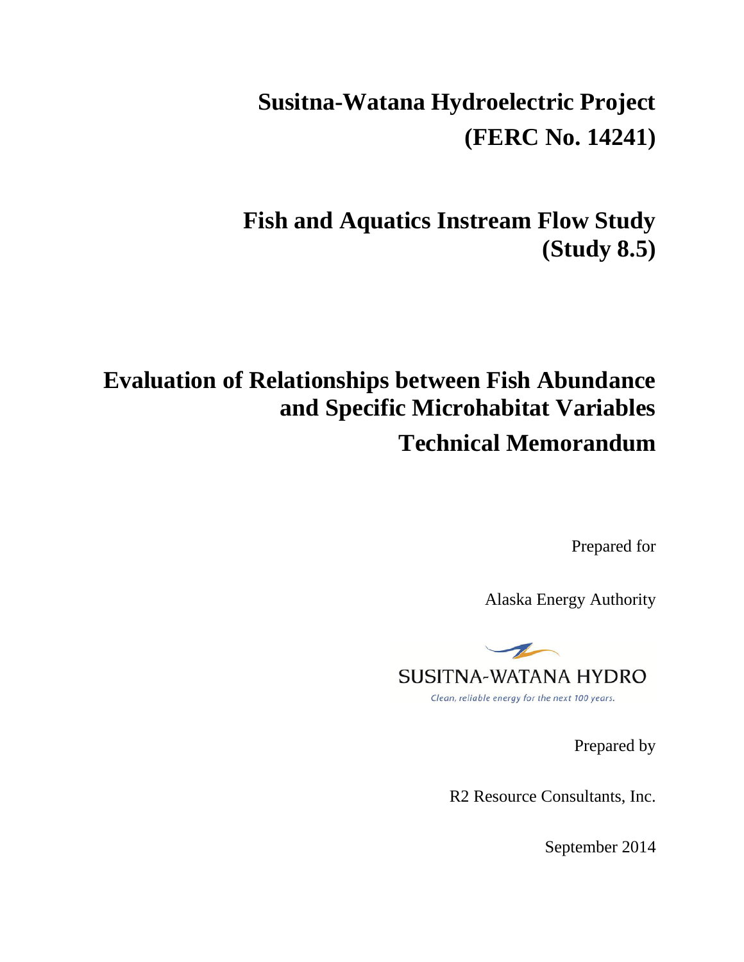# **Susitna-Watana Hydroelectric Project (FERC No. 14241)**

**Fish and Aquatics Instream Flow Study (Study 8.5)**

# **Evaluation of Relationships between Fish Abundance and Specific Microhabitat Variables Technical Memorandum**

Prepared for

Alaska Energy Authority



Prepared by

R2 Resource Consultants, Inc.

September 2014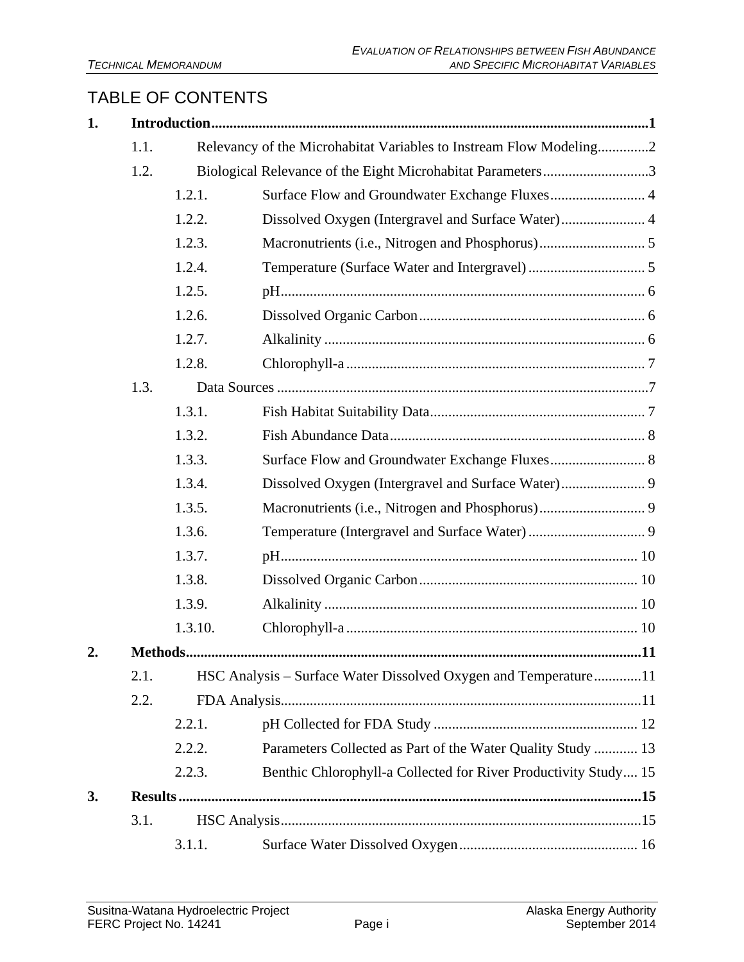### TABLE OF CONTENTS

| 1. |      |         |                                                                    |  |
|----|------|---------|--------------------------------------------------------------------|--|
|    | 1.1. |         | Relevancy of the Microhabitat Variables to Instream Flow Modeling2 |  |
|    | 1.2. |         | Biological Relevance of the Eight Microhabitat Parameters3         |  |
|    |      | 1.2.1.  |                                                                    |  |
|    |      | 1.2.2.  |                                                                    |  |
|    |      | 1.2.3.  |                                                                    |  |
|    |      | 1.2.4.  |                                                                    |  |
|    |      | 1.2.5.  |                                                                    |  |
|    |      | 1.2.6.  |                                                                    |  |
|    |      | 1.2.7.  |                                                                    |  |
|    |      | 1.2.8.  |                                                                    |  |
|    | 1.3. |         |                                                                    |  |
|    |      | 1.3.1.  |                                                                    |  |
|    |      | 1.3.2.  |                                                                    |  |
|    |      | 1.3.3.  |                                                                    |  |
|    |      | 1.3.4.  |                                                                    |  |
|    |      | 1.3.5.  |                                                                    |  |
|    |      | 1.3.6.  |                                                                    |  |
|    |      | 1.3.7.  |                                                                    |  |
|    |      | 1.3.8.  |                                                                    |  |
|    |      | 1.3.9.  |                                                                    |  |
|    |      | 1.3.10. |                                                                    |  |
| 2. |      |         |                                                                    |  |
|    | 2.1. |         | HSC Analysis – Surface Water Dissolved Oxygen and Temperature11    |  |
|    | 2.2. |         |                                                                    |  |
|    |      | 2.2.1.  |                                                                    |  |
|    |      | 2.2.2.  | Parameters Collected as Part of the Water Quality Study  13        |  |
|    |      | 2.2.3.  | Benthic Chlorophyll-a Collected for River Productivity Study 15    |  |
| 3. |      |         |                                                                    |  |
|    | 3.1. |         |                                                                    |  |
|    |      | 3.1.1.  |                                                                    |  |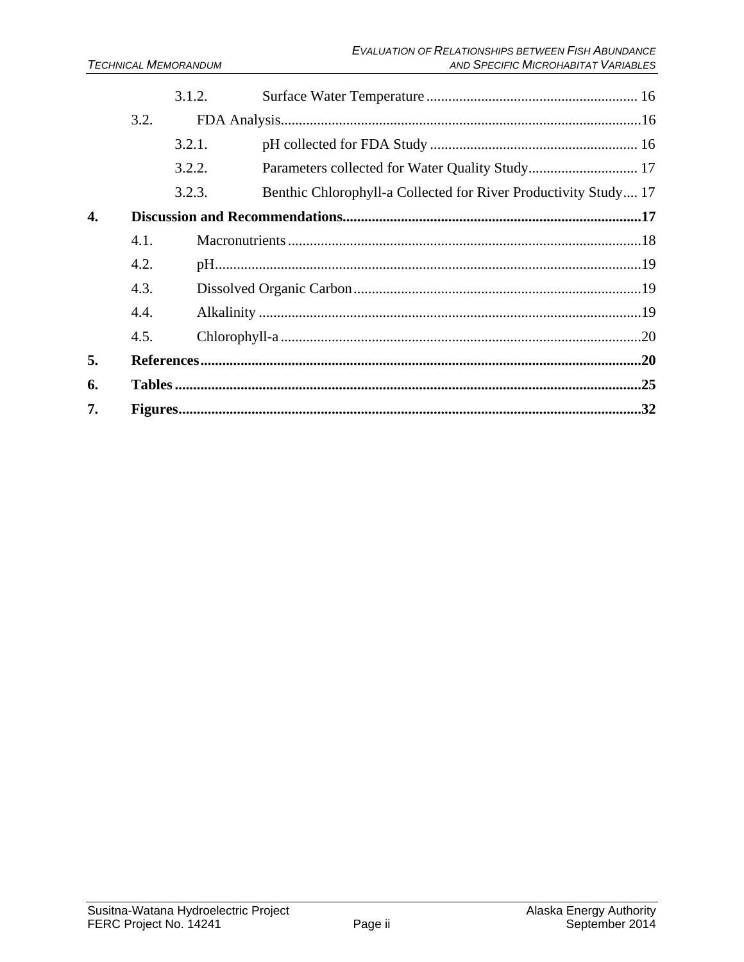|                  |      | 3.1.2. |                                                                 |  |
|------------------|------|--------|-----------------------------------------------------------------|--|
|                  | 3.2. |        |                                                                 |  |
|                  |      | 3.2.1. |                                                                 |  |
|                  |      | 3.2.2. |                                                                 |  |
|                  |      | 3.2.3. | Benthic Chlorophyll-a Collected for River Productivity Study 17 |  |
| $\overline{4}$ . |      |        |                                                                 |  |
|                  | 4.1. |        |                                                                 |  |
|                  | 4.2. |        |                                                                 |  |
|                  | 4.3. |        |                                                                 |  |
|                  | 4.4. |        |                                                                 |  |
|                  | 4.5. |        |                                                                 |  |
| 5.               |      |        |                                                                 |  |
| 6.               |      |        |                                                                 |  |
| 7.               |      |        |                                                                 |  |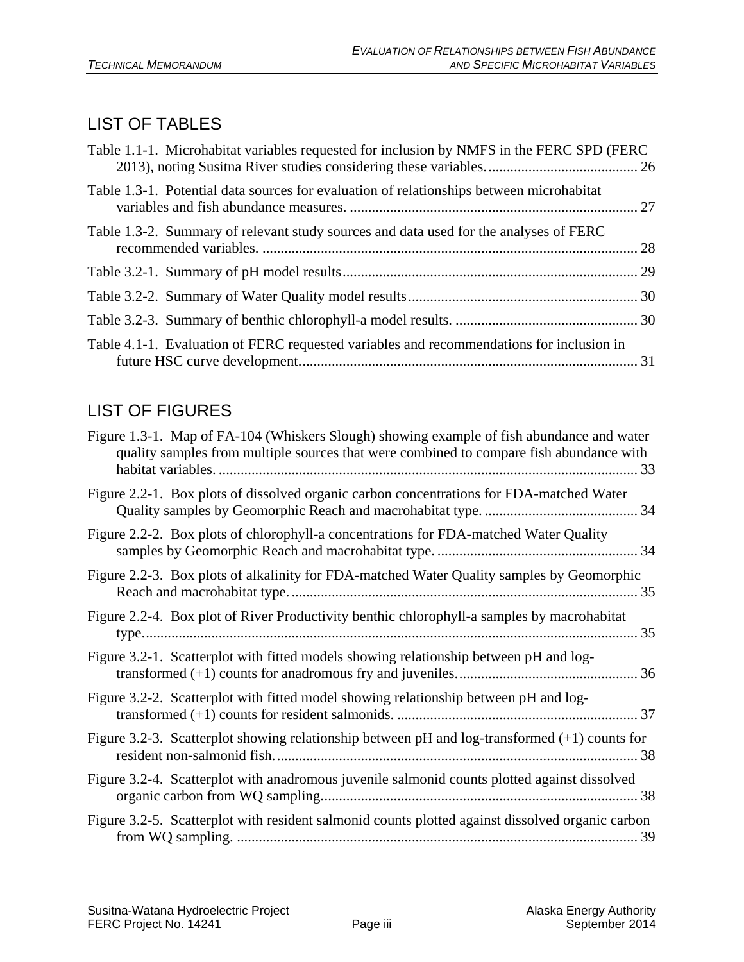### LIST OF TABLES

| Table 1.1-1. Microhabitat variables requested for inclusion by NMFS in the FERC SPD (FERC |  |
|-------------------------------------------------------------------------------------------|--|
| Table 1.3-1. Potential data sources for evaluation of relationships between microhabitat  |  |
| Table 1.3-2. Summary of relevant study sources and data used for the analyses of FERC     |  |
|                                                                                           |  |
|                                                                                           |  |
|                                                                                           |  |
| Table 4.1-1. Evaluation of FERC requested variables and recommendations for inclusion in  |  |

### LIST OF FIGURES

| Figure 1.3-1. Map of FA-104 (Whiskers Slough) showing example of fish abundance and water<br>quality samples from multiple sources that were combined to compare fish abundance with |
|--------------------------------------------------------------------------------------------------------------------------------------------------------------------------------------|
| Figure 2.2-1. Box plots of dissolved organic carbon concentrations for FDA-matched Water                                                                                             |
| Figure 2.2-2. Box plots of chlorophyll-a concentrations for FDA-matched Water Quality                                                                                                |
| Figure 2.2-3. Box plots of alkalinity for FDA-matched Water Quality samples by Geomorphic                                                                                            |
| Figure 2.2-4. Box plot of River Productivity benthic chlorophyll-a samples by macrohabitat                                                                                           |
| Figure 3.2-1. Scatterplot with fitted models showing relationship between pH and log-                                                                                                |
| Figure 3.2-2. Scatterplot with fitted model showing relationship between pH and log-                                                                                                 |
| Figure 3.2-3. Scatterplot showing relationship between pH and log-transformed $(+1)$ counts for                                                                                      |
| Figure 3.2-4. Scatterplot with anadromous juvenile salmonid counts plotted against dissolved                                                                                         |
| Figure 3.2-5. Scatterplot with resident salmonid counts plotted against dissolved organic carbon                                                                                     |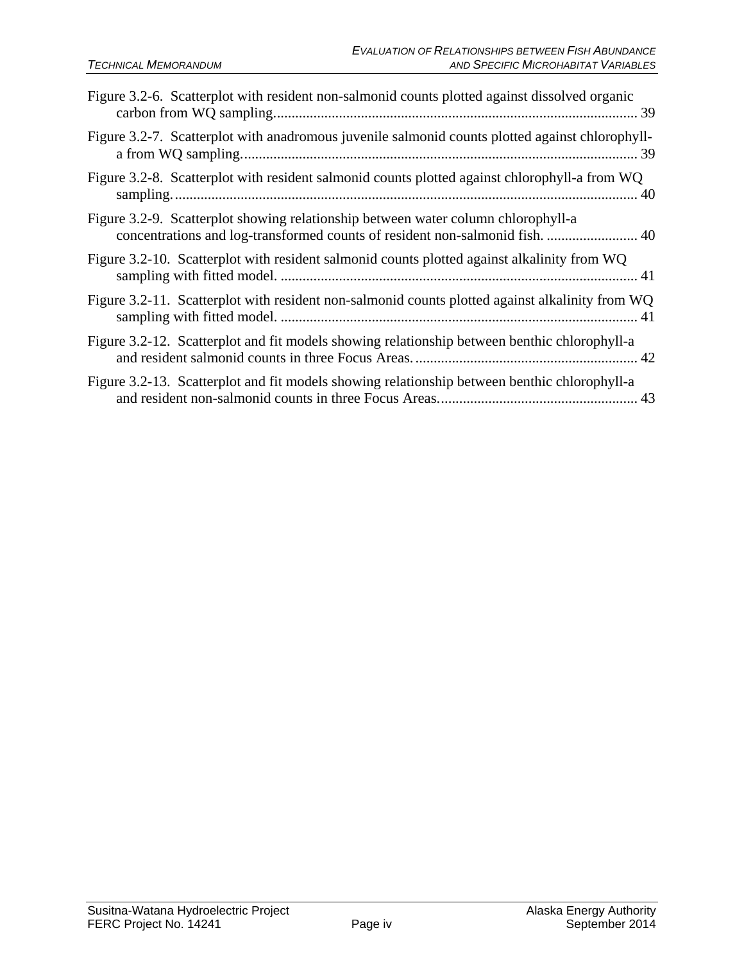| Figure 3.2-6. Scatterplot with resident non-salmonid counts plotted against dissolved organic                                                                     |
|-------------------------------------------------------------------------------------------------------------------------------------------------------------------|
| Figure 3.2-7. Scatterplot with anadromous juvenile salmonid counts plotted against chlorophyll-                                                                   |
| Figure 3.2-8. Scatterplot with resident salmonid counts plotted against chlorophyll-a from WQ                                                                     |
| Figure 3.2-9. Scatterplot showing relationship between water column chlorophyll-a<br>concentrations and log-transformed counts of resident non-salmonid fish.  40 |
| Figure 3.2-10. Scatterplot with resident salmonid counts plotted against alkalinity from WQ                                                                       |
| Figure 3.2-11. Scatterplot with resident non-salmonid counts plotted against alkalinity from WQ                                                                   |
| Figure 3.2-12. Scatterplot and fit models showing relationship between benthic chlorophyll-a                                                                      |
| Figure 3.2-13. Scatterplot and fit models showing relationship between benthic chlorophyll-a                                                                      |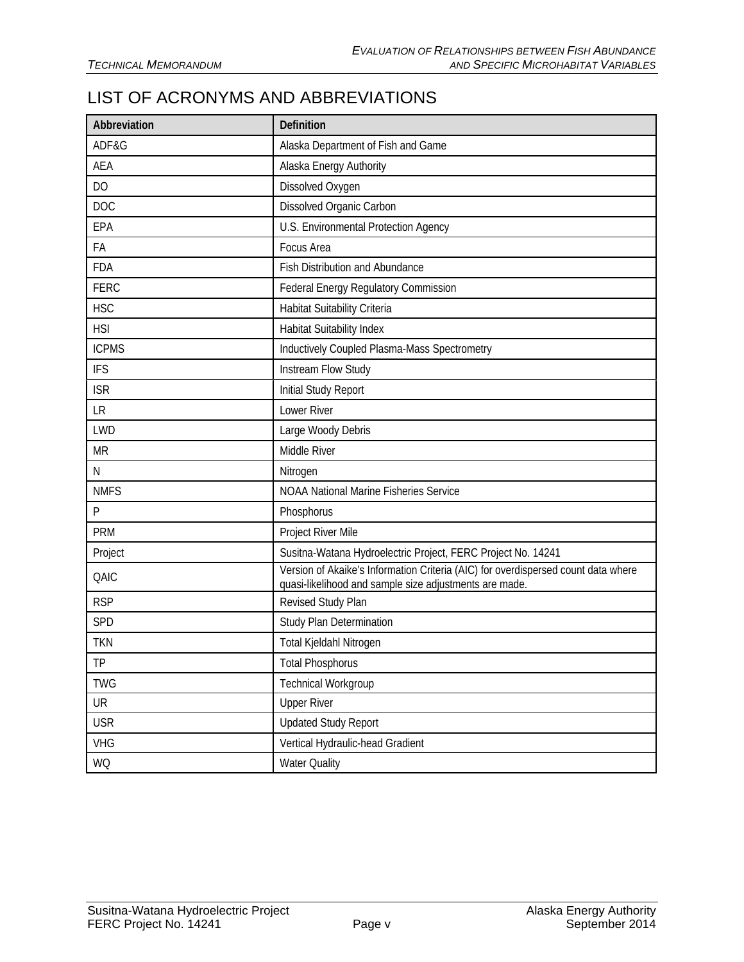## LIST OF ACRONYMS AND ABBREVIATIONS

| Abbreviation   | <b>Definition</b>                                                                                                                           |
|----------------|---------------------------------------------------------------------------------------------------------------------------------------------|
| ADF&G          | Alaska Department of Fish and Game                                                                                                          |
| AEA            | Alaska Energy Authority                                                                                                                     |
| D <sub>O</sub> | Dissolved Oxygen                                                                                                                            |
| <b>DOC</b>     | Dissolved Organic Carbon                                                                                                                    |
| EPA            | U.S. Environmental Protection Agency                                                                                                        |
| FA             | Focus Area                                                                                                                                  |
| <b>FDA</b>     | Fish Distribution and Abundance                                                                                                             |
| <b>FERC</b>    | Federal Energy Regulatory Commission                                                                                                        |
| <b>HSC</b>     | Habitat Suitability Criteria                                                                                                                |
| <b>HSI</b>     | Habitat Suitability Index                                                                                                                   |
| <b>ICPMS</b>   | Inductively Coupled Plasma-Mass Spectrometry                                                                                                |
| <b>IFS</b>     | Instream Flow Study                                                                                                                         |
| <b>ISR</b>     | Initial Study Report                                                                                                                        |
| LR             | Lower River                                                                                                                                 |
| LWD            | Large Woody Debris                                                                                                                          |
| <b>MR</b>      | Middle River                                                                                                                                |
| $\mathsf{N}$   | Nitrogen                                                                                                                                    |
| <b>NMFS</b>    | <b>NOAA National Marine Fisheries Service</b>                                                                                               |
| P              | Phosphorus                                                                                                                                  |
| <b>PRM</b>     | Project River Mile                                                                                                                          |
| Project        | Susitna-Watana Hydroelectric Project, FERC Project No. 14241                                                                                |
| QAIC           | Version of Akaike's Information Criteria (AIC) for overdispersed count data where<br>quasi-likelihood and sample size adjustments are made. |
| <b>RSP</b>     | Revised Study Plan                                                                                                                          |
| SPD            | Study Plan Determination                                                                                                                    |
| <b>TKN</b>     | Total Kjeldahl Nitrogen                                                                                                                     |
| <b>TP</b>      | <b>Total Phosphorus</b>                                                                                                                     |
| <b>TWG</b>     | <b>Technical Workgroup</b>                                                                                                                  |
| <b>UR</b>      | <b>Upper River</b>                                                                                                                          |
| <b>USR</b>     | <b>Updated Study Report</b>                                                                                                                 |
| <b>VHG</b>     | Vertical Hydraulic-head Gradient                                                                                                            |
| <b>WQ</b>      | <b>Water Quality</b>                                                                                                                        |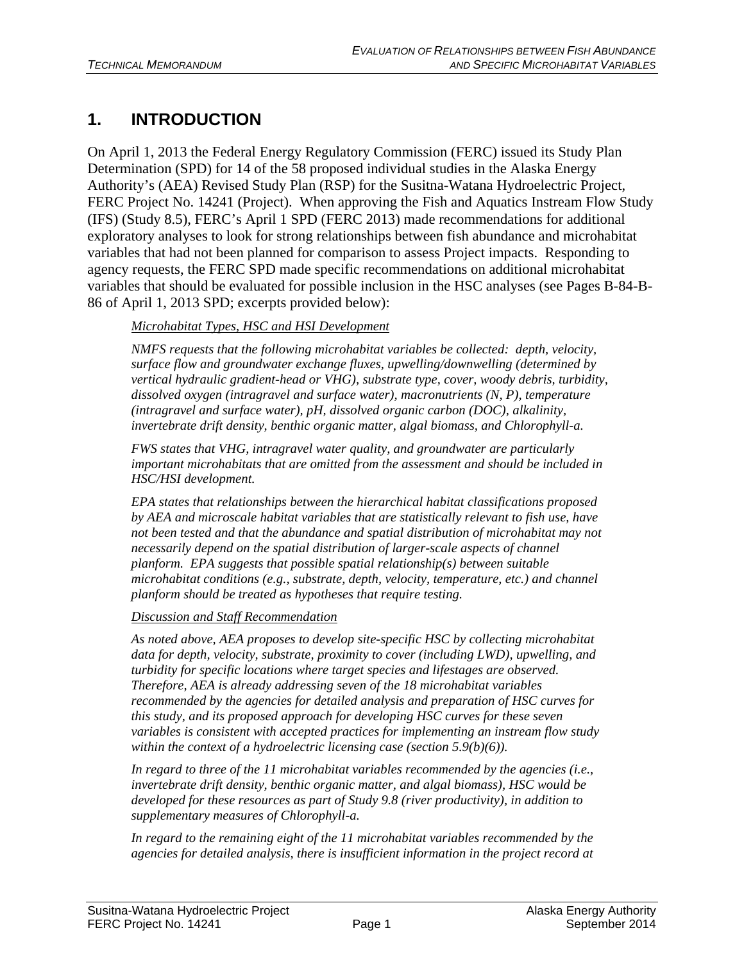### <span id="page-11-0"></span>**1. INTRODUCTION**

On April 1, 2013 the Federal Energy Regulatory Commission (FERC) issued its Study Plan Determination (SPD) for 14 of the 58 proposed individual studies in the Alaska Energy Authority's (AEA) Revised Study Plan (RSP) for the Susitna-Watana Hydroelectric Project, FERC Project No. 14241 (Project). When approving the Fish and Aquatics Instream Flow Study (IFS) (Study 8.5), FERC's April 1 SPD (FERC 2013) made recommendations for additional exploratory analyses to look for strong relationships between fish abundance and microhabitat variables that had not been planned for comparison to assess Project impacts. Responding to agency requests, the FERC SPD made specific recommendations on additional microhabitat variables that should be evaluated for possible inclusion in the HSC analyses (see Pages B-84-B-86 of April 1, 2013 SPD; excerpts provided below):

#### *Microhabitat Types, HSC and HSI Development*

*NMFS requests that the following microhabitat variables be collected: depth, velocity, surface flow and groundwater exchange fluxes, upwelling/downwelling (determined by vertical hydraulic gradient-head or VHG), substrate type, cover, woody debris, turbidity, dissolved oxygen (intragravel and surface water), macronutrients (N, P), temperature (intragravel and surface water), pH, dissolved organic carbon (DOC), alkalinity, invertebrate drift density, benthic organic matter, algal biomass, and Chlorophyll-a.*

*FWS states that VHG, intragravel water quality, and groundwater are particularly important microhabitats that are omitted from the assessment and should be included in HSC/HSI development.* 

*EPA states that relationships between the hierarchical habitat classifications proposed by AEA and microscale habitat variables that are statistically relevant to fish use, have not been tested and that the abundance and spatial distribution of microhabitat may not necessarily depend on the spatial distribution of larger-scale aspects of channel planform. EPA suggests that possible spatial relationship(s) between suitable microhabitat conditions (e.g., substrate, depth, velocity, temperature, etc.) and channel planform should be treated as hypotheses that require testing.* 

#### *Discussion and Staff Recommendation*

*As noted above, AEA proposes to develop site-specific HSC by collecting microhabitat data for depth, velocity, substrate, proximity to cover (including LWD), upwelling, and turbidity for specific locations where target species and lifestages are observed. Therefore, AEA is already addressing seven of the 18 microhabitat variables recommended by the agencies for detailed analysis and preparation of HSC curves for this study, and its proposed approach for developing HSC curves for these seven variables is consistent with accepted practices for implementing an instream flow study within the context of a hydroelectric licensing case (section 5.9(b)(6)).* 

*In regard to three of the 11 microhabitat variables recommended by the agencies (i.e., invertebrate drift density, benthic organic matter, and algal biomass), HSC would be developed for these resources as part of Study 9.8 (river productivity), in addition to supplementary measures of Chlorophyll-a.*

*In regard to the remaining eight of the 11 microhabitat variables recommended by the agencies for detailed analysis, there is insufficient information in the project record at*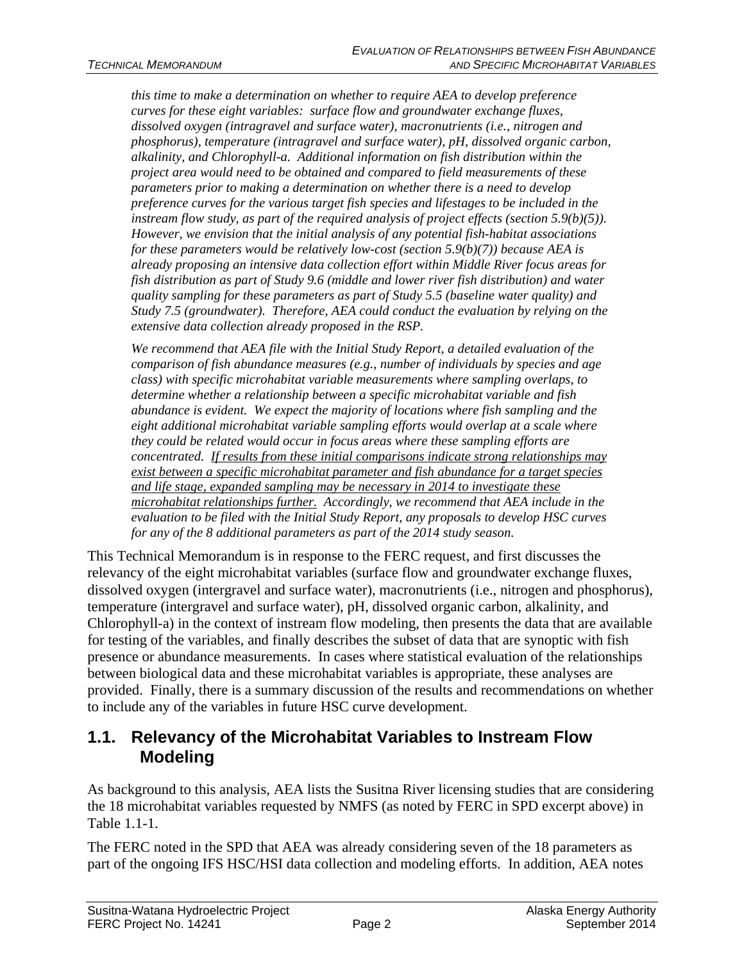*this time to make a determination on whether to require AEA to develop preference curves for these eight variables: surface flow and groundwater exchange fluxes, dissolved oxygen (intragravel and surface water), macronutrients (i.e., nitrogen and phosphorus), temperature (intragravel and surface water), pH, dissolved organic carbon, alkalinity, and Chlorophyll-a. Additional information on fish distribution within the project area would need to be obtained and compared to field measurements of these parameters prior to making a determination on whether there is a need to develop preference curves for the various target fish species and lifestages to be included in the instream flow study, as part of the required analysis of project effects (section 5.9(b)(5)). However, we envision that the initial analysis of any potential fish-habitat associations for these parameters would be relatively low-cost (section 5.9(b)(7)) because AEA is already proposing an intensive data collection effort within Middle River focus areas for fish distribution as part of Study 9.6 (middle and lower river fish distribution) and water quality sampling for these parameters as part of Study 5.5 (baseline water quality) and Study 7.5 (groundwater). Therefore, AEA could conduct the evaluation by relying on the extensive data collection already proposed in the RSP.* 

*We recommend that AEA file with the Initial Study Report, a detailed evaluation of the comparison of fish abundance measures (e.g., number of individuals by species and age class) with specific microhabitat variable measurements where sampling overlaps, to determine whether a relationship between a specific microhabitat variable and fish abundance is evident. We expect the majority of locations where fish sampling and the eight additional microhabitat variable sampling efforts would overlap at a scale where they could be related would occur in focus areas where these sampling efforts are concentrated. If results from these initial comparisons indicate strong relationships may exist between a specific microhabitat parameter and fish abundance for a target species and life stage, expanded sampling may be necessary in 2014 to investigate these microhabitat relationships further. Accordingly, we recommend that AEA include in the evaluation to be filed with the Initial Study Report, any proposals to develop HSC curves for any of the 8 additional parameters as part of the 2014 study season.*

This Technical Memorandum is in response to the FERC request, and first discusses the relevancy of the eight microhabitat variables (surface flow and groundwater exchange fluxes, dissolved oxygen (intergravel and surface water), macronutrients (i.e., nitrogen and phosphorus), temperature (intergravel and surface water), pH, dissolved organic carbon, alkalinity, and Chlorophyll-a) in the context of instream flow modeling, then presents the data that are available for testing of the variables, and finally describes the subset of data that are synoptic with fish presence or abundance measurements. In cases where statistical evaluation of the relationships between biological data and these microhabitat variables is appropriate, these analyses are provided. Finally, there is a summary discussion of the results and recommendations on whether to include any of the variables in future HSC curve development.

### <span id="page-12-0"></span>**1.1. Relevancy of the Microhabitat Variables to Instream Flow Modeling**

As background to this analysis, AEA lists the Susitna River licensing studies that are considering the 18 microhabitat variables requested by NMFS (as noted by FERC in SPD excerpt above) in Table 1.1-1.

The FERC noted in the SPD that AEA was already considering seven of the 18 parameters as part of the ongoing IFS HSC/HSI data collection and modeling efforts. In addition, AEA notes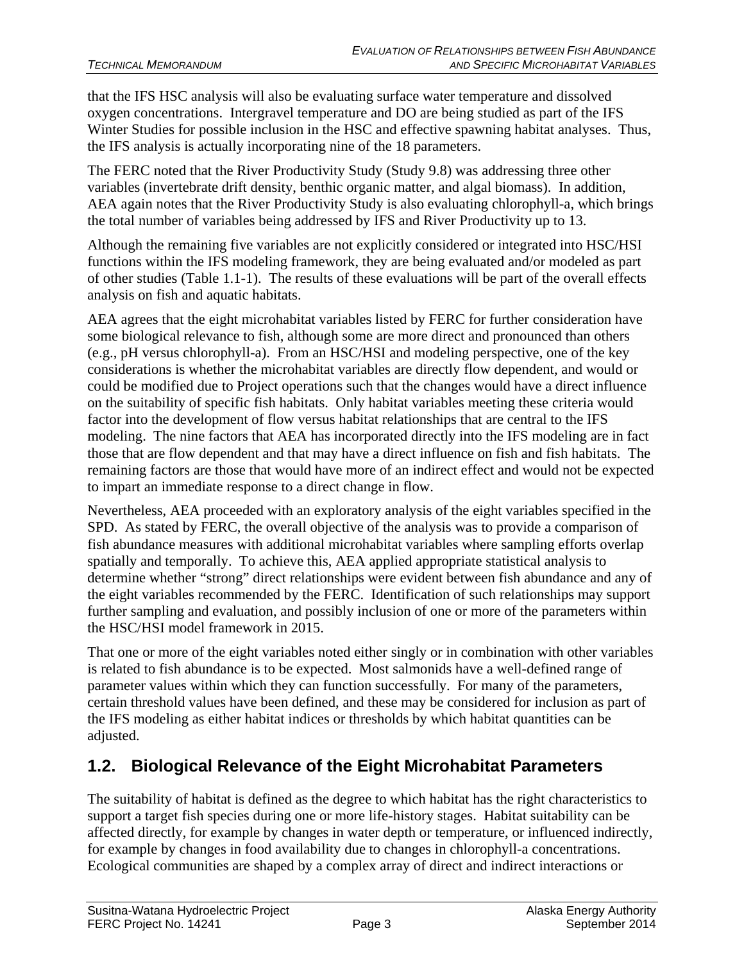that the IFS HSC analysis will also be evaluating surface water temperature and dissolved oxygen concentrations. Intergravel temperature and DO are being studied as part of the IFS Winter Studies for possible inclusion in the HSC and effective spawning habitat analyses. Thus, the IFS analysis is actually incorporating nine of the 18 parameters.

The FERC noted that the River Productivity Study (Study 9.8) was addressing three other variables (invertebrate drift density, benthic organic matter, and algal biomass). In addition, AEA again notes that the River Productivity Study is also evaluating chlorophyll-a, which brings the total number of variables being addressed by IFS and River Productivity up to 13.

Although the remaining five variables are not explicitly considered or integrated into HSC/HSI functions within the IFS modeling framework, they are being evaluated and/or modeled as part of other studies (Table 1.1-1). The results of these evaluations will be part of the overall effects analysis on fish and aquatic habitats.

AEA agrees that the eight microhabitat variables listed by FERC for further consideration have some biological relevance to fish, although some are more direct and pronounced than others (e.g., pH versus chlorophyll-a). From an HSC/HSI and modeling perspective, one of the key considerations is whether the microhabitat variables are directly flow dependent, and would or could be modified due to Project operations such that the changes would have a direct influence on the suitability of specific fish habitats. Only habitat variables meeting these criteria would factor into the development of flow versus habitat relationships that are central to the IFS modeling. The nine factors that AEA has incorporated directly into the IFS modeling are in fact those that are flow dependent and that may have a direct influence on fish and fish habitats. The remaining factors are those that would have more of an indirect effect and would not be expected to impart an immediate response to a direct change in flow.

Nevertheless, AEA proceeded with an exploratory analysis of the eight variables specified in the SPD. As stated by FERC, the overall objective of the analysis was to provide a comparison of fish abundance measures with additional microhabitat variables where sampling efforts overlap spatially and temporally. To achieve this, AEA applied appropriate statistical analysis to determine whether "strong" direct relationships were evident between fish abundance and any of the eight variables recommended by the FERC. Identification of such relationships may support further sampling and evaluation, and possibly inclusion of one or more of the parameters within the HSC/HSI model framework in 2015.

That one or more of the eight variables noted either singly or in combination with other variables is related to fish abundance is to be expected. Most salmonids have a well-defined range of parameter values within which they can function successfully. For many of the parameters, certain threshold values have been defined, and these may be considered for inclusion as part of the IFS modeling as either habitat indices or thresholds by which habitat quantities can be adjusted.

### <span id="page-13-0"></span>**1.2. Biological Relevance of the Eight Microhabitat Parameters**

The suitability of habitat is defined as the degree to which habitat has the right characteristics to support a target fish species during one or more life-history stages. Habitat suitability can be affected directly, for example by changes in water depth or temperature, or influenced indirectly, for example by changes in food availability due to changes in chlorophyll-a concentrations. Ecological communities are shaped by a complex array of direct and indirect interactions or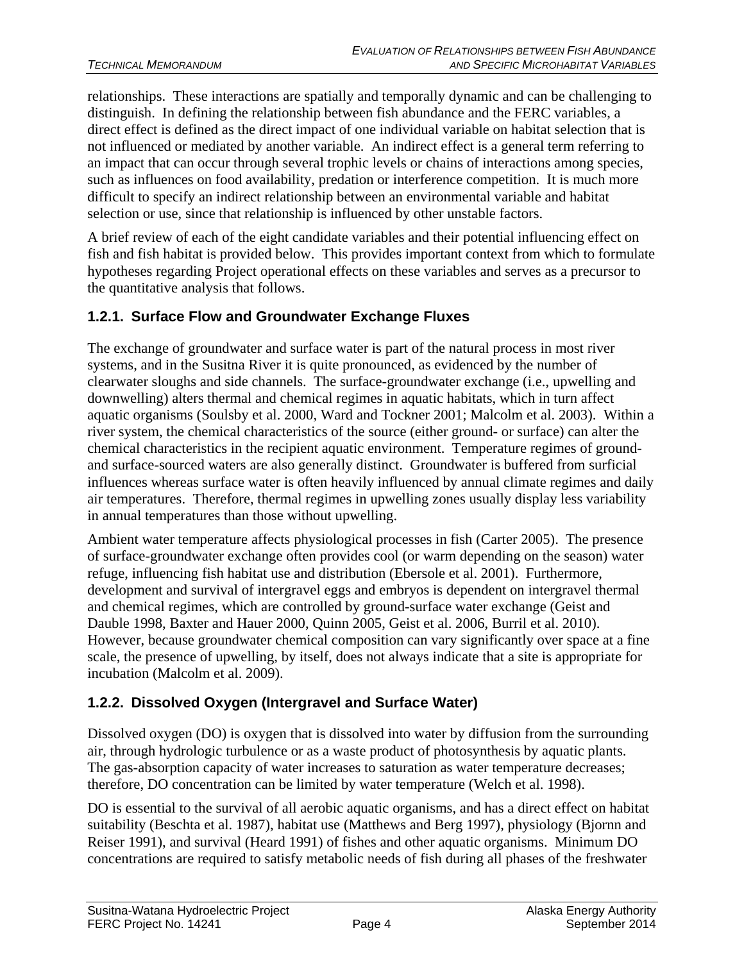relationships. These interactions are spatially and temporally dynamic and can be challenging to distinguish. In defining the relationship between fish abundance and the FERC variables, a direct effect is defined as the direct impact of one individual variable on habitat selection that is not influenced or mediated by another variable. An indirect effect is a general term referring to an impact that can occur through several trophic levels or chains of interactions among species, such as influences on food availability, predation or interference competition. It is much more difficult to specify an indirect relationship between an environmental variable and habitat selection or use, since that relationship is influenced by other unstable factors.

A brief review of each of the eight candidate variables and their potential influencing effect on fish and fish habitat is provided below. This provides important context from which to formulate hypotheses regarding Project operational effects on these variables and serves as a precursor to the quantitative analysis that follows.

#### <span id="page-14-0"></span>**1.2.1. Surface Flow and Groundwater Exchange Fluxes**

The exchange of groundwater and surface water is part of the natural process in most river systems, and in the Susitna River it is quite pronounced, as evidenced by the number of clearwater sloughs and side channels. The surface-groundwater exchange (i.e., upwelling and downwelling) alters thermal and chemical regimes in aquatic habitats, which in turn affect aquatic organisms (Soulsby et al. 2000, Ward and Tockner 2001; Malcolm et al. 2003). Within a river system, the chemical characteristics of the source (either ground- or surface) can alter the chemical characteristics in the recipient aquatic environment. Temperature regimes of groundand surface-sourced waters are also generally distinct. Groundwater is buffered from surficial influences whereas surface water is often heavily influenced by annual climate regimes and daily air temperatures. Therefore, thermal regimes in upwelling zones usually display less variability in annual temperatures than those without upwelling.

Ambient water temperature affects physiological processes in fish (Carter 2005). The presence of surface-groundwater exchange often provides cool (or warm depending on the season) water refuge, influencing fish habitat use and distribution (Ebersole et al. 2001). Furthermore, development and survival of intergravel eggs and embryos is dependent on intergravel thermal and chemical regimes, which are controlled by ground-surface water exchange (Geist and Dauble 1998, Baxter and Hauer 2000, Quinn 2005, Geist et al. 2006, Burril et al. 2010). However, because groundwater chemical composition can vary significantly over space at a fine scale, the presence of upwelling, by itself, does not always indicate that a site is appropriate for incubation (Malcolm et al. 2009).

#### <span id="page-14-1"></span>**1.2.2. Dissolved Oxygen (Intergravel and Surface Water)**

Dissolved oxygen (DO) is oxygen that is dissolved into water by diffusion from the surrounding air, through hydrologic turbulence or as a waste product of photosynthesis by aquatic plants. The gas-absorption capacity of water increases to saturation as water temperature decreases; therefore, DO concentration can be limited by water temperature (Welch et al. 1998).

DO is essential to the survival of all aerobic aquatic organisms, and has a direct effect on habitat suitability (Beschta et al. 1987), habitat use (Matthews and Berg 1997), physiology (Bjornn and Reiser 1991), and survival (Heard 1991) of fishes and other aquatic organisms. Minimum DO concentrations are required to satisfy metabolic needs of fish during all phases of the freshwater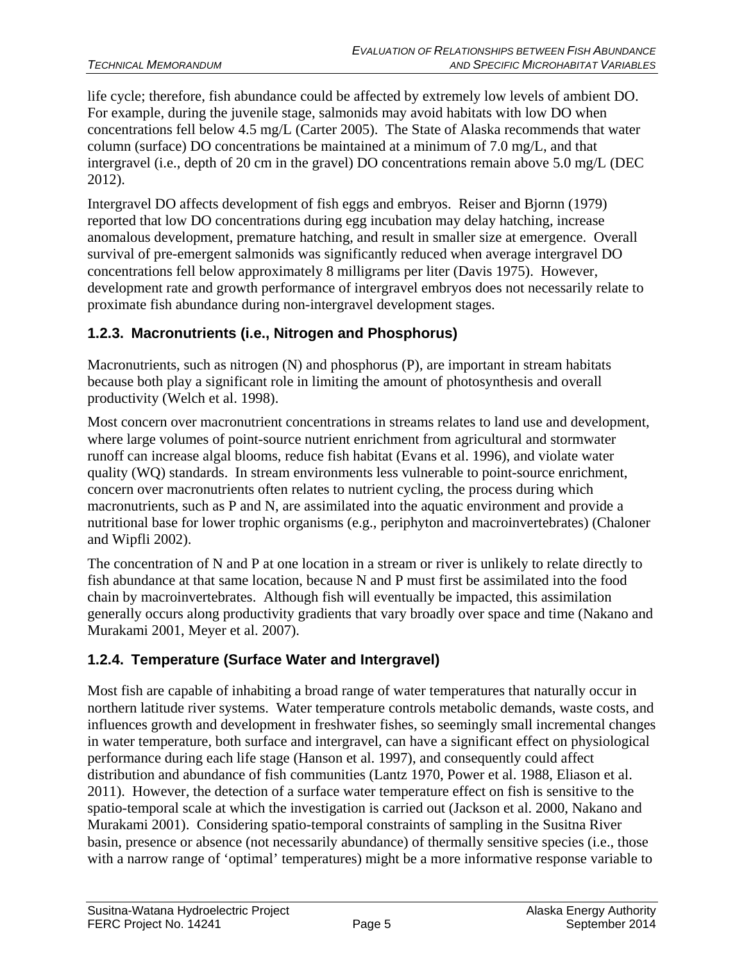life cycle; therefore, fish abundance could be affected by extremely low levels of ambient DO. For example, during the juvenile stage, salmonids may avoid habitats with low DO when concentrations fell below 4.5 mg/L (Carter 2005). The State of Alaska recommends that water column (surface) DO concentrations be maintained at a minimum of 7.0 mg/L, and that intergravel (i.e., depth of 20 cm in the gravel) DO concentrations remain above 5.0 mg/L (DEC 2012).

Intergravel DO affects development of fish eggs and embryos. Reiser and Bjornn (1979) reported that low DO concentrations during egg incubation may delay hatching, increase anomalous development, premature hatching, and result in smaller size at emergence. Overall survival of pre-emergent salmonids was significantly reduced when average intergravel DO concentrations fell below approximately 8 milligrams per liter (Davis 1975). However, development rate and growth performance of intergravel embryos does not necessarily relate to proximate fish abundance during non-intergravel development stages.

#### <span id="page-15-0"></span>**1.2.3. Macronutrients (i.e., Nitrogen and Phosphorus)**

Macronutrients, such as nitrogen (N) and phosphorus (P), are important in stream habitats because both play a significant role in limiting the amount of photosynthesis and overall productivity (Welch et al. 1998).

Most concern over macronutrient concentrations in streams relates to land use and development, where large volumes of point-source nutrient enrichment from agricultural and stormwater runoff can increase algal blooms, reduce fish habitat (Evans et al. 1996), and violate water quality (WQ) standards. In stream environments less vulnerable to point-source enrichment, concern over macronutrients often relates to nutrient cycling, the process during which macronutrients, such as P and N, are assimilated into the aquatic environment and provide a nutritional base for lower trophic organisms (e.g., periphyton and macroinvertebrates) (Chaloner and Wipfli 2002).

The concentration of N and P at one location in a stream or river is unlikely to relate directly to fish abundance at that same location, because N and P must first be assimilated into the food chain by macroinvertebrates. Although fish will eventually be impacted, this assimilation generally occurs along productivity gradients that vary broadly over space and time (Nakano and Murakami 2001, Meyer et al. 2007).

#### <span id="page-15-1"></span>**1.2.4. Temperature (Surface Water and Intergravel)**

Most fish are capable of inhabiting a broad range of water temperatures that naturally occur in northern latitude river systems. Water temperature controls metabolic demands, waste costs, and influences growth and development in freshwater fishes, so seemingly small incremental changes in water temperature, both surface and intergravel, can have a significant effect on physiological performance during each life stage (Hanson et al. 1997), and consequently could affect distribution and abundance of fish communities (Lantz 1970, Power et al. 1988, Eliason et al. 2011). However, the detection of a surface water temperature effect on fish is sensitive to the spatio-temporal scale at which the investigation is carried out (Jackson et al. 2000, Nakano and Murakami 2001). Considering spatio-temporal constraints of sampling in the Susitna River basin, presence or absence (not necessarily abundance) of thermally sensitive species (i.e., those with a narrow range of 'optimal' temperatures) might be a more informative response variable to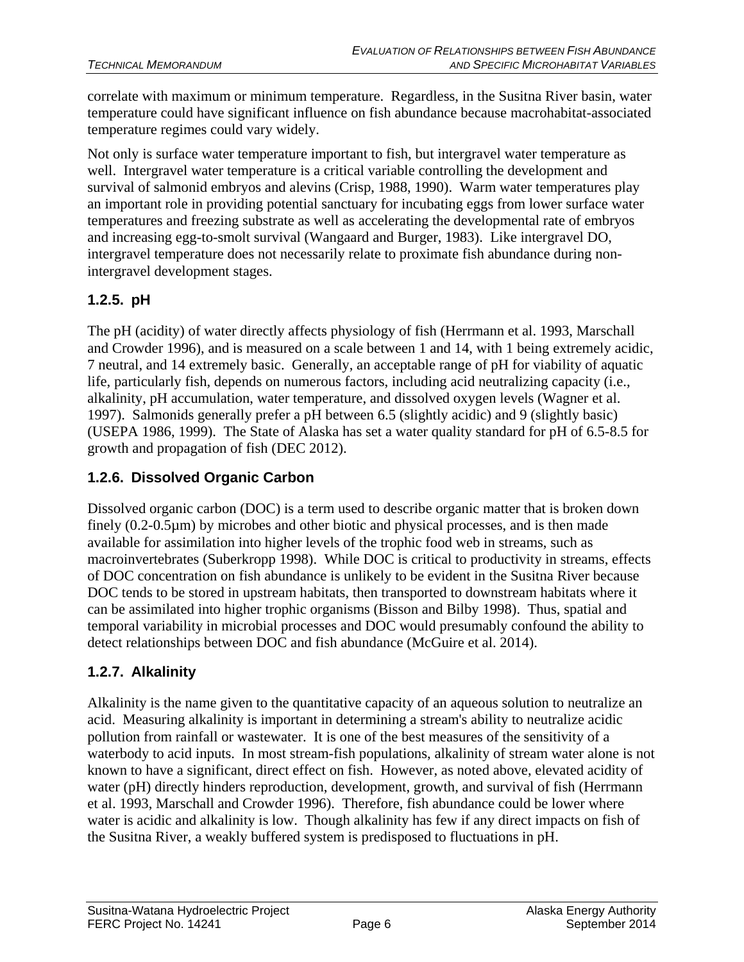correlate with maximum or minimum temperature. Regardless, in the Susitna River basin, water temperature could have significant influence on fish abundance because macrohabitat-associated temperature regimes could vary widely.

Not only is surface water temperature important to fish, but intergravel water temperature as well. Intergravel water temperature is a critical variable controlling the development and survival of salmonid embryos and alevins (Crisp, 1988, 1990). Warm water temperatures play an important role in providing potential sanctuary for incubating eggs from lower surface water temperatures and freezing substrate as well as accelerating the developmental rate of embryos and increasing egg-to-smolt survival (Wangaard and Burger, 1983). Like intergravel DO, intergravel temperature does not necessarily relate to proximate fish abundance during nonintergravel development stages.

#### <span id="page-16-0"></span>**1.2.5. pH**

The pH (acidity) of water directly affects physiology of fish (Herrmann et al. 1993, Marschall and Crowder 1996), and is measured on a scale between 1 and 14, with 1 being extremely acidic, 7 neutral, and 14 extremely basic. Generally, an acceptable range of pH for viability of aquatic life, particularly fish, depends on numerous factors, including acid neutralizing capacity (i.e., alkalinity, pH accumulation, water temperature, and dissolved oxygen levels (Wagner et al. 1997). Salmonids generally prefer a pH between 6.5 (slightly acidic) and 9 (slightly basic) (USEPA 1986, 1999). The State of Alaska has set a water quality standard for pH of 6.5-8.5 for growth and propagation of fish (DEC 2012).

#### <span id="page-16-1"></span>**1.2.6. Dissolved Organic Carbon**

Dissolved organic carbon (DOC) is a term used to describe organic matter that is broken down finely (0.2-0.5µm) by microbes and other biotic and physical processes, and is then made available for assimilation into higher levels of the trophic food web in streams, such as macroinvertebrates (Suberkropp 1998). While DOC is critical to productivity in streams, effects of DOC concentration on fish abundance is unlikely to be evident in the Susitna River because DOC tends to be stored in upstream habitats, then transported to downstream habitats where it can be assimilated into higher trophic organisms (Bisson and Bilby 1998). Thus, spatial and temporal variability in microbial processes and DOC would presumably confound the ability to detect relationships between DOC and fish abundance (McGuire et al. 2014).

#### <span id="page-16-2"></span>**1.2.7. Alkalinity**

Alkalinity is the name given to the quantitative capacity of an aqueous solution to neutralize an acid. Measuring alkalinity is important in determining a stream's ability to neutralize acidic pollution from rainfall or wastewater. It is one of the best measures of the sensitivity of a waterbody to acid inputs. In most stream-fish populations, alkalinity of stream water alone is not known to have a significant, direct effect on fish. However, as noted above, elevated acidity of water (pH) directly hinders reproduction, development, growth, and survival of fish (Herrmann et al. 1993, Marschall and Crowder 1996). Therefore, fish abundance could be lower where water is acidic and alkalinity is low. Though alkalinity has few if any direct impacts on fish of the Susitna River, a weakly buffered system is predisposed to fluctuations in pH.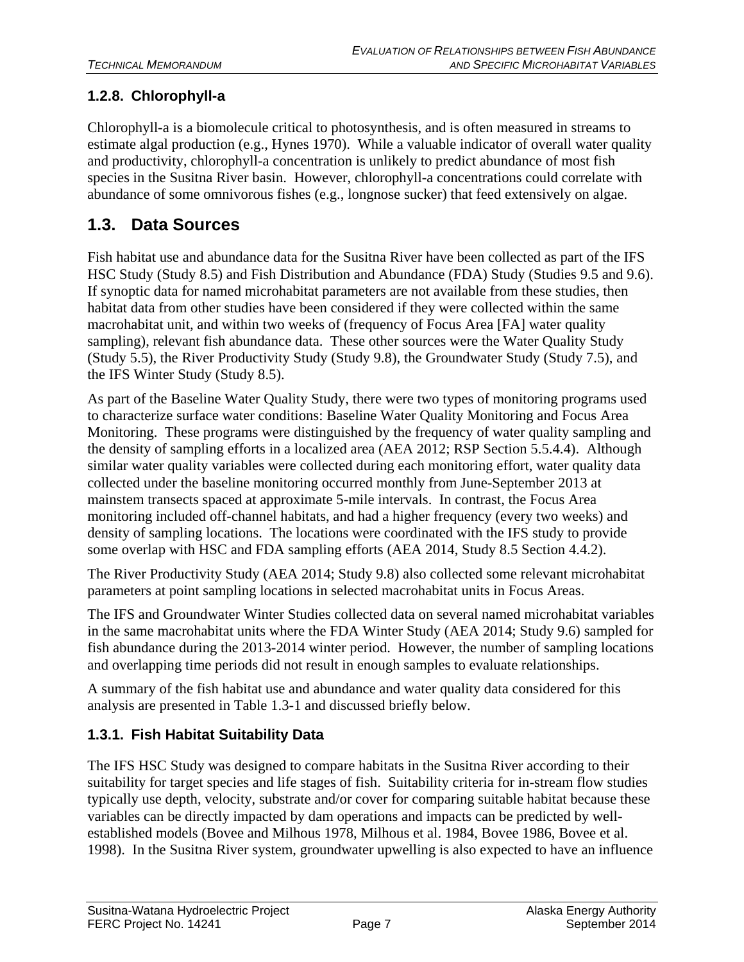#### <span id="page-17-0"></span>**1.2.8. Chlorophyll-a**

Chlorophyll-a is a biomolecule critical to photosynthesis, and is often measured in streams to estimate algal production (e.g., Hynes 1970). While a valuable indicator of overall water quality and productivity, chlorophyll-a concentration is unlikely to predict abundance of most fish species in the Susitna River basin. However, chlorophyll-a concentrations could correlate with abundance of some omnivorous fishes (e.g., longnose sucker) that feed extensively on algae.

### <span id="page-17-1"></span>**1.3. Data Sources**

Fish habitat use and abundance data for the Susitna River have been collected as part of the IFS HSC Study (Study 8.5) and Fish Distribution and Abundance (FDA) Study (Studies 9.5 and 9.6). If synoptic data for named microhabitat parameters are not available from these studies, then habitat data from other studies have been considered if they were collected within the same macrohabitat unit, and within two weeks of (frequency of Focus Area [FA] water quality sampling), relevant fish abundance data. These other sources were the Water Quality Study (Study 5.5), the River Productivity Study (Study 9.8), the Groundwater Study (Study 7.5), and the IFS Winter Study (Study 8.5).

As part of the Baseline Water Quality Study, there were two types of monitoring programs used to characterize surface water conditions: Baseline Water Quality Monitoring and Focus Area Monitoring. These programs were distinguished by the frequency of water quality sampling and the density of sampling efforts in a localized area (AEA 2012; RSP Section 5.5.4.4). Although similar water quality variables were collected during each monitoring effort, water quality data collected under the baseline monitoring occurred monthly from June-September 2013 at mainstem transects spaced at approximate 5-mile intervals. In contrast, the Focus Area monitoring included off-channel habitats, and had a higher frequency (every two weeks) and density of sampling locations. The locations were coordinated with the IFS study to provide some overlap with HSC and FDA sampling efforts (AEA 2014, Study 8.5 Section 4.4.2).

The River Productivity Study (AEA 2014; Study 9.8) also collected some relevant microhabitat parameters at point sampling locations in selected macrohabitat units in Focus Areas.

The IFS and Groundwater Winter Studies collected data on several named microhabitat variables in the same macrohabitat units where the FDA Winter Study (AEA 2014; Study 9.6) sampled for fish abundance during the 2013-2014 winter period. However, the number of sampling locations and overlapping time periods did not result in enough samples to evaluate relationships.

A summary of the fish habitat use and abundance and water quality data considered for this analysis are presented in Table 1.3-1 and discussed briefly below.

#### <span id="page-17-2"></span>**1.3.1. Fish Habitat Suitability Data**

The IFS HSC Study was designed to compare habitats in the Susitna River according to their suitability for target species and life stages of fish. Suitability criteria for in-stream flow studies typically use depth, velocity, substrate and/or cover for comparing suitable habitat because these variables can be directly impacted by dam operations and impacts can be predicted by wellestablished models (Bovee and Milhous 1978, Milhous et al. 1984, Bovee 1986, Bovee et al. 1998). In the Susitna River system, groundwater upwelling is also expected to have an influence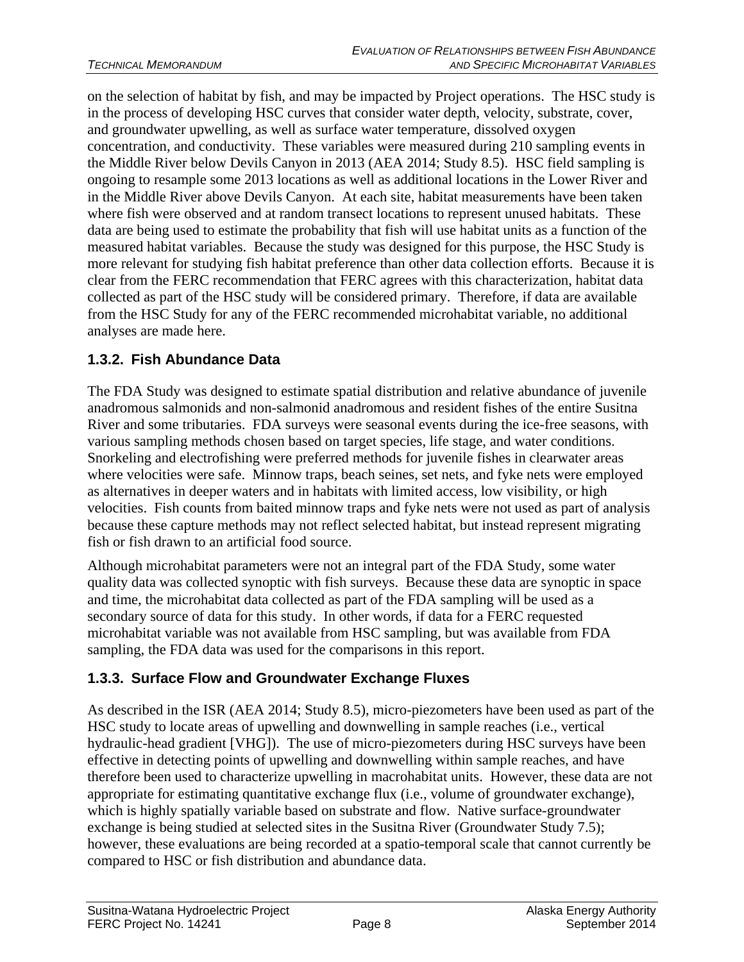on the selection of habitat by fish, and may be impacted by Project operations. The HSC study is in the process of developing HSC curves that consider water depth, velocity, substrate, cover, and groundwater upwelling, as well as surface water temperature, dissolved oxygen concentration, and conductivity. These variables were measured during 210 sampling events in the Middle River below Devils Canyon in 2013 (AEA 2014; Study 8.5). HSC field sampling is ongoing to resample some 2013 locations as well as additional locations in the Lower River and in the Middle River above Devils Canyon. At each site, habitat measurements have been taken where fish were observed and at random transect locations to represent unused habitats. These data are being used to estimate the probability that fish will use habitat units as a function of the measured habitat variables. Because the study was designed for this purpose, the HSC Study is more relevant for studying fish habitat preference than other data collection efforts. Because it is clear from the FERC recommendation that FERC agrees with this characterization, habitat data collected as part of the HSC study will be considered primary. Therefore, if data are available from the HSC Study for any of the FERC recommended microhabitat variable, no additional analyses are made here.

#### <span id="page-18-0"></span>**1.3.2. Fish Abundance Data**

The FDA Study was designed to estimate spatial distribution and relative abundance of juvenile anadromous salmonids and non-salmonid anadromous and resident fishes of the entire Susitna River and some tributaries. FDA surveys were seasonal events during the ice-free seasons, with various sampling methods chosen based on target species, life stage, and water conditions. Snorkeling and electrofishing were preferred methods for juvenile fishes in clearwater areas where velocities were safe. Minnow traps, beach seines, set nets, and fyke nets were employed as alternatives in deeper waters and in habitats with limited access, low visibility, or high velocities. Fish counts from baited minnow traps and fyke nets were not used as part of analysis because these capture methods may not reflect selected habitat, but instead represent migrating fish or fish drawn to an artificial food source.

Although microhabitat parameters were not an integral part of the FDA Study, some water quality data was collected synoptic with fish surveys. Because these data are synoptic in space and time, the microhabitat data collected as part of the FDA sampling will be used as a secondary source of data for this study. In other words, if data for a FERC requested microhabitat variable was not available from HSC sampling, but was available from FDA sampling, the FDA data was used for the comparisons in this report.

#### <span id="page-18-1"></span>**1.3.3. Surface Flow and Groundwater Exchange Fluxes**

As described in the ISR (AEA 2014; Study 8.5), micro-piezometers have been used as part of the HSC study to locate areas of upwelling and downwelling in sample reaches (i.e., vertical hydraulic-head gradient [VHG]). The use of micro-piezometers during HSC surveys have been effective in detecting points of upwelling and downwelling within sample reaches, and have therefore been used to characterize upwelling in macrohabitat units. However, these data are not appropriate for estimating quantitative exchange flux (i.e., volume of groundwater exchange), which is highly spatially variable based on substrate and flow. Native surface-groundwater exchange is being studied at selected sites in the Susitna River (Groundwater Study 7.5); however, these evaluations are being recorded at a spatio-temporal scale that cannot currently be compared to HSC or fish distribution and abundance data.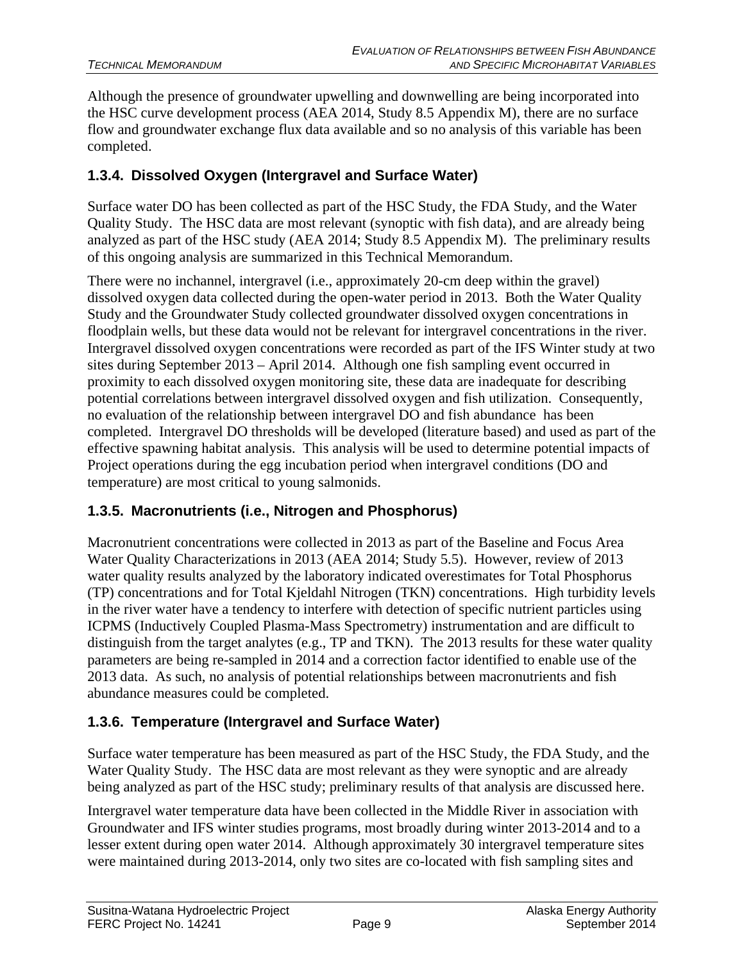Although the presence of groundwater upwelling and downwelling are being incorporated into the HSC curve development process (AEA 2014, Study 8.5 Appendix M), there are no surface flow and groundwater exchange flux data available and so no analysis of this variable has been completed.

#### <span id="page-19-0"></span>**1.3.4. Dissolved Oxygen (Intergravel and Surface Water)**

Surface water DO has been collected as part of the HSC Study, the FDA Study, and the Water Quality Study. The HSC data are most relevant (synoptic with fish data), and are already being analyzed as part of the HSC study (AEA 2014; Study 8.5 Appendix M). The preliminary results of this ongoing analysis are summarized in this Technical Memorandum.

There were no inchannel, intergravel (i.e., approximately 20-cm deep within the gravel) dissolved oxygen data collected during the open-water period in 2013. Both the Water Quality Study and the Groundwater Study collected groundwater dissolved oxygen concentrations in floodplain wells, but these data would not be relevant for intergravel concentrations in the river. Intergravel dissolved oxygen concentrations were recorded as part of the IFS Winter study at two sites during September 2013 – April 2014. Although one fish sampling event occurred in proximity to each dissolved oxygen monitoring site, these data are inadequate for describing potential correlations between intergravel dissolved oxygen and fish utilization. Consequently, no evaluation of the relationship between intergravel DO and fish abundance has been completed. Intergravel DO thresholds will be developed (literature based) and used as part of the effective spawning habitat analysis. This analysis will be used to determine potential impacts of Project operations during the egg incubation period when intergravel conditions (DO and temperature) are most critical to young salmonids.

#### <span id="page-19-1"></span>**1.3.5. Macronutrients (i.e., Nitrogen and Phosphorus)**

Macronutrient concentrations were collected in 2013 as part of the Baseline and Focus Area Water Quality Characterizations in 2013 (AEA 2014; Study 5.5). However, review of 2013 water quality results analyzed by the laboratory indicated overestimates for Total Phosphorus (TP) concentrations and for Total Kjeldahl Nitrogen (TKN) concentrations. High turbidity levels in the river water have a tendency to interfere with detection of specific nutrient particles using ICPMS (Inductively Coupled Plasma-Mass Spectrometry) instrumentation and are difficult to distinguish from the target analytes (e.g., TP and TKN). The 2013 results for these water quality parameters are being re-sampled in 2014 and a correction factor identified to enable use of the 2013 data. As such, no analysis of potential relationships between macronutrients and fish abundance measures could be completed.

#### <span id="page-19-2"></span>**1.3.6. Temperature (Intergravel and Surface Water)**

Surface water temperature has been measured as part of the HSC Study, the FDA Study, and the Water Quality Study. The HSC data are most relevant as they were synoptic and are already being analyzed as part of the HSC study; preliminary results of that analysis are discussed here.

Intergravel water temperature data have been collected in the Middle River in association with Groundwater and IFS winter studies programs, most broadly during winter 2013-2014 and to a lesser extent during open water 2014. Although approximately 30 intergravel temperature sites were maintained during 2013-2014, only two sites are co-located with fish sampling sites and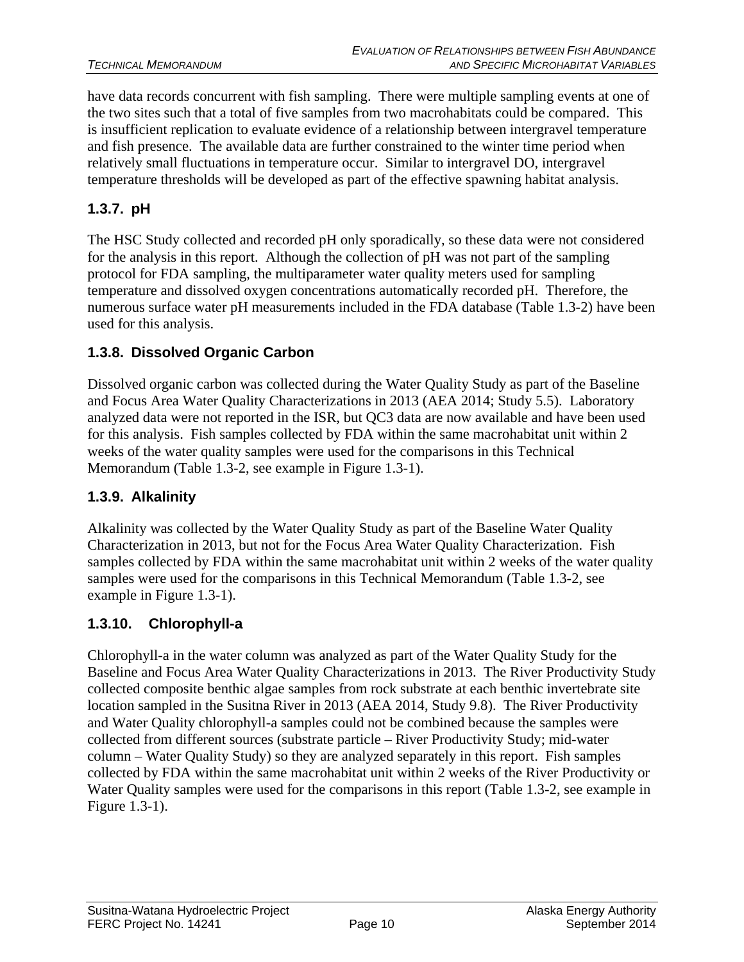have data records concurrent with fish sampling. There were multiple sampling events at one of the two sites such that a total of five samples from two macrohabitats could be compared. This is insufficient replication to evaluate evidence of a relationship between intergravel temperature and fish presence. The available data are further constrained to the winter time period when relatively small fluctuations in temperature occur. Similar to intergravel DO, intergravel temperature thresholds will be developed as part of the effective spawning habitat analysis.

#### <span id="page-20-0"></span>**1.3.7. pH**

The HSC Study collected and recorded pH only sporadically, so these data were not considered for the analysis in this report. Although the collection of pH was not part of the sampling protocol for FDA sampling, the multiparameter water quality meters used for sampling temperature and dissolved oxygen concentrations automatically recorded pH. Therefore, the numerous surface water pH measurements included in the FDA database (Table 1.3-2) have been used for this analysis.

#### <span id="page-20-1"></span>**1.3.8. Dissolved Organic Carbon**

Dissolved organic carbon was collected during the Water Quality Study as part of the Baseline and Focus Area Water Quality Characterizations in 2013 (AEA 2014; Study 5.5). Laboratory analyzed data were not reported in the ISR, but QC3 data are now available and have been used for this analysis. Fish samples collected by FDA within the same macrohabitat unit within 2 weeks of the water quality samples were used for the comparisons in this Technical Memorandum (Table 1.3-2, see example in Figure 1.3-1).

#### <span id="page-20-2"></span>**1.3.9. Alkalinity**

Alkalinity was collected by the Water Quality Study as part of the Baseline Water Quality Characterization in 2013, but not for the Focus Area Water Quality Characterization. Fish samples collected by FDA within the same macrohabitat unit within 2 weeks of the water quality samples were used for the comparisons in this Technical Memorandum (Table 1.3-2, see example in Figure 1.3-1).

#### <span id="page-20-3"></span>**1.3.10. Chlorophyll-a**

Chlorophyll-a in the water column was analyzed as part of the Water Quality Study for the Baseline and Focus Area Water Quality Characterizations in 2013. The River Productivity Study collected composite benthic algae samples from rock substrate at each benthic invertebrate site location sampled in the Susitna River in 2013 (AEA 2014, Study 9.8). The River Productivity and Water Quality chlorophyll-a samples could not be combined because the samples were collected from different sources (substrate particle – River Productivity Study; mid-water column – Water Quality Study) so they are analyzed separately in this report. Fish samples collected by FDA within the same macrohabitat unit within 2 weeks of the River Productivity or Water Quality samples were used for the comparisons in this report (Table 1.3-2, see example in Figure 1.3-1).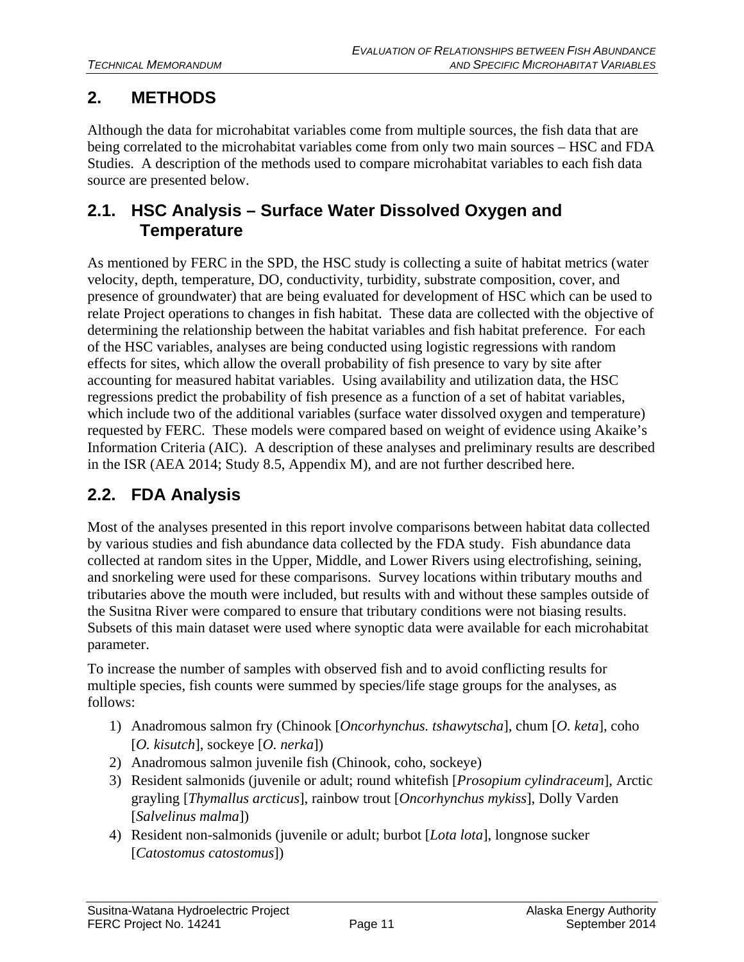### <span id="page-21-0"></span>**2. METHODS**

Although the data for microhabitat variables come from multiple sources, the fish data that are being correlated to the microhabitat variables come from only two main sources – HSC and FDA Studies. A description of the methods used to compare microhabitat variables to each fish data source are presented below.

### <span id="page-21-1"></span>**2.1. HSC Analysis – Surface Water Dissolved Oxygen and Temperature**

As mentioned by FERC in the SPD, the HSC study is collecting a suite of habitat metrics (water velocity, depth, temperature, DO, conductivity, turbidity, substrate composition, cover, and presence of groundwater) that are being evaluated for development of HSC which can be used to relate Project operations to changes in fish habitat. These data are collected with the objective of determining the relationship between the habitat variables and fish habitat preference. For each of the HSC variables, analyses are being conducted using logistic regressions with random effects for sites, which allow the overall probability of fish presence to vary by site after accounting for measured habitat variables. Using availability and utilization data, the HSC regressions predict the probability of fish presence as a function of a set of habitat variables, which include two of the additional variables (surface water dissolved oxygen and temperature) requested by FERC. These models were compared based on weight of evidence using Akaike's Information Criteria (AIC). A description of these analyses and preliminary results are described in the ISR (AEA 2014; Study 8.5, Appendix M), and are not further described here.

### <span id="page-21-2"></span>**2.2. FDA Analysis**

Most of the analyses presented in this report involve comparisons between habitat data collected by various studies and fish abundance data collected by the FDA study. Fish abundance data collected at random sites in the Upper, Middle, and Lower Rivers using electrofishing, seining, and snorkeling were used for these comparisons. Survey locations within tributary mouths and tributaries above the mouth were included, but results with and without these samples outside of the Susitna River were compared to ensure that tributary conditions were not biasing results. Subsets of this main dataset were used where synoptic data were available for each microhabitat parameter.

To increase the number of samples with observed fish and to avoid conflicting results for multiple species, fish counts were summed by species/life stage groups for the analyses, as follows:

- 1) Anadromous salmon fry (Chinook [*Oncorhynchus. tshawytscha*], chum [*O. keta*], coho [*O. kisutch*], sockeye [*O. nerka*])
- 2) Anadromous salmon juvenile fish (Chinook, coho, sockeye)
- 3) Resident salmonids (juvenile or adult; round whitefish [*Prosopium cylindraceum*], Arctic grayling [*Thymallus arcticus*], rainbow trout [*Oncorhynchus mykiss*], Dolly Varden [*Salvelinus malma*])
- 4) Resident non-salmonids (juvenile or adult; burbot [*Lota lota*], longnose sucker [*Catostomus catostomus*])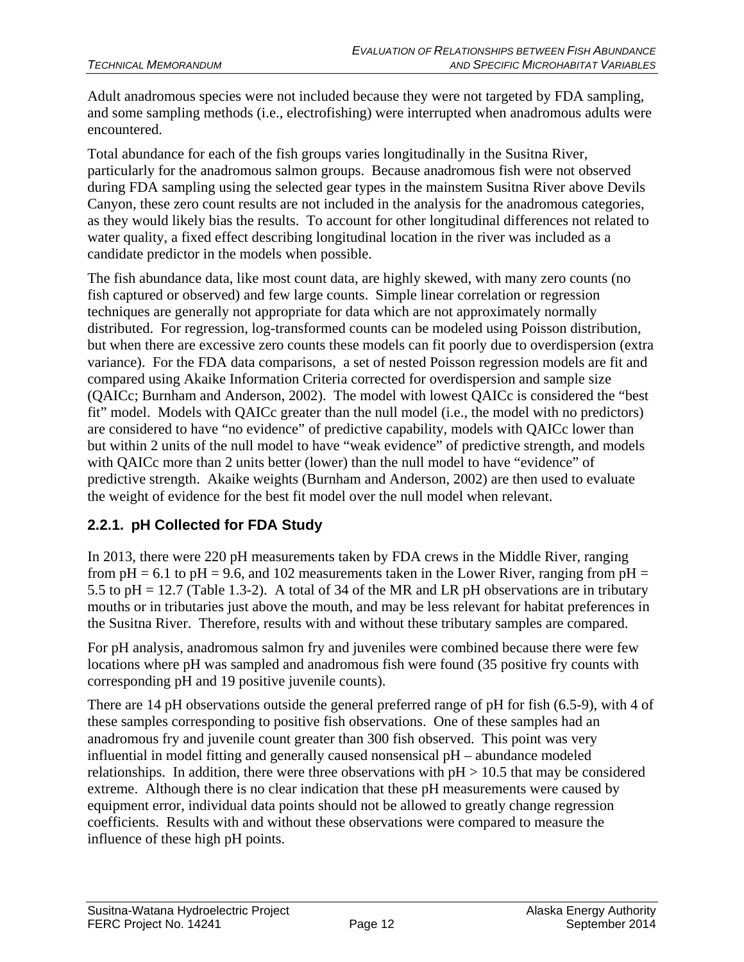Adult anadromous species were not included because they were not targeted by FDA sampling, and some sampling methods (i.e., electrofishing) were interrupted when anadromous adults were encountered.

Total abundance for each of the fish groups varies longitudinally in the Susitna River, particularly for the anadromous salmon groups. Because anadromous fish were not observed during FDA sampling using the selected gear types in the mainstem Susitna River above Devils Canyon, these zero count results are not included in the analysis for the anadromous categories, as they would likely bias the results. To account for other longitudinal differences not related to water quality, a fixed effect describing longitudinal location in the river was included as a candidate predictor in the models when possible.

The fish abundance data, like most count data, are highly skewed, with many zero counts (no fish captured or observed) and few large counts. Simple linear correlation or regression techniques are generally not appropriate for data which are not approximately normally distributed. For regression, log-transformed counts can be modeled using Poisson distribution, but when there are excessive zero counts these models can fit poorly due to overdispersion (extra variance). For the FDA data comparisons, a set of nested Poisson regression models are fit and compared using Akaike Information Criteria corrected for overdispersion and sample size (QAICc; Burnham and Anderson, 2002). The model with lowest QAICc is considered the "best fit" model. Models with QAICc greater than the null model (i.e., the model with no predictors) are considered to have "no evidence" of predictive capability, models with QAICc lower than but within 2 units of the null model to have "weak evidence" of predictive strength, and models with QAICc more than 2 units better (lower) than the null model to have "evidence" of predictive strength. Akaike weights (Burnham and Anderson, 2002) are then used to evaluate the weight of evidence for the best fit model over the null model when relevant.

#### <span id="page-22-0"></span>**2.2.1. pH Collected for FDA Study**

In 2013, there were 220 pH measurements taken by FDA crews in the Middle River, ranging from  $pH = 6.1$  to  $pH = 9.6$ , and 102 measurements taken in the Lower River, ranging from  $pH =$ 5.5 to pH = 12.7 (Table 1.3-2). A total of 34 of the MR and LR pH observations are in tributary mouths or in tributaries just above the mouth, and may be less relevant for habitat preferences in the Susitna River. Therefore, results with and without these tributary samples are compared.

For pH analysis, anadromous salmon fry and juveniles were combined because there were few locations where pH was sampled and anadromous fish were found (35 positive fry counts with corresponding pH and 19 positive juvenile counts).

There are 14 pH observations outside the general preferred range of pH for fish (6.5-9), with 4 of these samples corresponding to positive fish observations. One of these samples had an anadromous fry and juvenile count greater than 300 fish observed. This point was very influential in model fitting and generally caused nonsensical pH – abundance modeled relationships. In addition, there were three observations with  $pH > 10.5$  that may be considered extreme. Although there is no clear indication that these pH measurements were caused by equipment error, individual data points should not be allowed to greatly change regression coefficients. Results with and without these observations were compared to measure the influence of these high pH points.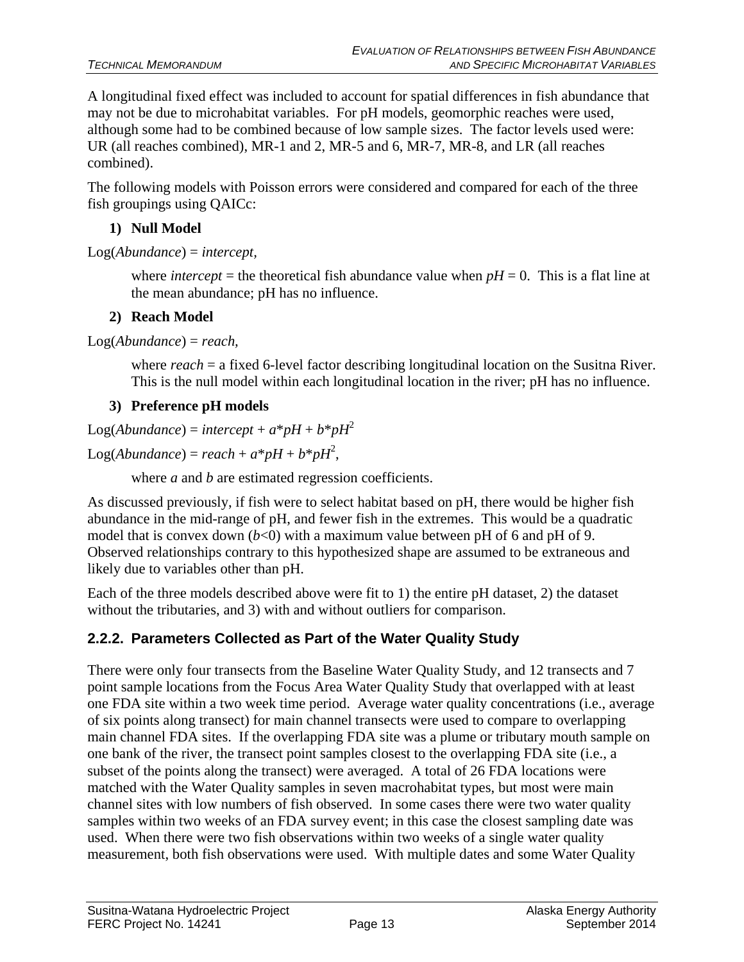A longitudinal fixed effect was included to account for spatial differences in fish abundance that may not be due to microhabitat variables. For pH models, geomorphic reaches were used, although some had to be combined because of low sample sizes. The factor levels used were: UR (all reaches combined), MR-1 and 2, MR-5 and 6, MR-7, MR-8, and LR (all reaches combined).

The following models with Poisson errors were considered and compared for each of the three fish groupings using QAICc:

#### **1) Null Model**

Log(*Abundance*) = *intercept,*

where *intercept* = the theoretical fish abundance value when  $pH = 0$ . This is a flat line at the mean abundance; pH has no influence.

#### **2) Reach Model**

Log(*Abundance*) = *reach,*

where *reach* = a fixed 6-level factor describing longitudinal location on the Susitna River. This is the null model within each longitudinal location in the river; pH has no influence.

### **3) Preference pH models**

 $Log(Abundance) = intercept + a^{*}pH + b^{*}pH^{2}$ 

 $Log(Abundance) = reach + a^{*}pH + b^{*}pH^{2}$ 

where *a* and *b* are estimated regression coefficients.

As discussed previously, if fish were to select habitat based on pH, there would be higher fish abundance in the mid-range of pH, and fewer fish in the extremes. This would be a quadratic model that is convex down  $(b<0)$  with a maximum value between pH of 6 and pH of 9. Observed relationships contrary to this hypothesized shape are assumed to be extraneous and likely due to variables other than pH.

Each of the three models described above were fit to 1) the entire pH dataset, 2) the dataset without the tributaries, and 3) with and without outliers for comparison.

### <span id="page-23-0"></span>**2.2.2. Parameters Collected as Part of the Water Quality Study**

There were only four transects from the Baseline Water Quality Study, and 12 transects and 7 point sample locations from the Focus Area Water Quality Study that overlapped with at least one FDA site within a two week time period. Average water quality concentrations (i.e., average of six points along transect) for main channel transects were used to compare to overlapping main channel FDA sites. If the overlapping FDA site was a plume or tributary mouth sample on one bank of the river, the transect point samples closest to the overlapping FDA site (i.e., a subset of the points along the transect) were averaged. A total of 26 FDA locations were matched with the Water Quality samples in seven macrohabitat types, but most were main channel sites with low numbers of fish observed. In some cases there were two water quality samples within two weeks of an FDA survey event; in this case the closest sampling date was used. When there were two fish observations within two weeks of a single water quality measurement, both fish observations were used. With multiple dates and some Water Quality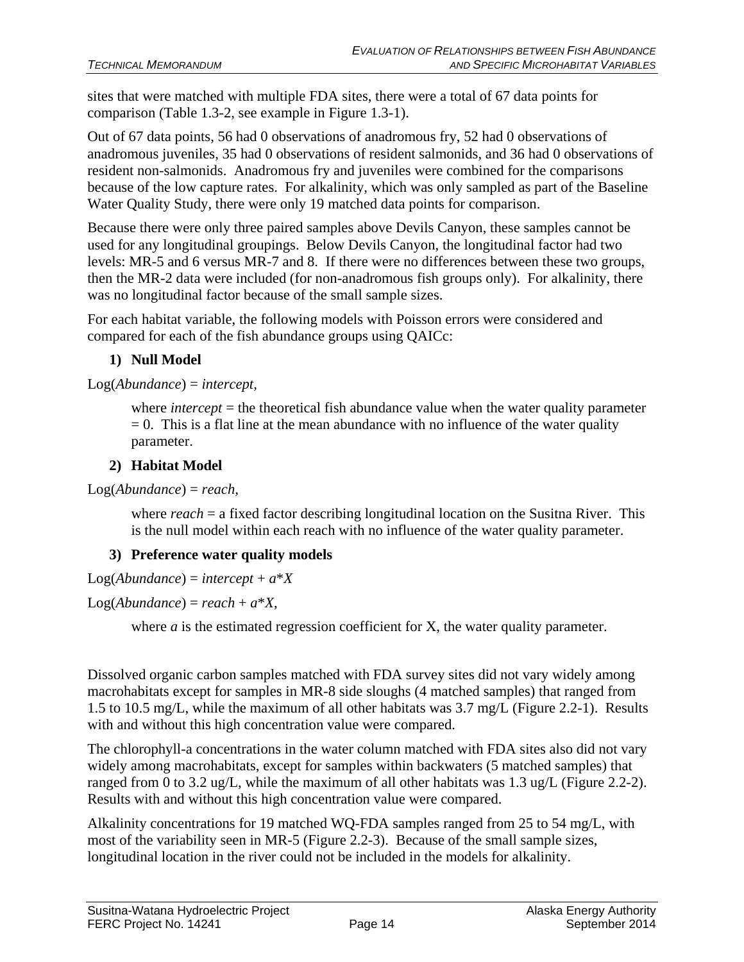sites that were matched with multiple FDA sites, there were a total of 67 data points for comparison (Table 1.3-2, see example in Figure 1.3-1).

Out of 67 data points, 56 had 0 observations of anadromous fry, 52 had 0 observations of anadromous juveniles, 35 had 0 observations of resident salmonids, and 36 had 0 observations of resident non-salmonids. Anadromous fry and juveniles were combined for the comparisons because of the low capture rates. For alkalinity, which was only sampled as part of the Baseline Water Quality Study, there were only 19 matched data points for comparison.

Because there were only three paired samples above Devils Canyon, these samples cannot be used for any longitudinal groupings. Below Devils Canyon, the longitudinal factor had two levels: MR-5 and 6 versus MR-7 and 8. If there were no differences between these two groups, then the MR-2 data were included (for non-anadromous fish groups only). For alkalinity, there was no longitudinal factor because of the small sample sizes.

For each habitat variable, the following models with Poisson errors were considered and compared for each of the fish abundance groups using QAICc:

#### **1) Null Model**

Log(*Abundance*) = *intercept,*

where *intercept* = the theoretical fish abundance value when the water quality parameter  $= 0$ . This is a flat line at the mean abundance with no influence of the water quality parameter.

#### **2) Habitat Model**

Log(*Abundance*) = *reach,*

where *reach* = a fixed factor describing longitudinal location on the Susitna River. This is the null model within each reach with no influence of the water quality parameter.

#### **3) Preference water quality models**

 $Log(Abundance) = intercept + a^*X$ 

 $Log(Abundance) = reach + a^*X$ 

where *a* is the estimated regression coefficient for *X*, the water quality parameter.

Dissolved organic carbon samples matched with FDA survey sites did not vary widely among macrohabitats except for samples in MR-8 side sloughs (4 matched samples) that ranged from 1.5 to 10.5 mg/L, while the maximum of all other habitats was 3.7 mg/L (Figure 2.2-1). Results with and without this high concentration value were compared.

The chlorophyll-a concentrations in the water column matched with FDA sites also did not vary widely among macrohabitats, except for samples within backwaters (5 matched samples) that ranged from 0 to 3.2 ug/L, while the maximum of all other habitats was 1.3 ug/L (Figure 2.2-2). Results with and without this high concentration value were compared.

Alkalinity concentrations for 19 matched WQ-FDA samples ranged from 25 to 54 mg/L, with most of the variability seen in MR-5 (Figure 2.2-3). Because of the small sample sizes, longitudinal location in the river could not be included in the models for alkalinity.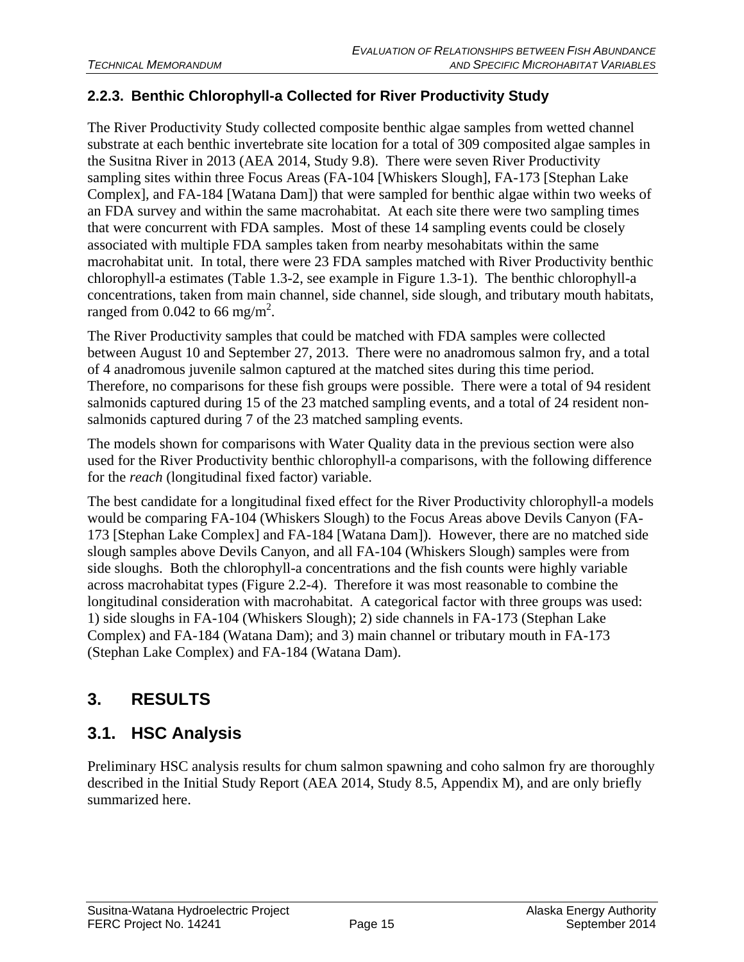#### <span id="page-25-0"></span>**2.2.3. Benthic Chlorophyll-a Collected for River Productivity Study**

The River Productivity Study collected composite benthic algae samples from wetted channel substrate at each benthic invertebrate site location for a total of 309 composited algae samples in the Susitna River in 2013 (AEA 2014, Study 9.8). There were seven River Productivity sampling sites within three Focus Areas (FA-104 [Whiskers Slough], FA-173 [Stephan Lake Complex], and FA-184 [Watana Dam]) that were sampled for benthic algae within two weeks of an FDA survey and within the same macrohabitat. At each site there were two sampling times that were concurrent with FDA samples. Most of these 14 sampling events could be closely associated with multiple FDA samples taken from nearby mesohabitats within the same macrohabitat unit. In total, there were 23 FDA samples matched with River Productivity benthic chlorophyll-a estimates (Table 1.3-2, see example in Figure 1.3-1). The benthic chlorophyll-a concentrations, taken from main channel, side channel, side slough, and tributary mouth habitats, ranged from 0.042 to 66 mg/m<sup>2</sup>.

The River Productivity samples that could be matched with FDA samples were collected between August 10 and September 27, 2013. There were no anadromous salmon fry, and a total of 4 anadromous juvenile salmon captured at the matched sites during this time period. Therefore, no comparisons for these fish groups were possible. There were a total of 94 resident salmonids captured during 15 of the 23 matched sampling events, and a total of 24 resident nonsalmonids captured during 7 of the 23 matched sampling events.

The models shown for comparisons with Water Quality data in the previous section were also used for the River Productivity benthic chlorophyll-a comparisons, with the following difference for the *reach* (longitudinal fixed factor) variable.

The best candidate for a longitudinal fixed effect for the River Productivity chlorophyll-a models would be comparing FA-104 (Whiskers Slough) to the Focus Areas above Devils Canyon (FA-173 [Stephan Lake Complex] and FA-184 [Watana Dam]). However, there are no matched side slough samples above Devils Canyon, and all FA-104 (Whiskers Slough) samples were from side sloughs. Both the chlorophyll-a concentrations and the fish counts were highly variable across macrohabitat types (Figure 2.2-4). Therefore it was most reasonable to combine the longitudinal consideration with macrohabitat. A categorical factor with three groups was used: 1) side sloughs in FA-104 (Whiskers Slough); 2) side channels in FA-173 (Stephan Lake Complex) and FA-184 (Watana Dam); and 3) main channel or tributary mouth in FA-173 (Stephan Lake Complex) and FA-184 (Watana Dam).

### <span id="page-25-1"></span>**3. RESULTS**

### <span id="page-25-2"></span>**3.1. HSC Analysis**

Preliminary HSC analysis results for chum salmon spawning and coho salmon fry are thoroughly described in the Initial Study Report (AEA 2014, Study 8.5, Appendix M), and are only briefly summarized here.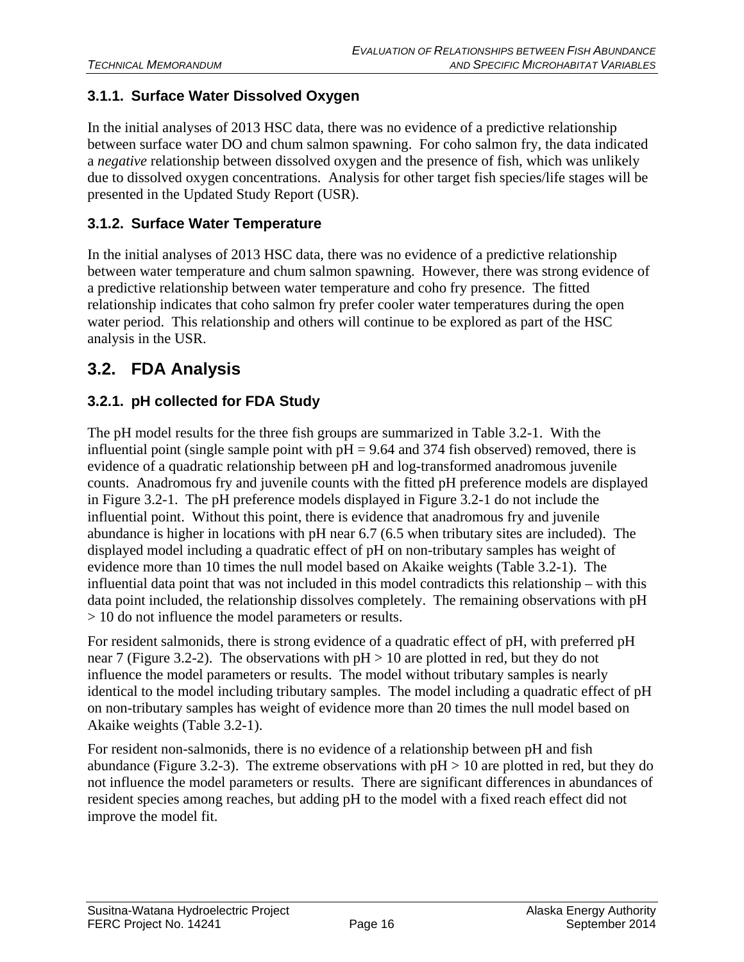#### <span id="page-26-0"></span>**3.1.1. Surface Water Dissolved Oxygen**

In the initial analyses of 2013 HSC data, there was no evidence of a predictive relationship between surface water DO and chum salmon spawning. For coho salmon fry, the data indicated a *negative* relationship between dissolved oxygen and the presence of fish, which was unlikely due to dissolved oxygen concentrations. Analysis for other target fish species/life stages will be presented in the Updated Study Report (USR).

#### <span id="page-26-1"></span>**3.1.2. Surface Water Temperature**

In the initial analyses of 2013 HSC data, there was no evidence of a predictive relationship between water temperature and chum salmon spawning. However, there was strong evidence of a predictive relationship between water temperature and coho fry presence. The fitted relationship indicates that coho salmon fry prefer cooler water temperatures during the open water period. This relationship and others will continue to be explored as part of the HSC analysis in the USR.

### <span id="page-26-2"></span>**3.2. FDA Analysis**

#### <span id="page-26-3"></span>**3.2.1. pH collected for FDA Study**

The pH model results for the three fish groups are summarized in Table 3.2-1. With the influential point (single sample point with  $pH = 9.64$  and 374 fish observed) removed, there is evidence of a quadratic relationship between pH and log-transformed anadromous juvenile counts. Anadromous fry and juvenile counts with the fitted pH preference models are displayed in Figure 3.2-1. The pH preference models displayed in Figure 3.2-1 do not include the influential point. Without this point, there is evidence that anadromous fry and juvenile abundance is higher in locations with pH near 6.7 (6.5 when tributary sites are included). The displayed model including a quadratic effect of pH on non-tributary samples has weight of evidence more than 10 times the null model based on Akaike weights (Table 3.2-1). The influential data point that was not included in this model contradicts this relationship – with this data point included, the relationship dissolves completely. The remaining observations with pH > 10 do not influence the model parameters or results.

For resident salmonids, there is strong evidence of a quadratic effect of pH, with preferred pH near 7 (Figure 3.2-2). The observations with  $pH > 10$  are plotted in red, but they do not influence the model parameters or results. The model without tributary samples is nearly identical to the model including tributary samples. The model including a quadratic effect of pH on non-tributary samples has weight of evidence more than 20 times the null model based on Akaike weights (Table 3.2-1).

For resident non-salmonids, there is no evidence of a relationship between pH and fish abundance (Figure 3.2-3). The extreme observations with  $pH > 10$  are plotted in red, but they do not influence the model parameters or results. There are significant differences in abundances of resident species among reaches, but adding pH to the model with a fixed reach effect did not improve the model fit.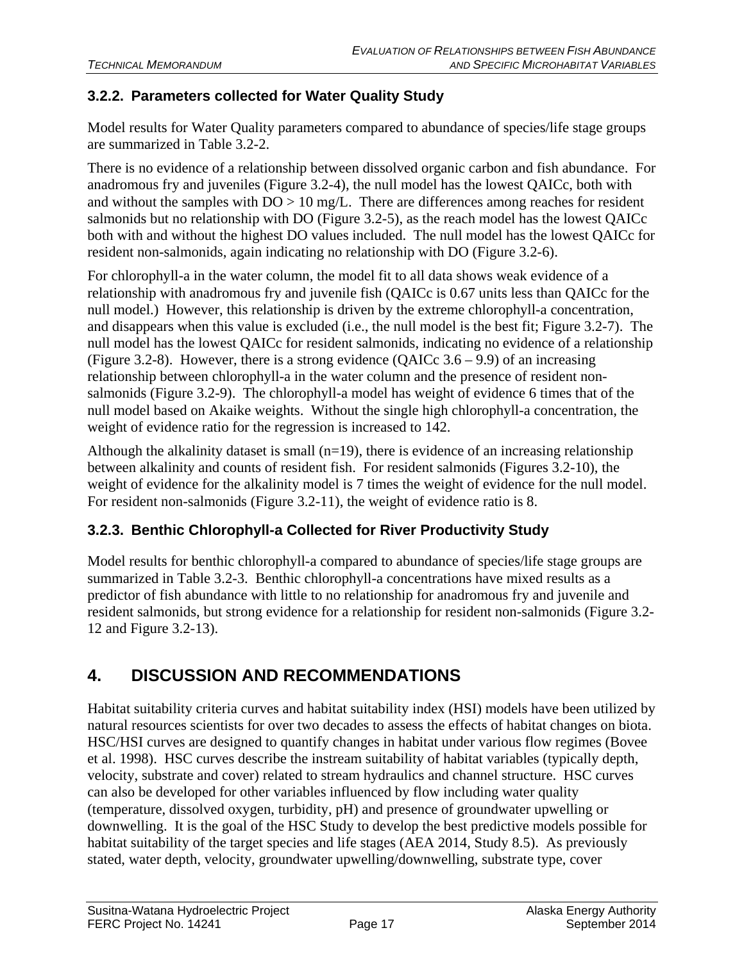#### <span id="page-27-0"></span>**3.2.2. Parameters collected for Water Quality Study**

Model results for Water Quality parameters compared to abundance of species/life stage groups are summarized in Table 3.2-2.

There is no evidence of a relationship between dissolved organic carbon and fish abundance. For anadromous fry and juveniles (Figure 3.2-4), the null model has the lowest QAICc, both with and without the samples with  $DO > 10$  mg/L. There are differences among reaches for resident salmonids but no relationship with DO (Figure 3.2-5), as the reach model has the lowest QAICc both with and without the highest DO values included. The null model has the lowest QAICc for resident non-salmonids, again indicating no relationship with DO (Figure 3.2-6).

For chlorophyll-a in the water column, the model fit to all data shows weak evidence of a relationship with anadromous fry and juvenile fish (QAICc is 0.67 units less than QAICc for the null model.) However, this relationship is driven by the extreme chlorophyll-a concentration, and disappears when this value is excluded (i.e., the null model is the best fit; Figure 3.2-7). The null model has the lowest QAICc for resident salmonids, indicating no evidence of a relationship (Figure 3.2-8). However, there is a strong evidence  $(QAICc 3.6 - 9.9)$  of an increasing relationship between chlorophyll-a in the water column and the presence of resident nonsalmonids (Figure 3.2-9). The chlorophyll-a model has weight of evidence 6 times that of the null model based on Akaike weights. Without the single high chlorophyll-a concentration, the weight of evidence ratio for the regression is increased to 142.

Although the alkalinity dataset is small  $(n=19)$ , there is evidence of an increasing relationship between alkalinity and counts of resident fish. For resident salmonids (Figures 3.2-10), the weight of evidence for the alkalinity model is 7 times the weight of evidence for the null model. For resident non-salmonids (Figure 3.2-11), the weight of evidence ratio is 8.

#### <span id="page-27-1"></span>**3.2.3. Benthic Chlorophyll-a Collected for River Productivity Study**

Model results for benthic chlorophyll-a compared to abundance of species/life stage groups are summarized in Table 3.2-3. Benthic chlorophyll-a concentrations have mixed results as a predictor of fish abundance with little to no relationship for anadromous fry and juvenile and resident salmonids, but strong evidence for a relationship for resident non-salmonids (Figure 3.2- 12 and Figure 3.2-13).

### <span id="page-27-2"></span>**4. DISCUSSION AND RECOMMENDATIONS**

Habitat suitability criteria curves and habitat suitability index (HSI) models have been utilized by natural resources scientists for over two decades to assess the effects of habitat changes on biota. HSC/HSI curves are designed to quantify changes in habitat under various flow regimes (Bovee et al. 1998). HSC curves describe the instream suitability of habitat variables (typically depth, velocity, substrate and cover) related to stream hydraulics and channel structure. HSC curves can also be developed for other variables influenced by flow including water quality (temperature, dissolved oxygen, turbidity, pH) and presence of groundwater upwelling or downwelling. It is the goal of the HSC Study to develop the best predictive models possible for habitat suitability of the target species and life stages (AEA 2014, Study 8.5). As previously stated, water depth, velocity, groundwater upwelling/downwelling, substrate type, cover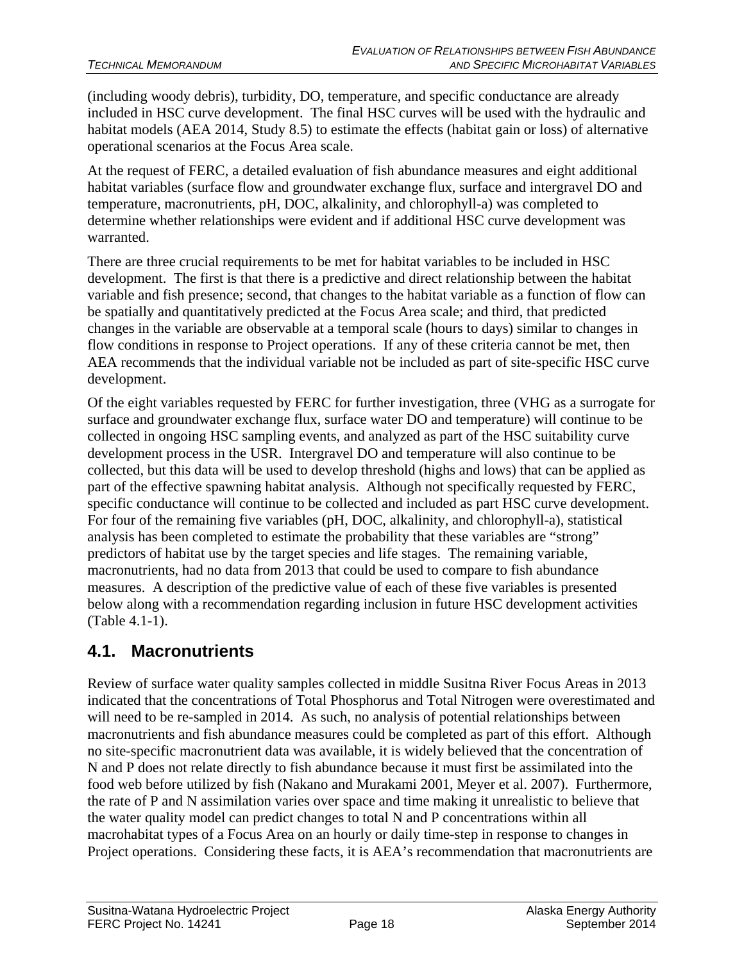(including woody debris), turbidity, DO, temperature, and specific conductance are already included in HSC curve development. The final HSC curves will be used with the hydraulic and habitat models (AEA 2014, Study 8.5) to estimate the effects (habitat gain or loss) of alternative operational scenarios at the Focus Area scale.

At the request of FERC, a detailed evaluation of fish abundance measures and eight additional habitat variables (surface flow and groundwater exchange flux, surface and intergravel DO and temperature, macronutrients, pH, DOC, alkalinity, and chlorophyll-a) was completed to determine whether relationships were evident and if additional HSC curve development was warranted.

There are three crucial requirements to be met for habitat variables to be included in HSC development. The first is that there is a predictive and direct relationship between the habitat variable and fish presence; second, that changes to the habitat variable as a function of flow can be spatially and quantitatively predicted at the Focus Area scale; and third, that predicted changes in the variable are observable at a temporal scale (hours to days) similar to changes in flow conditions in response to Project operations. If any of these criteria cannot be met, then AEA recommends that the individual variable not be included as part of site-specific HSC curve development.

Of the eight variables requested by FERC for further investigation, three (VHG as a surrogate for surface and groundwater exchange flux, surface water DO and temperature) will continue to be collected in ongoing HSC sampling events, and analyzed as part of the HSC suitability curve development process in the USR. Intergravel DO and temperature will also continue to be collected, but this data will be used to develop threshold (highs and lows) that can be applied as part of the effective spawning habitat analysis. Although not specifically requested by FERC, specific conductance will continue to be collected and included as part HSC curve development. For four of the remaining five variables (pH, DOC, alkalinity, and chlorophyll-a), statistical analysis has been completed to estimate the probability that these variables are "strong" predictors of habitat use by the target species and life stages. The remaining variable, macronutrients, had no data from 2013 that could be used to compare to fish abundance measures. A description of the predictive value of each of these five variables is presented below along with a recommendation regarding inclusion in future HSC development activities (Table 4.1-1).

### <span id="page-28-0"></span>**4.1. Macronutrients**

Review of surface water quality samples collected in middle Susitna River Focus Areas in 2013 indicated that the concentrations of Total Phosphorus and Total Nitrogen were overestimated and will need to be re-sampled in 2014. As such, no analysis of potential relationships between macronutrients and fish abundance measures could be completed as part of this effort. Although no site-specific macronutrient data was available, it is widely believed that the concentration of N and P does not relate directly to fish abundance because it must first be assimilated into the food web before utilized by fish (Nakano and Murakami 2001, Meyer et al. 2007). Furthermore, the rate of P and N assimilation varies over space and time making it unrealistic to believe that the water quality model can predict changes to total N and P concentrations within all macrohabitat types of a Focus Area on an hourly or daily time-step in response to changes in Project operations. Considering these facts, it is AEA's recommendation that macronutrients are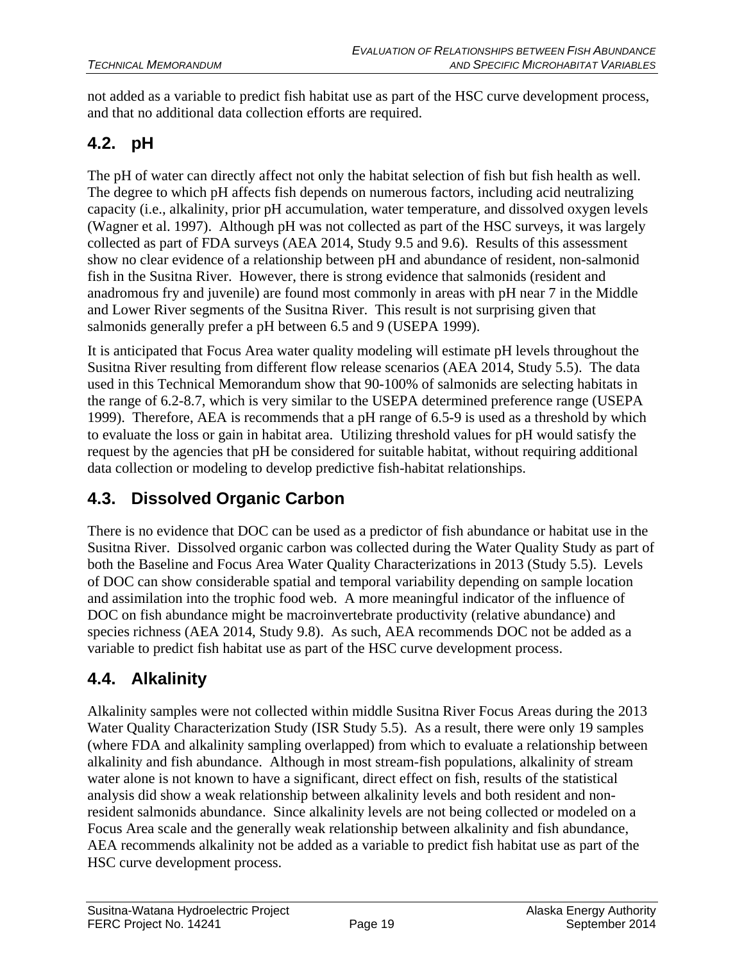not added as a variable to predict fish habitat use as part of the HSC curve development process, and that no additional data collection efforts are required.

### <span id="page-29-0"></span>**4.2. pH**

The pH of water can directly affect not only the habitat selection of fish but fish health as well. The degree to which pH affects fish depends on numerous factors, including acid neutralizing capacity (i.e., alkalinity, prior pH accumulation, water temperature, and dissolved oxygen levels (Wagner et al. 1997). Although pH was not collected as part of the HSC surveys, it was largely collected as part of FDA surveys (AEA 2014, Study 9.5 and 9.6). Results of this assessment show no clear evidence of a relationship between pH and abundance of resident, non-salmonid fish in the Susitna River. However, there is strong evidence that salmonids (resident and anadromous fry and juvenile) are found most commonly in areas with pH near 7 in the Middle and Lower River segments of the Susitna River. This result is not surprising given that salmonids generally prefer a pH between 6.5 and 9 (USEPA 1999).

It is anticipated that Focus Area water quality modeling will estimate pH levels throughout the Susitna River resulting from different flow release scenarios (AEA 2014, Study 5.5). The data used in this Technical Memorandum show that 90-100% of salmonids are selecting habitats in the range of 6.2-8.7, which is very similar to the USEPA determined preference range (USEPA 1999). Therefore, AEA is recommends that a pH range of 6.5-9 is used as a threshold by which to evaluate the loss or gain in habitat area. Utilizing threshold values for pH would satisfy the request by the agencies that pH be considered for suitable habitat, without requiring additional data collection or modeling to develop predictive fish-habitat relationships.

### <span id="page-29-1"></span>**4.3. Dissolved Organic Carbon**

There is no evidence that DOC can be used as a predictor of fish abundance or habitat use in the Susitna River. Dissolved organic carbon was collected during the Water Quality Study as part of both the Baseline and Focus Area Water Quality Characterizations in 2013 (Study 5.5). Levels of DOC can show considerable spatial and temporal variability depending on sample location and assimilation into the trophic food web. A more meaningful indicator of the influence of DOC on fish abundance might be macroinvertebrate productivity (relative abundance) and species richness (AEA 2014, Study 9.8). As such, AEA recommends DOC not be added as a variable to predict fish habitat use as part of the HSC curve development process.

### <span id="page-29-2"></span>**4.4. Alkalinity**

Alkalinity samples were not collected within middle Susitna River Focus Areas during the 2013 Water Quality Characterization Study (ISR Study 5.5). As a result, there were only 19 samples (where FDA and alkalinity sampling overlapped) from which to evaluate a relationship between alkalinity and fish abundance. Although in most stream-fish populations, alkalinity of stream water alone is not known to have a significant, direct effect on fish, results of the statistical analysis did show a weak relationship between alkalinity levels and both resident and nonresident salmonids abundance. Since alkalinity levels are not being collected or modeled on a Focus Area scale and the generally weak relationship between alkalinity and fish abundance, AEA recommends alkalinity not be added as a variable to predict fish habitat use as part of the HSC curve development process.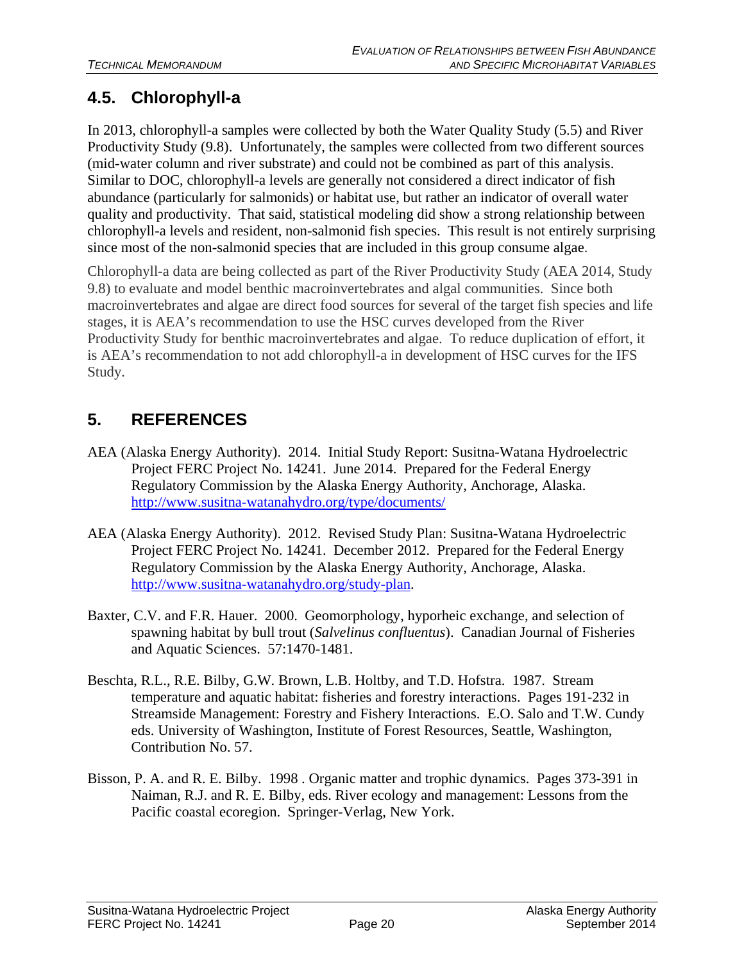### <span id="page-30-0"></span>**4.5. Chlorophyll-a**

In 2013, chlorophyll-a samples were collected by both the Water Quality Study (5.5) and River Productivity Study (9.8). Unfortunately, the samples were collected from two different sources (mid-water column and river substrate) and could not be combined as part of this analysis. Similar to DOC, chlorophyll-a levels are generally not considered a direct indicator of fish abundance (particularly for salmonids) or habitat use, but rather an indicator of overall water quality and productivity. That said, statistical modeling did show a strong relationship between chlorophyll-a levels and resident, non-salmonid fish species. This result is not entirely surprising since most of the non-salmonid species that are included in this group consume algae.

Chlorophyll-a data are being collected as part of the River Productivity Study (AEA 2014, Study 9.8) to evaluate and model benthic macroinvertebrates and algal communities. Since both macroinvertebrates and algae are direct food sources for several of the target fish species and life stages, it is AEA's recommendation to use the HSC curves developed from the River Productivity Study for benthic macroinvertebrates and algae. To reduce duplication of effort, it is AEA's recommendation to not add chlorophyll-a in development of HSC curves for the IFS Study.

### <span id="page-30-1"></span>**5. REFERENCES**

- AEA (Alaska Energy Authority). 2014. Initial Study Report: Susitna-Watana Hydroelectric Project FERC Project No. 14241. June 2014. Prepared for the Federal Energy Regulatory Commission by the Alaska Energy Authority, Anchorage, Alaska. <http://www.susitna-watanahydro.org/type/documents/>
- AEA (Alaska Energy Authority). 2012. Revised Study Plan: Susitna-Watana Hydroelectric Project FERC Project No. 14241. December 2012. Prepared for the Federal Energy Regulatory Commission by the Alaska Energy Authority, Anchorage, Alaska. [http://www.susitna-watanahydro.org/study-plan.](http://www.susitna-watanahydro.org/study-plan)
- Baxter, C.V. and F.R. Hauer. 2000. Geomorphology, hyporheic exchange, and selection of spawning habitat by bull trout (*Salvelinus confluentus*). Canadian Journal of Fisheries and Aquatic Sciences. 57:1470-1481.
- Beschta, R.L., R.E. Bilby, G.W. Brown, L.B. Holtby, and T.D. Hofstra. 1987. Stream temperature and aquatic habitat: fisheries and forestry interactions. Pages 191-232 in Streamside Management: Forestry and Fishery Interactions. E.O. Salo and T.W. Cundy eds. University of Washington, Institute of Forest Resources, Seattle, Washington, Contribution No. 57.
- Bisson, P. A. and R. E. Bilby. 1998 . Organic matter and trophic dynamics. Pages 373-391 in Naiman, R.J. and R. E. Bilby, eds. River ecology and management: Lessons from the Pacific coastal ecoregion. Springer-Verlag, New York.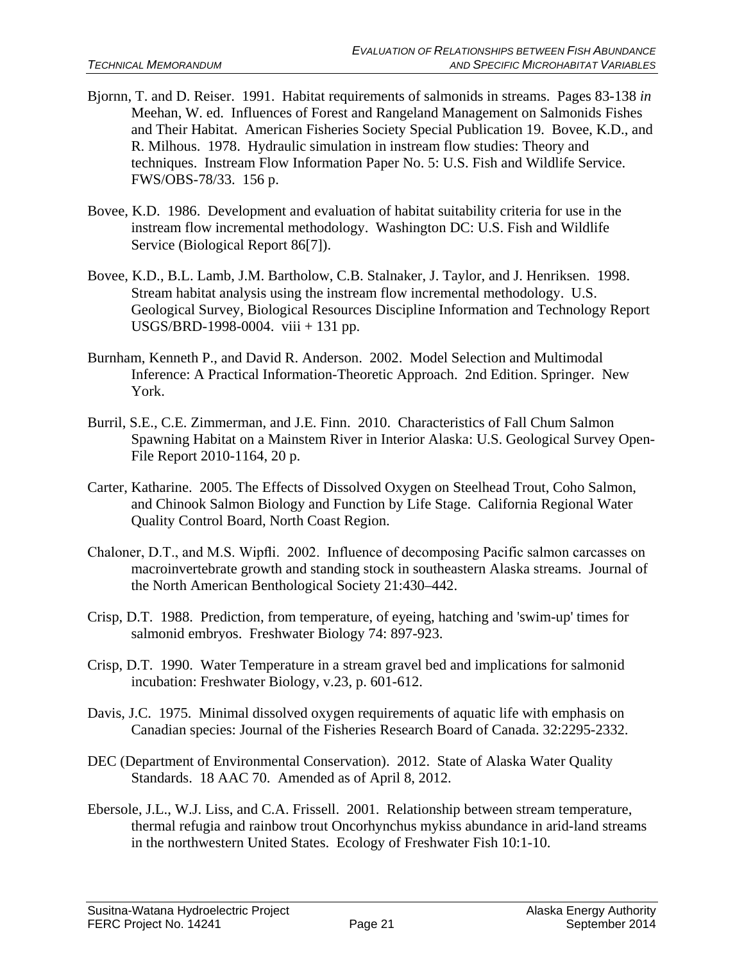- Bjornn, T. and D. Reiser. 1991. Habitat requirements of salmonids in streams. Pages 83-138 *in* Meehan, W. ed. Influences of Forest and Rangeland Management on Salmonids Fishes and Their Habitat. American Fisheries Society Special Publication 19. Bovee, K.D., and R. Milhous. 1978. Hydraulic simulation in instream flow studies: Theory and techniques. Instream Flow Information Paper No. 5: U.S. Fish and Wildlife Service. FWS/OBS-78/33. 156 p.
- Bovee, K.D. 1986. Development and evaluation of habitat suitability criteria for use in the instream flow incremental methodology. Washington DC: U.S. Fish and Wildlife Service (Biological Report 86[7]).
- Bovee, K.D., B.L. Lamb, J.M. Bartholow, C.B. Stalnaker, J. Taylor, and J. Henriksen. 1998. Stream habitat analysis using the instream flow incremental methodology. U.S. Geological Survey, Biological Resources Discipline Information and Technology Report USGS/BRD-1998-0004. viii + 131 pp.
- Burnham, Kenneth P., and David R. Anderson. 2002. Model Selection and Multimodal Inference: A Practical Information-Theoretic Approach. 2nd Edition. Springer. New York.
- Burril, S.E., C.E. Zimmerman, and J.E. Finn. 2010. Characteristics of Fall Chum Salmon Spawning Habitat on a Mainstem River in Interior Alaska: U.S. Geological Survey Open-File Report 2010-1164, 20 p.
- Carter, Katharine. 2005. The Effects of Dissolved Oxygen on Steelhead Trout, Coho Salmon, and Chinook Salmon Biology and Function by Life Stage. California Regional Water Quality Control Board, North Coast Region.
- Chaloner, D.T., and M.S. Wipfli. 2002. Influence of decomposing Pacific salmon carcasses on macroinvertebrate growth and standing stock in southeastern Alaska streams. Journal of the North American Benthological Society 21:430–442.
- Crisp, D.T. 1988. Prediction, from temperature, of eyeing, hatching and 'swim-up' times for salmonid embryos. Freshwater Biology 74: 897-923.
- Crisp, D.T. 1990. Water Temperature in a stream gravel bed and implications for salmonid incubation: Freshwater Biology, v.23, p. 601-612.
- Davis, J.C. 1975. Minimal dissolved oxygen requirements of aquatic life with emphasis on Canadian species: Journal of the Fisheries Research Board of Canada. 32:2295-2332.
- DEC (Department of Environmental Conservation). 2012. State of Alaska Water Quality Standards. 18 AAC 70. Amended as of April 8, 2012.
- Ebersole, J.L., W.J. Liss, and C.A. Frissell. 2001. Relationship between stream temperature, thermal refugia and rainbow trout Oncorhynchus mykiss abundance in arid-land streams in the northwestern United States. Ecology of Freshwater Fish 10:1-10.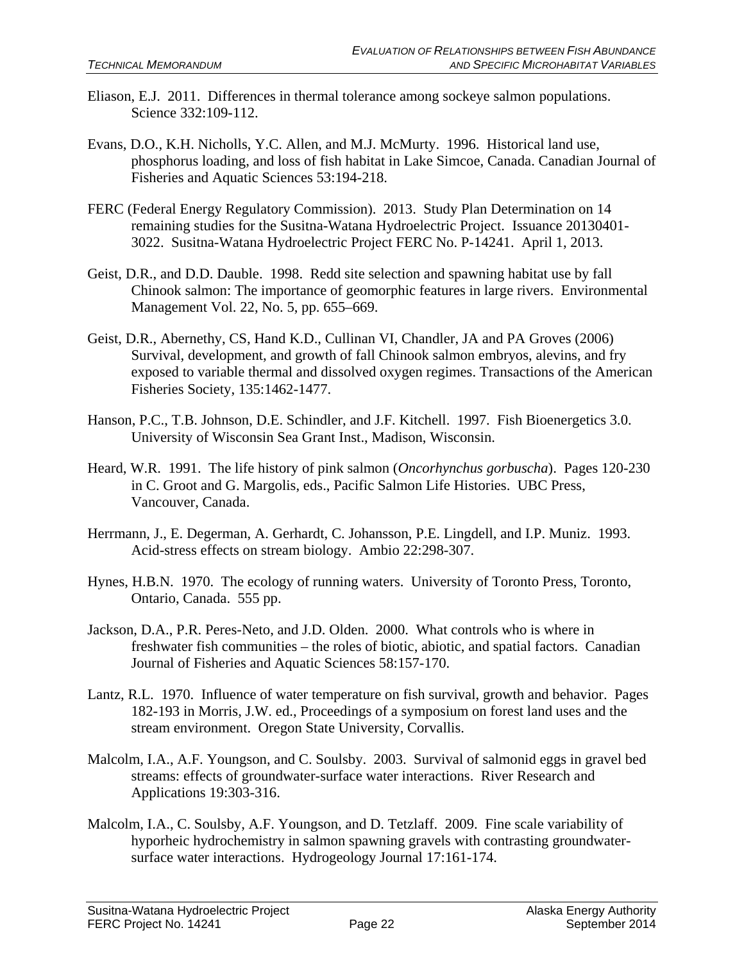- Eliason, E.J. 2011. Differences in thermal tolerance among sockeye salmon populations. Science 332:109-112.
- Evans, D.O., K.H. Nicholls, Y.C. Allen, and M.J. McMurty. 1996. Historical land use, phosphorus loading, and loss of fish habitat in Lake Simcoe, Canada. Canadian Journal of Fisheries and Aquatic Sciences 53:194-218.
- FERC (Federal Energy Regulatory Commission). 2013. Study Plan Determination on 14 remaining studies for the Susitna-Watana Hydroelectric Project. Issuance 20130401- 3022. Susitna-Watana Hydroelectric Project FERC No. P-14241. April 1, 2013.
- Geist, D.R., and D.D. Dauble. 1998. Redd site selection and spawning habitat use by fall Chinook salmon: The importance of geomorphic features in large rivers. Environmental Management Vol. 22, No. 5, pp. 655–669.
- Geist, D.R., Abernethy, CS, Hand K.D., Cullinan VI, Chandler, JA and PA Groves (2006) Survival, development, and growth of fall Chinook salmon embryos, alevins, and fry exposed to variable thermal and dissolved oxygen regimes. Transactions of the American Fisheries Society, 135:1462-1477.
- Hanson, P.C., T.B. Johnson, D.E. Schindler, and J.F. Kitchell. 1997. Fish Bioenergetics 3.0. University of Wisconsin Sea Grant Inst., Madison, Wisconsin.
- Heard, W.R. 1991. The life history of pink salmon (*Oncorhynchus gorbuscha*). Pages 120-230 in C. Groot and G. Margolis, eds., Pacific Salmon Life Histories. UBC Press, Vancouver, Canada.
- Herrmann, J., E. Degerman, A. Gerhardt, C. Johansson, P.E. Lingdell, and I.P. Muniz. 1993. Acid-stress effects on stream biology. Ambio 22:298-307.
- Hynes, H.B.N. 1970. The ecology of running waters. University of Toronto Press, Toronto, Ontario, Canada. 555 pp.
- Jackson, D.A., P.R. Peres-Neto, and J.D. Olden. 2000. What controls who is where in freshwater fish communities – the roles of biotic, abiotic, and spatial factors. Canadian Journal of Fisheries and Aquatic Sciences 58:157-170.
- Lantz, R.L. 1970. Influence of water temperature on fish survival, growth and behavior. Pages 182-193 in Morris, J.W. ed., Proceedings of a symposium on forest land uses and the stream environment. Oregon State University, Corvallis.
- Malcolm, I.A., A.F. Youngson, and C. Soulsby. 2003. Survival of salmonid eggs in gravel bed streams: effects of groundwater-surface water interactions. River Research and Applications 19:303-316.
- Malcolm, I.A., C. Soulsby, A.F. Youngson, and D. Tetzlaff. 2009. Fine scale variability of hyporheic hydrochemistry in salmon spawning gravels with contrasting groundwatersurface water interactions. Hydrogeology Journal 17:161-174.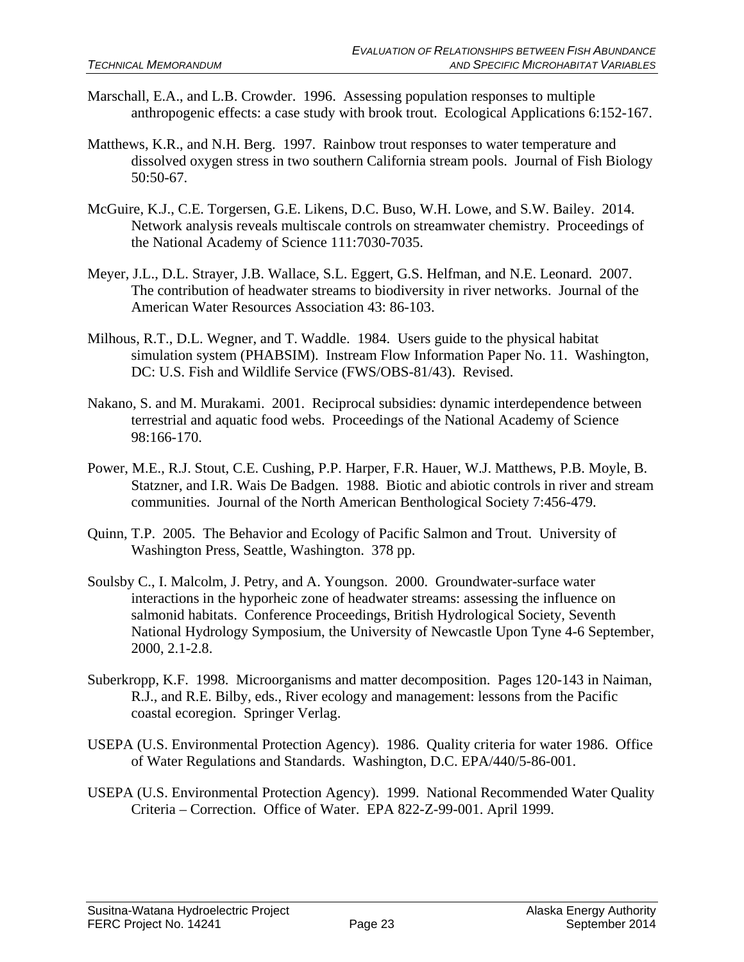- Marschall, E.A., and L.B. Crowder. 1996. Assessing population responses to multiple anthropogenic effects: a case study with brook trout. Ecological Applications 6:152-167.
- Matthews, K.R., and N.H. Berg. 1997. Rainbow trout responses to water temperature and dissolved oxygen stress in two southern California stream pools. Journal of Fish Biology 50:50-67.
- McGuire, K.J., C.E. Torgersen, G.E. Likens, D.C. Buso, W.H. Lowe, and S.W. Bailey. 2014. Network analysis reveals multiscale controls on streamwater chemistry. Proceedings of the National Academy of Science 111:7030-7035.
- Meyer, J.L., D.L. Strayer, J.B. Wallace, S.L. Eggert, G.S. Helfman, and N.E. Leonard. 2007. The contribution of headwater streams to biodiversity in river networks. Journal of the American Water Resources Association 43: 86-103.
- Milhous, R.T., D.L. Wegner, and T. Waddle. 1984. Users guide to the physical habitat simulation system (PHABSIM). Instream Flow Information Paper No. 11. Washington, DC: U.S. Fish and Wildlife Service (FWS/OBS-81/43). Revised.
- Nakano, S. and M. Murakami. 2001. Reciprocal subsidies: dynamic interdependence between terrestrial and aquatic food webs. Proceedings of the National Academy of Science 98:166-170.
- Power, M.E., R.J. Stout, C.E. Cushing, P.P. Harper, F.R. Hauer, W.J. Matthews, P.B. Moyle, B. Statzner, and I.R. Wais De Badgen. 1988. Biotic and abiotic controls in river and stream communities. Journal of the North American Benthological Society 7:456-479.
- Quinn, T.P. 2005. The Behavior and Ecology of Pacific Salmon and Trout. University of Washington Press, Seattle, Washington. 378 pp.
- Soulsby C., I. Malcolm, J. Petry, and A. Youngson. 2000. Groundwater-surface water interactions in the hyporheic zone of headwater streams: assessing the influence on salmonid habitats. Conference Proceedings, British Hydrological Society, Seventh National Hydrology Symposium, the University of Newcastle Upon Tyne 4-6 September, 2000, 2.1-2.8.
- Suberkropp, K.F. 1998. Microorganisms and matter decomposition. Pages 120-143 in Naiman, R.J., and R.E. Bilby, eds., River ecology and management: lessons from the Pacific coastal ecoregion. Springer Verlag.
- USEPA (U.S. Environmental Protection Agency). 1986. Quality criteria for water 1986. Office of Water Regulations and Standards. Washington, D.C. EPA/440/5-86-001.
- USEPA (U.S. Environmental Protection Agency). 1999. National Recommended Water Quality Criteria – Correction. Office of Water. EPA 822-Z-99-001. April 1999.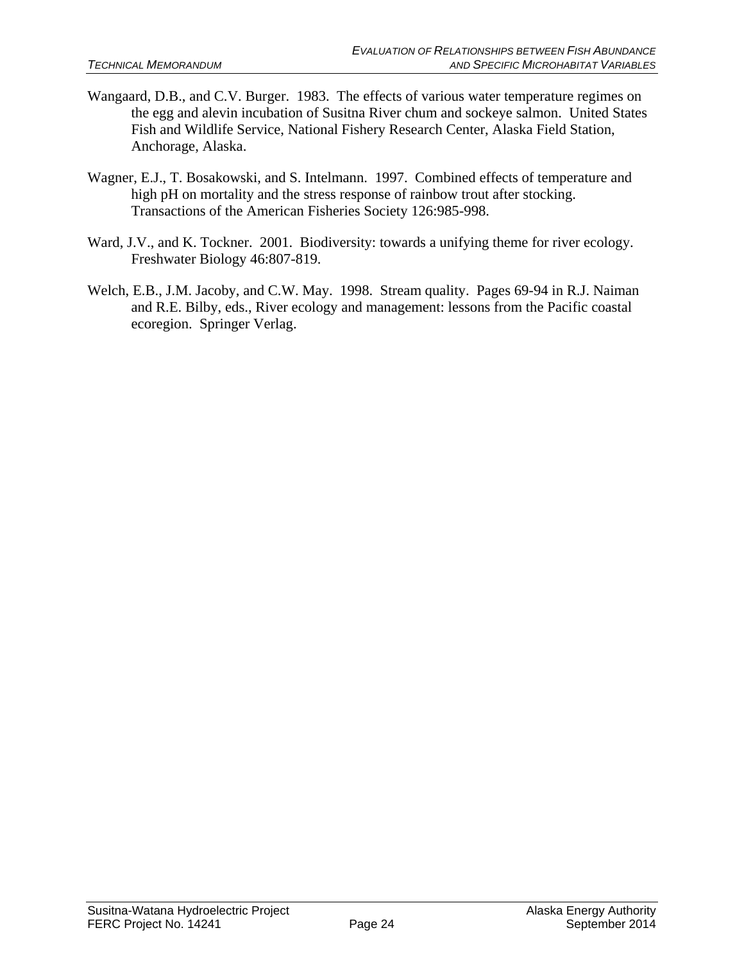- Wangaard, D.B., and C.V. Burger. 1983. The effects of various water temperature regimes on the egg and alevin incubation of Susitna River chum and sockeye salmon. United States Fish and Wildlife Service, National Fishery Research Center, Alaska Field Station, Anchorage, Alaska.
- Wagner, E.J., T. Bosakowski, and S. Intelmann. 1997. Combined effects of temperature and high pH on mortality and the stress response of rainbow trout after stocking. Transactions of the American Fisheries Society 126:985-998.
- Ward, J.V., and K. Tockner. 2001. Biodiversity: towards a unifying theme for river ecology. Freshwater Biology 46:807-819.
- Welch, E.B., J.M. Jacoby, and C.W. May. 1998. Stream quality. Pages 69-94 in R.J. Naiman and R.E. Bilby, eds., River ecology and management: lessons from the Pacific coastal ecoregion. Springer Verlag.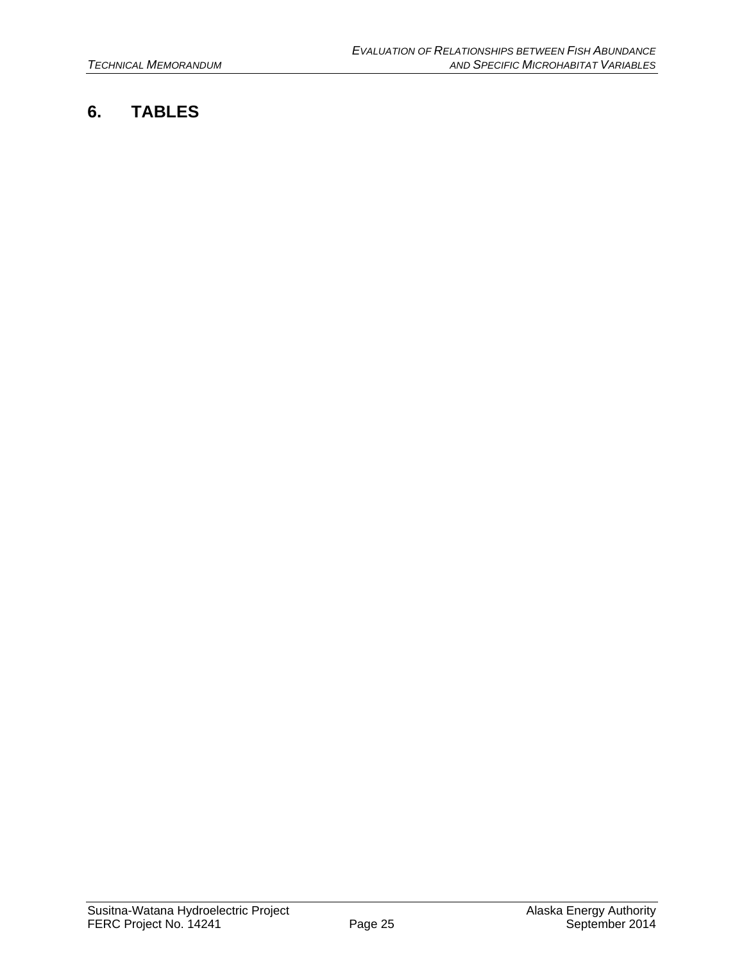### <span id="page-35-0"></span>**6. TABLES**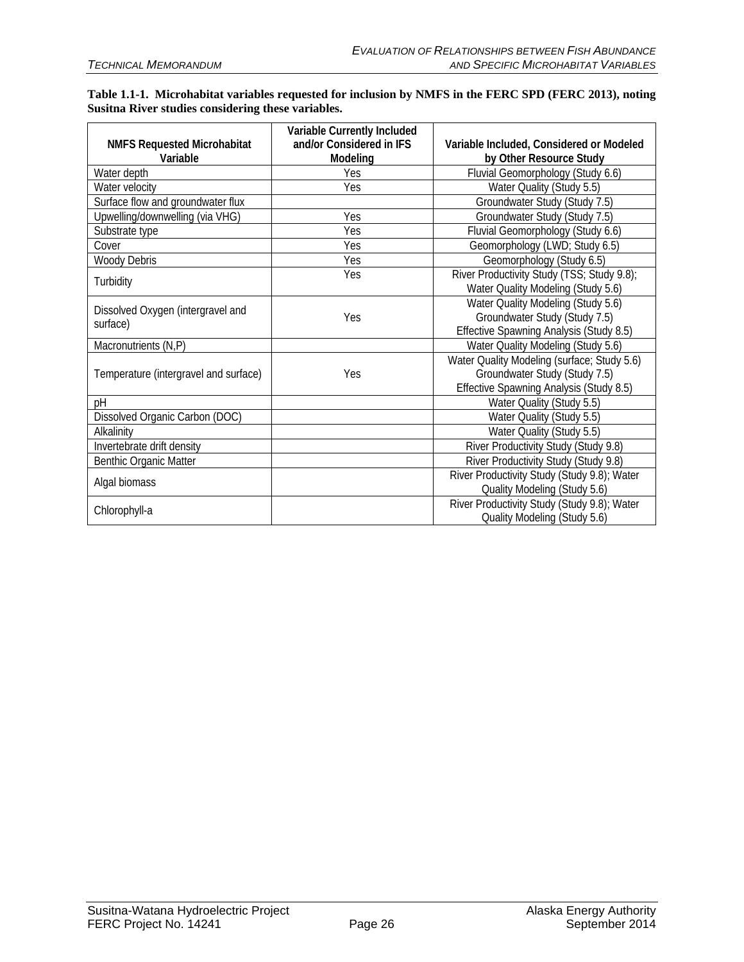|                                       | Variable Currently Included |                                             |
|---------------------------------------|-----------------------------|---------------------------------------------|
| <b>NMFS Requested Microhabitat</b>    | and/or Considered in IFS    | Variable Included, Considered or Modeled    |
| Variable                              | Modeling                    | by Other Resource Study                     |
| Water depth                           | Yes                         | Fluvial Geomorphology (Study 6.6)           |
| Water velocity                        | Yes                         | Water Quality (Study 5.5)                   |
| Surface flow and groundwater flux     |                             | Groundwater Study (Study 7.5)               |
| Upwelling/downwelling (via VHG)       | <b>Yes</b>                  | Groundwater Study (Study 7.5)               |
| Substrate type                        | Yes                         | Fluvial Geomorphology (Study 6.6)           |
| Cover                                 | Yes                         | Geomorphology (LWD; Study 6.5)              |
| <b>Woody Debris</b>                   | Yes                         | Geomorphology (Study 6.5)                   |
| Turbidity                             | Yes                         | River Productivity Study (TSS; Study 9.8);  |
|                                       |                             | Water Quality Modeling (Study 5.6)          |
| Dissolved Oxygen (intergravel and     |                             | Water Quality Modeling (Study 5.6)          |
| surface)                              | <b>Yes</b>                  | Groundwater Study (Study 7.5)               |
|                                       |                             | Effective Spawning Analysis (Study 8.5)     |
| Macronutrients (N,P)                  |                             | Water Quality Modeling (Study 5.6)          |
|                                       |                             | Water Quality Modeling (surface; Study 5.6) |
| Temperature (intergravel and surface) | Yes                         | Groundwater Study (Study 7.5)               |
|                                       |                             | Effective Spawning Analysis (Study 8.5)     |
| pH                                    |                             | Water Quality (Study 5.5)                   |
| Dissolved Organic Carbon (DOC)        |                             | Water Quality (Study 5.5)                   |
| Alkalinity                            |                             | Water Quality (Study 5.5)                   |
| Invertebrate drift density            |                             | River Productivity Study (Study 9.8)        |
| Benthic Organic Matter                |                             | River Productivity Study (Study 9.8)        |
| Algal biomass                         |                             | River Productivity Study (Study 9.8); Water |
|                                       |                             | Quality Modeling (Study 5.6)                |
| Chlorophyll-a                         |                             | River Productivity Study (Study 9.8); Water |
|                                       |                             | Quality Modeling (Study 5.6)                |

**Table 1.1-1. Microhabitat variables requested for inclusion by NMFS in the FERC SPD (FERC 2013), noting Susitna River studies considering these variables.**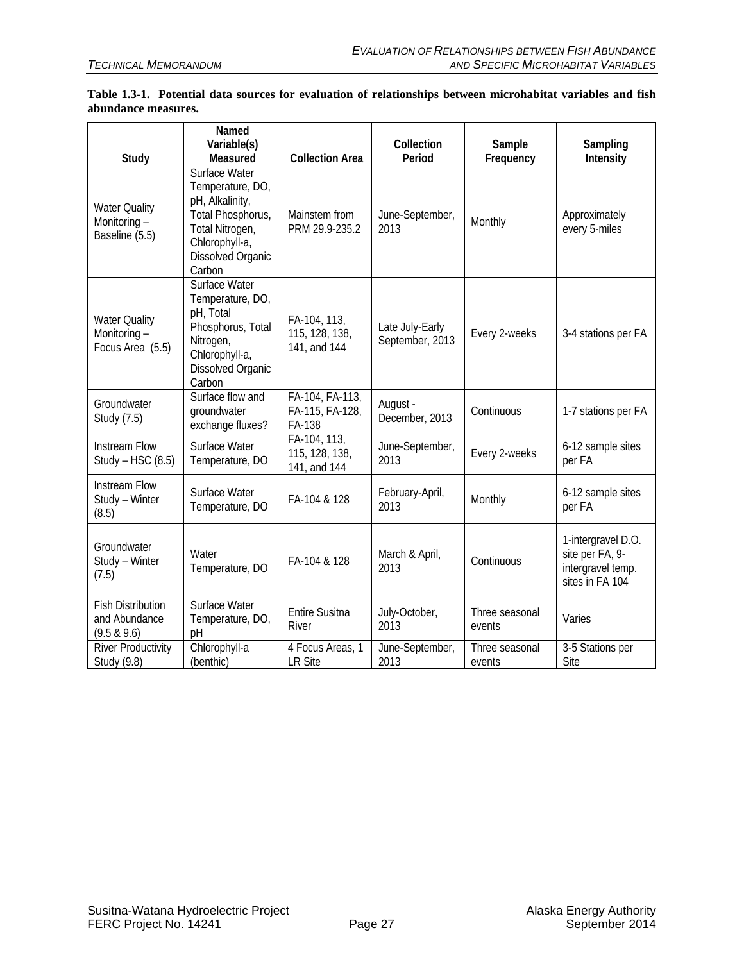|                                                                 | Named<br>Variable(s)<br>Measured                                                                                                              | <b>Collection Area</b>                         | Collection<br>Period               | Sample                   | Sampling                                                                      |
|-----------------------------------------------------------------|-----------------------------------------------------------------------------------------------------------------------------------------------|------------------------------------------------|------------------------------------|--------------------------|-------------------------------------------------------------------------------|
| Study<br><b>Water Quality</b><br>Monitoring -<br>Baseline (5.5) | Surface Water<br>Temperature, DO,<br>pH, Alkalinity,<br>Total Phosphorus,<br>Total Nitrogen,<br>Chlorophyll-a,<br>Dissolved Organic<br>Carbon | Mainstem from<br>PRM 29.9-235.2                | June-September,<br>2013            | Frequency<br>Monthly     | Intensity<br>Approximately<br>every 5-miles                                   |
| <b>Water Quality</b><br>Monitoring -<br>Focus Area (5.5)        | Surface Water<br>Temperature, DO,<br>pH, Total<br>Phosphorus, Total<br>Nitrogen,<br>Chlorophyll-a,<br>Dissolved Organic<br>Carbon             | FA-104, 113,<br>115, 128, 138,<br>141, and 144 | Late July-Early<br>September, 2013 | Every 2-weeks            | 3-4 stations per FA                                                           |
| Groundwater<br>Study (7.5)                                      | Surface flow and<br>groundwater<br>exchange fluxes?                                                                                           | FA-104, FA-113,<br>FA-115, FA-128,<br>FA-138   | August -<br>December, 2013         | Continuous               | 1-7 stations per FA                                                           |
| <b>Instream Flow</b><br>Study - $HSC(8.5)$                      | Surface Water<br>Temperature, DO                                                                                                              | FA-104, 113,<br>115, 128, 138,<br>141, and 144 | June-September,<br>2013            | Every 2-weeks            | 6-12 sample sites<br>per FA                                                   |
| <b>Instream Flow</b><br>Study - Winter<br>(8.5)                 | Surface Water<br>Temperature, DO                                                                                                              | FA-104 & 128                                   | February-April,<br>2013            | Monthly                  | 6-12 sample sites<br>per FA                                                   |
| Groundwater<br>Study - Winter<br>(7.5)                          | Water<br>Temperature, DO                                                                                                                      | FA-104 & 128                                   | March & April,<br>2013             | Continuous               | 1-intergravel D.O.<br>site per FA, 9-<br>intergravel temp.<br>sites in FA 104 |
| <b>Fish Distribution</b><br>and Abundance<br>(9.5 & 9.6)        | Surface Water<br>Temperature, DO,<br>pH                                                                                                       | <b>Entire Susitna</b><br>River                 | July-October,<br>2013              | Three seasonal<br>events | Varies                                                                        |
| <b>River Productivity</b><br>Study (9.8)                        | Chlorophyll-a<br>(benthic)                                                                                                                    | 4 Focus Areas, 1<br><b>LR Site</b>             | June-September,<br>2013            | Three seasonal<br>events | 3-5 Stations per<br>Site                                                      |

#### **Table 1.3-1. Potential data sources for evaluation of relationships between microhabitat variables and fish abundance measures.**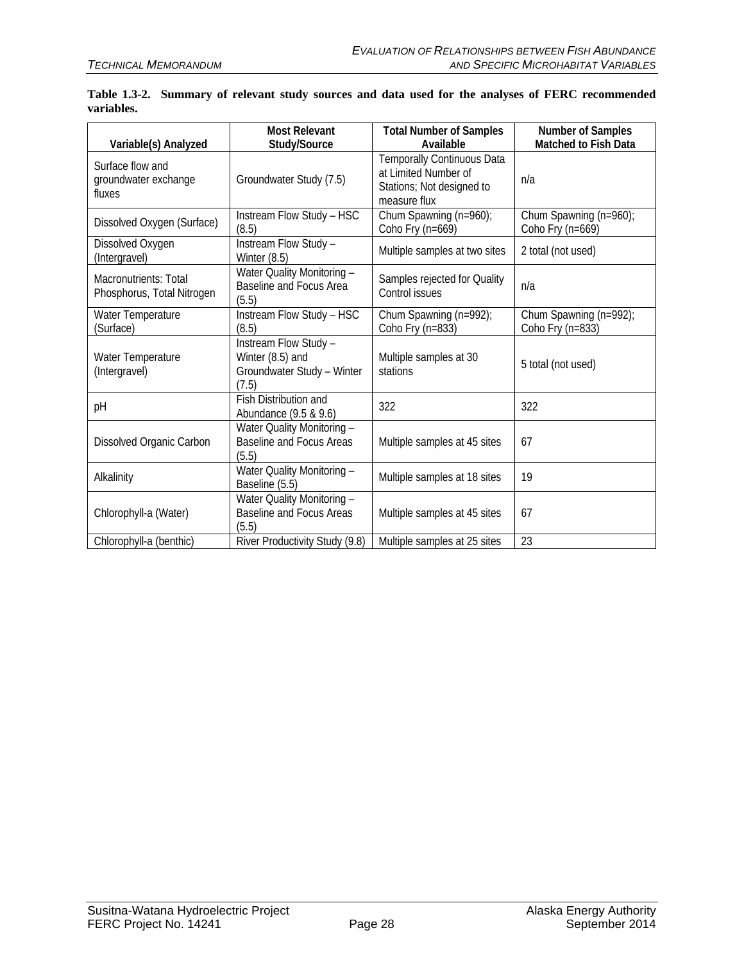| Variable(s) Analyzed                                       | <b>Most Relevant</b><br>Study/Source                                             | <b>Total Number of Samples</b><br>Available                                                     | <b>Number of Samples</b><br>Matched to Fish Data |
|------------------------------------------------------------|----------------------------------------------------------------------------------|-------------------------------------------------------------------------------------------------|--------------------------------------------------|
| Surface flow and<br>groundwater exchange<br>fluxes         | Groundwater Study (7.5)                                                          | Temporally Continuous Data<br>at Limited Number of<br>Stations; Not designed to<br>measure flux | n/a                                              |
| Dissolved Oxygen (Surface)                                 | Instream Flow Study - HSC<br>(8.5)                                               | Chum Spawning (n=960);<br>Coho Fry (n=669)                                                      | Chum Spawning (n=960);<br>Coho Fry (n=669)       |
| Dissolved Oxygen<br>(Intergravel)                          | Instream Flow Study -<br>Winter $(8.5)$                                          | Multiple samples at two sites                                                                   | 2 total (not used)                               |
| <b>Macronutrients: Total</b><br>Phosphorus, Total Nitrogen | Water Quality Monitoring -<br>Baseline and Focus Area<br>(5.5)                   | Samples rejected for Quality<br>Control issues                                                  | n/a                                              |
| Water Temperature<br>(Surface)                             | Instream Flow Study - HSC<br>(8.5)                                               | Chum Spawning (n=992);<br>Coho Fry (n=833)                                                      | Chum Spawning (n=992);<br>Coho Fry (n=833)       |
| Water Temperature<br>(Intergravel)                         | Instream Flow Study -<br>Winter (8.5) and<br>Groundwater Study - Winter<br>(7.5) | Multiple samples at 30<br>stations                                                              | 5 total (not used)                               |
| рH                                                         | Fish Distribution and<br>Abundance (9.5 & 9.6)                                   | 322                                                                                             | 322                                              |
| Dissolved Organic Carbon                                   | Water Quality Monitoring -<br>Baseline and Focus Areas<br>(5.5)                  | Multiple samples at 45 sites                                                                    | 67                                               |
| Alkalinity                                                 | Water Quality Monitoring -<br>Baseline (5.5)                                     | Multiple samples at 18 sites                                                                    | 19                                               |
| Chlorophyll-a (Water)                                      | Water Quality Monitoring -<br><b>Baseline and Focus Areas</b><br>(5.5)           | Multiple samples at 45 sites                                                                    | 67                                               |
| Chlorophyll-a (benthic)                                    | River Productivity Study (9.8)                                                   | Multiple samples at 25 sites                                                                    | 23                                               |

**Table 1.3-2. Summary of relevant study sources and data used for the analyses of FERC recommended variables.**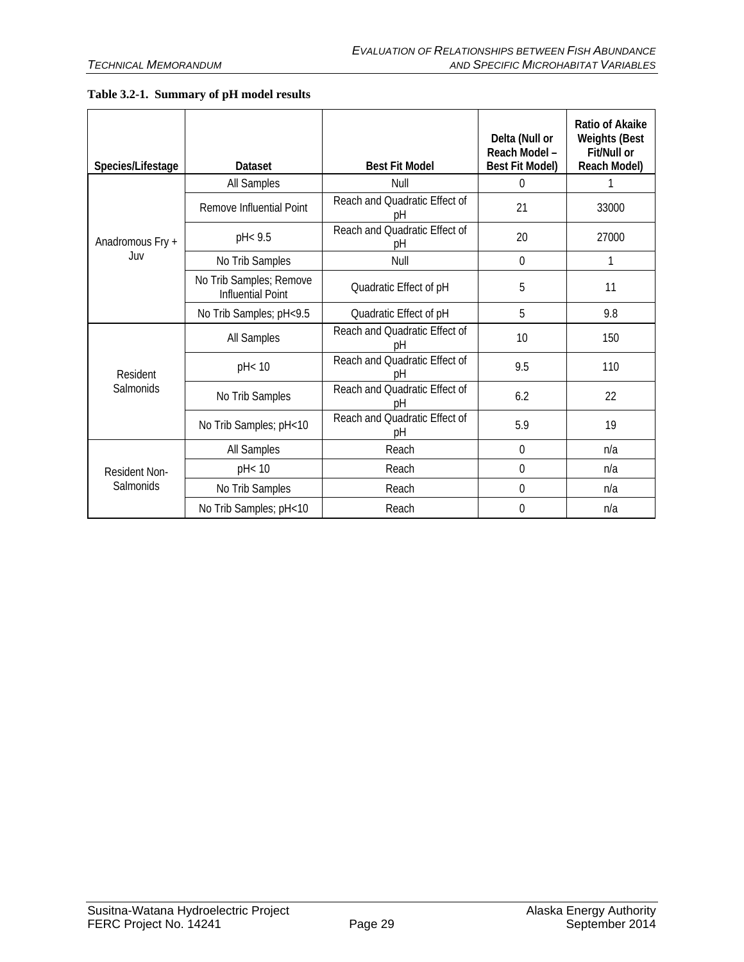#### **Table 3.2-1. Summary of pH model results**

| Species/Lifestage    | <b>Dataset</b>                               | <b>Best Fit Model</b>               | Delta (Null or<br>Reach Model -<br><b>Best Fit Model)</b> | <b>Ratio of Akaike</b><br><b>Weights (Best</b><br><b>Fit/Null or</b><br>Reach Model) |
|----------------------|----------------------------------------------|-------------------------------------|-----------------------------------------------------------|--------------------------------------------------------------------------------------|
|                      | All Samples                                  | Null                                | 0                                                         |                                                                                      |
|                      | Remove Influential Point                     | Reach and Quadratic Effect of<br>pН | 21                                                        | 33000                                                                                |
| Anadromous Fry +     | pH< 9.5                                      | Reach and Quadratic Effect of<br>рH | 20                                                        | 27000                                                                                |
| Juv                  | No Trib Samples                              | Null                                | $\theta$                                                  | 1                                                                                    |
|                      | No Trib Samples; Remove<br>Influential Point | Quadratic Effect of pH              | 5                                                         | 11                                                                                   |
|                      | No Trib Samples; pH<9.5                      | Quadratic Effect of pH              | 5                                                         | 9.8                                                                                  |
|                      | All Samples                                  | Reach and Quadratic Effect of<br>pΗ | 10                                                        | 150                                                                                  |
| Resident             | pH< 10                                       | Reach and Quadratic Effect of<br>pН | 9.5                                                       | 110                                                                                  |
| Salmonids            | No Trib Samples                              | Reach and Quadratic Effect of<br>pΗ | 6.2                                                       | 22                                                                                   |
|                      | No Trib Samples; pH<10                       | Reach and Quadratic Effect of<br>рH | 5.9                                                       | 19                                                                                   |
|                      | All Samples                                  | Reach                               | 0                                                         | n/a                                                                                  |
| <b>Resident Non-</b> | pH< 10                                       | Reach                               | $\theta$                                                  | n/a                                                                                  |
| Salmonids            | No Trib Samples                              | Reach                               | $\theta$                                                  | n/a                                                                                  |
|                      | No Trib Samples; pH<10                       | Reach                               | $\theta$                                                  | n/a                                                                                  |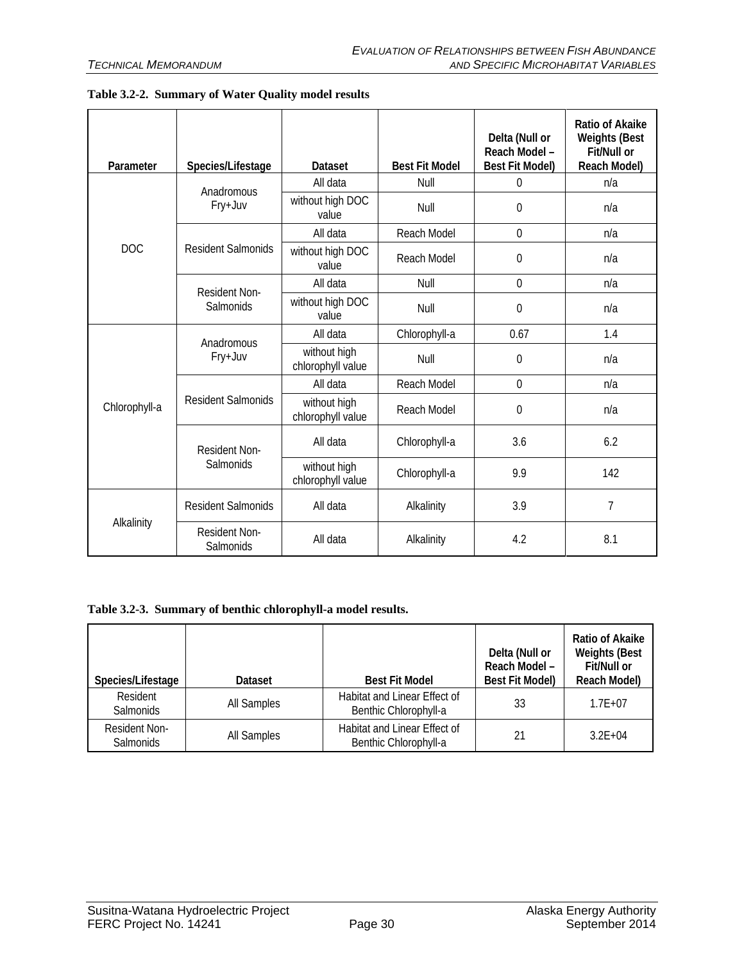| Parameter     | Species/Lifestage                 | <b>Dataset</b>                    | <b>Best Fit Model</b> | Delta (Null or<br>Reach Model -<br><b>Best Fit Model)</b> | Ratio of Akaike<br><b>Weights (Best</b><br>Fit/Null or<br>Reach Model) |
|---------------|-----------------------------------|-----------------------------------|-----------------------|-----------------------------------------------------------|------------------------------------------------------------------------|
|               |                                   | All data                          | Null                  | $\theta$                                                  | n/a                                                                    |
|               | Anadromous<br>Fry+Juv             | without high DOC<br>value         | Null                  | $\Omega$                                                  | n/a                                                                    |
|               |                                   | All data                          | Reach Model           | $\theta$                                                  | n/a                                                                    |
| <b>DOC</b>    | <b>Resident Salmonids</b>         | without high DOC<br>value         | Reach Model           | $\overline{0}$                                            | n/a                                                                    |
|               | <b>Resident Non-</b>              | All data                          | Null                  | $\mathbf 0$                                               | n/a                                                                    |
|               | <b>Salmonids</b>                  | without high DOC<br>value         | Null                  | $\mathbf{0}$                                              | n/a                                                                    |
|               | Anadromous<br>Fry+Juv             | All data                          | Chlorophyll-a         | 0.67                                                      | 1.4                                                                    |
|               |                                   | without high<br>chlorophyll value | Null                  | $\Omega$                                                  | n/a                                                                    |
|               | <b>Resident Salmonids</b>         | All data                          | <b>Reach Model</b>    | $\overline{0}$                                            | n/a                                                                    |
| Chlorophyll-a |                                   | without high<br>chlorophyll value | Reach Model           | $\Omega$                                                  | n/a                                                                    |
|               | <b>Resident Non-</b><br>Salmonids | All data                          | Chlorophyll-a         | 3.6                                                       | 6.2                                                                    |
|               |                                   | without high<br>chlorophyll value | Chlorophyll-a         | 9.9                                                       | 142                                                                    |
| Alkalinity    | <b>Resident Salmonids</b>         | All data                          | Alkalinity            | 3.9                                                       | $\overline{7}$                                                         |
|               | <b>Resident Non-</b><br>Salmonids | All data                          | Alkalinity            | 4.2                                                       | 8.1                                                                    |

#### **Table 3.2-2. Summary of Water Quality model results**

#### **Table 3.2-3. Summary of benthic chlorophyll-a model results.**

| Species/Lifestage                        | <b>Dataset</b> | <b>Best Fit Model</b>                                 | Delta (Null or<br>Reach Model -<br><b>Best Fit Model)</b> | Ratio of Akaike<br><b>Weights (Best</b><br>Fit/Null or<br>Reach Model) |
|------------------------------------------|----------------|-------------------------------------------------------|-----------------------------------------------------------|------------------------------------------------------------------------|
| Resident<br><b>Salmonids</b>             | All Samples    | Habitat and Linear Effect of<br>Benthic Chlorophyll-a | 33                                                        | $1.7E + 07$                                                            |
| <b>Resident Non-</b><br><b>Salmonids</b> | All Samples    | Habitat and Linear Effect of<br>Benthic Chlorophyll-a | 21                                                        | $3.2E + 04$                                                            |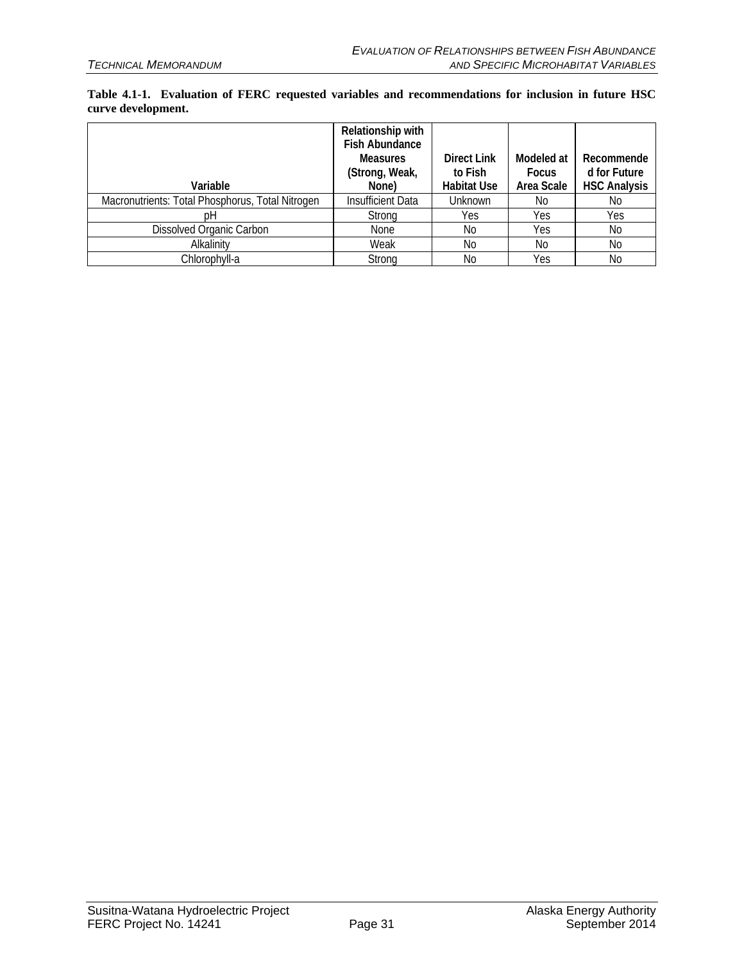|                    |  |  | Table 4.1-1. Evaluation of FERC requested variables and recommendations for inclusion in future HSC |  |  |  |
|--------------------|--|--|-----------------------------------------------------------------------------------------------------|--|--|--|
| curve development. |  |  |                                                                                                     |  |  |  |

| Variable                                         | Relationship with<br><b>Fish Abundance</b><br><b>Measures</b><br>(Strong, Weak,<br>None) | Direct Link<br>to Fish<br><b>Habitat Use</b> | Modeled at<br><b>Focus</b><br>Area Scale | Recommende<br>d for Future<br><b>HSC Analysis</b> |
|--------------------------------------------------|------------------------------------------------------------------------------------------|----------------------------------------------|------------------------------------------|---------------------------------------------------|
| Macronutrients: Total Phosphorus, Total Nitrogen | <b>Insufficient Data</b>                                                                 | Unknown                                      | No.                                      | No                                                |
| pΗ                                               | Strong                                                                                   | Yes                                          | Yes                                      | Yes                                               |
| <b>Dissolved Organic Carbon</b>                  | None                                                                                     | No                                           | Yes                                      | No                                                |
| Alkalinity                                       | Weak                                                                                     | No                                           | <b>No</b>                                | No                                                |
| Chlorophyll-a                                    | Strong                                                                                   | No                                           | Yes                                      | No                                                |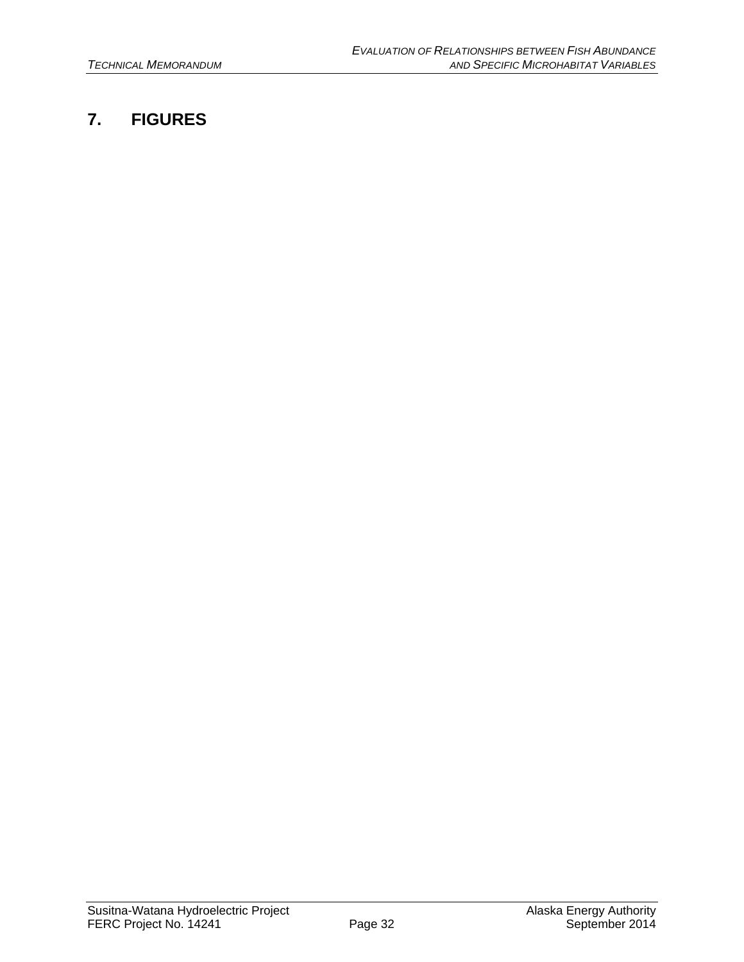## <span id="page-42-0"></span>**7. FIGURES**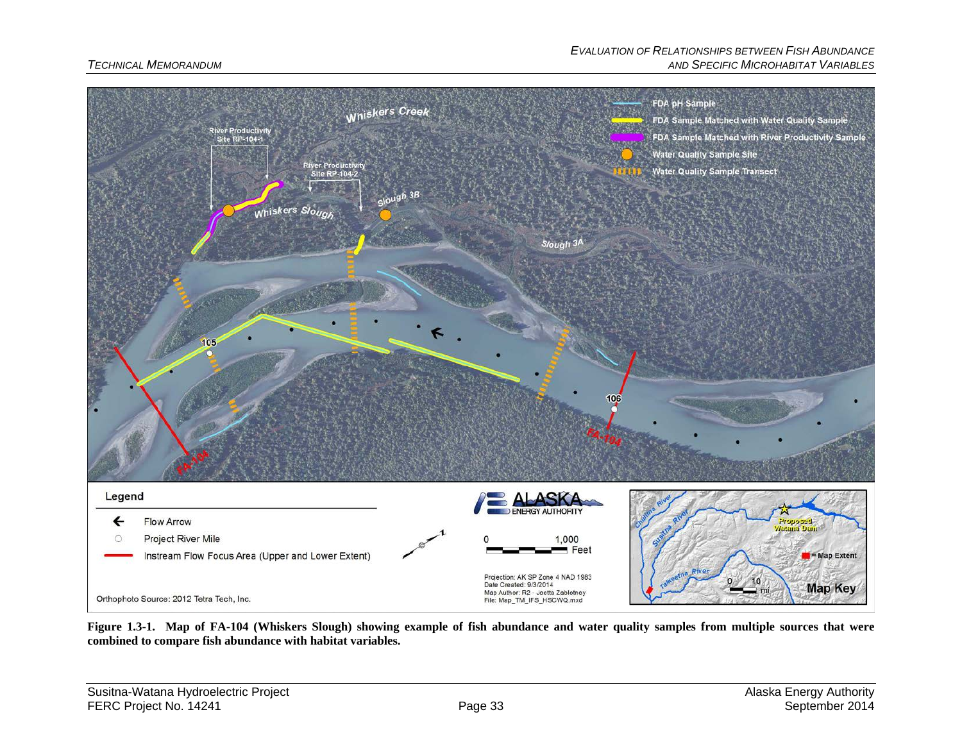#### *EVALUATION OF RELATIONSHIPS BETWEEN FISH ABUNDANCE TECHNICAL MEMORANDUM AND SPECIFIC MICROHABITAT VARIABLES*



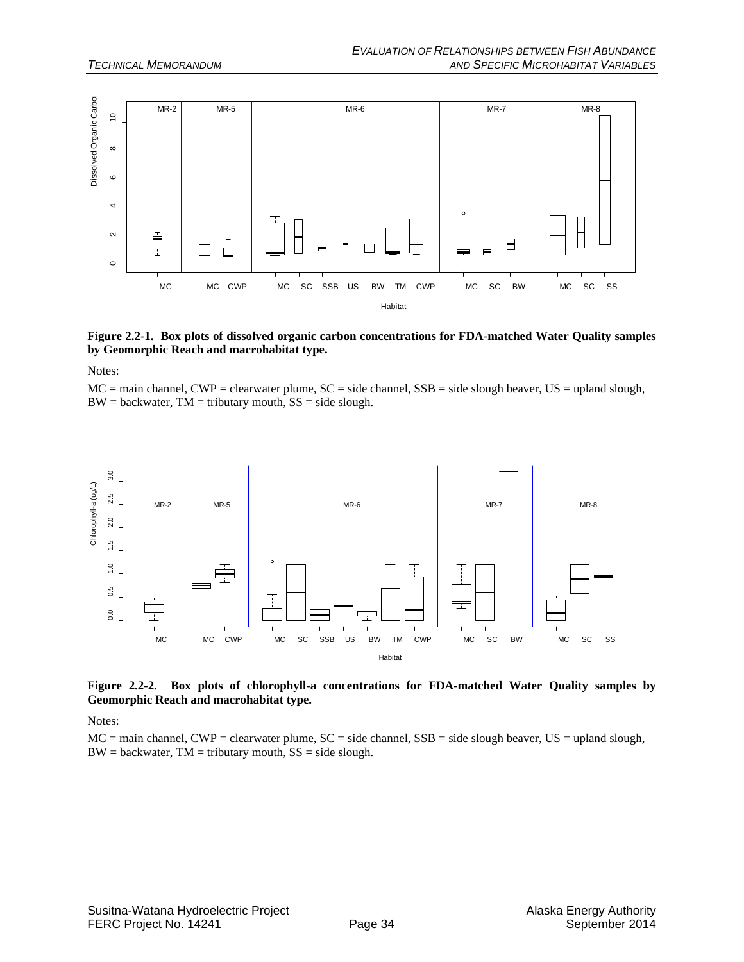

**Figure 2.2-1. Box plots of dissolved organic carbon concentrations for FDA-matched Water Quality samples by Geomorphic Reach and macrohabitat type.**

Notes:

 $MC =$  main channel,  $CWP =$  clearwater plume,  $SC =$  side channel,  $SSB =$  side slough beaver,  $US =$  upland slough,  $BW =$  backwater,  $TM =$  tributary mouth,  $SS =$  side slough.



**Figure 2.2-2. Box plots of chlorophyll-a concentrations for FDA-matched Water Quality samples by Geomorphic Reach and macrohabitat type.**

Notes:

 $MC =$  main channel,  $CWP =$  clearwater plume,  $SC =$  side channel,  $SSB =$  side slough beaver,  $US =$  upland slough,  $BW =$  backwater,  $TM =$  tributary mouth,  $SS =$  side slough.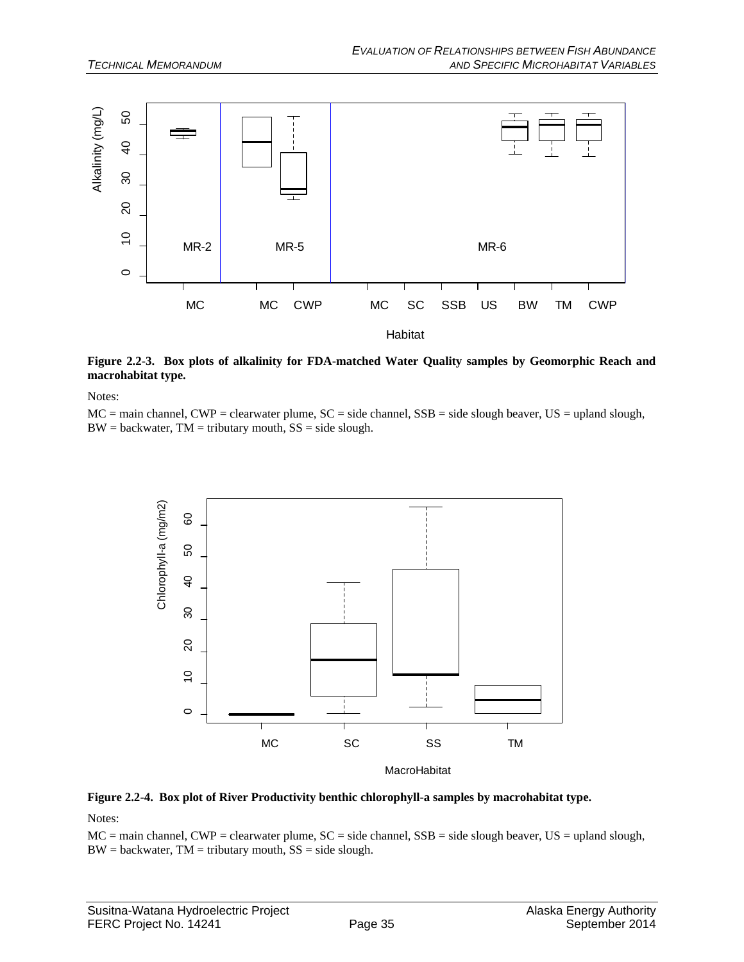

**Figure 2.2-3. Box plots of alkalinity for FDA-matched Water Quality samples by Geomorphic Reach and macrohabitat type.**

Notes:

 $MC = \text{main channel}, CWP = \text{clearwater plane}, SC = \text{side channel}, SSB = \text{side sound beam}, US = \text{upland slowly,}$  $BW =$  backwater,  $TM =$  tributary mouth,  $SS =$  side slough.



**MacroHabitat** 

**Figure 2.2-4. Box plot of River Productivity benthic chlorophyll-a samples by macrohabitat type.**

Notes:

 $MC =$  main channel,  $CWP =$  clearwater plume,  $SC =$  side channel,  $SSB =$  side slough beaver,  $US =$  upland slough,  $BW =$  backwater,  $TM =$  tributary mouth,  $SS =$  side slough.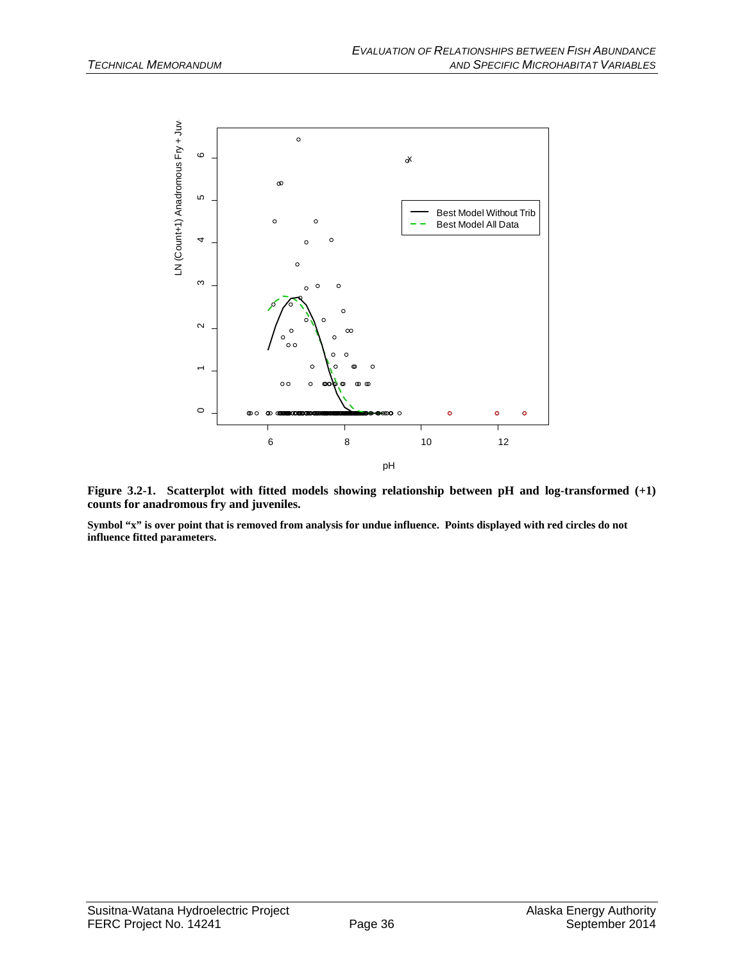

**Figure 3.2-1. Scatterplot with fitted models showing relationship between pH and log-transformed (+1) counts for anadromous fry and juveniles.** 

**Symbol "x" is over point that is removed from analysis for undue influence. Points displayed with red circles do not influence fitted parameters.**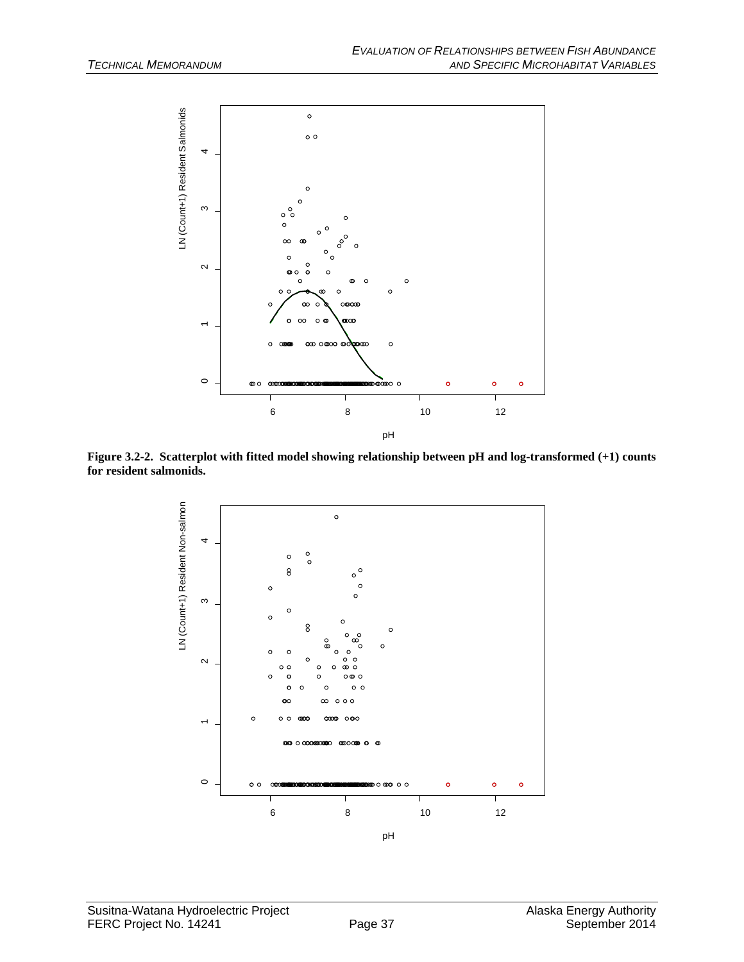

**Figure 3.2-2. Scatterplot with fitted model showing relationship between pH and log-transformed (+1) counts for resident salmonids.**

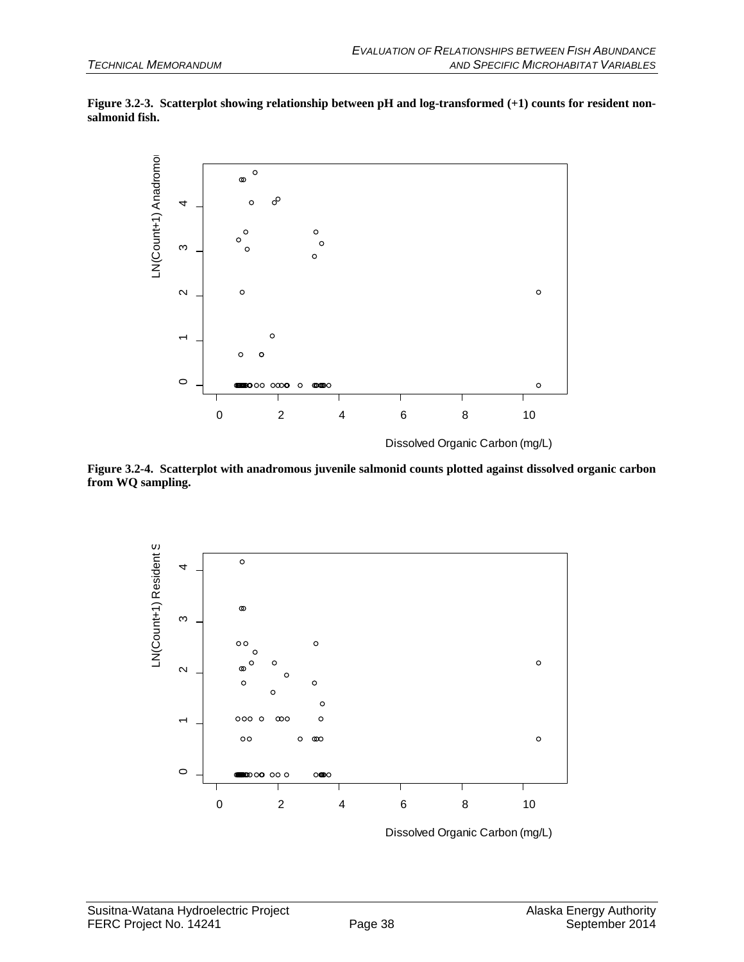**Figure 3.2-3. Scatterplot showing relationship between pH and log-transformed (+1) counts for resident nonsalmonid fish.** 



Dissolved Organic Carbon (mg/L)

**Figure 3.2-4. Scatterplot with anadromous juvenile salmonid counts plotted against dissolved organic carbon from WQ sampling.**

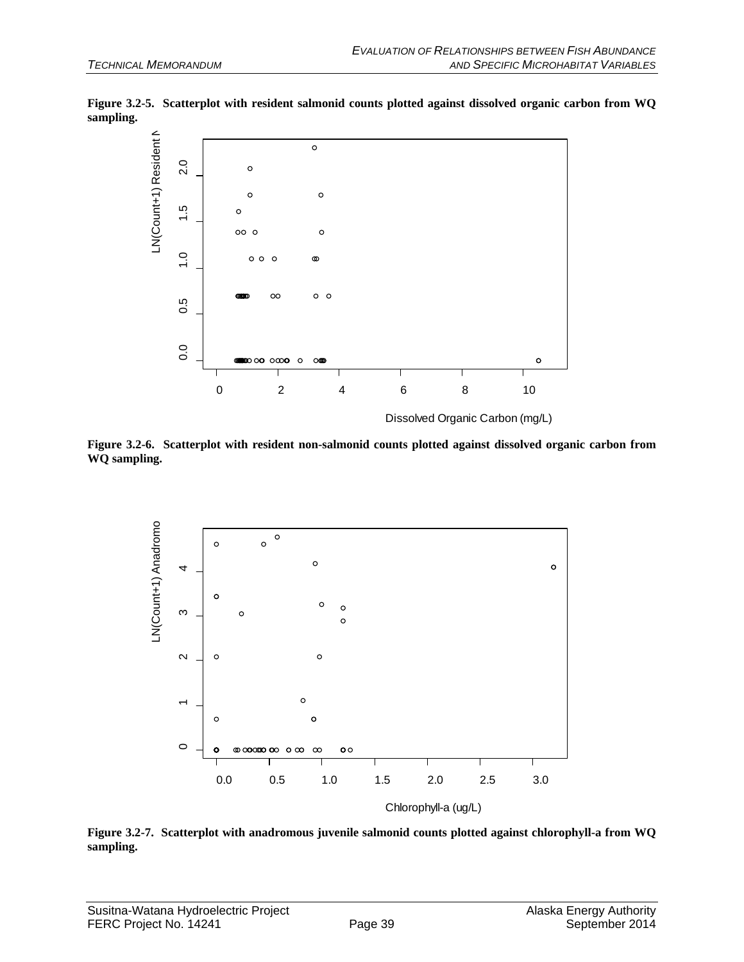**Figure 3.2-5. Scatterplot with resident salmonid counts plotted against dissolved organic carbon from WQ sampling.**



Dissolved Organic Carbon (mg/L)

**Figure 3.2-6. Scatterplot with resident non-salmonid counts plotted against dissolved organic carbon from WQ sampling.**



**Figure 3.2-7. Scatterplot with anadromous juvenile salmonid counts plotted against chlorophyll-a from WQ sampling.**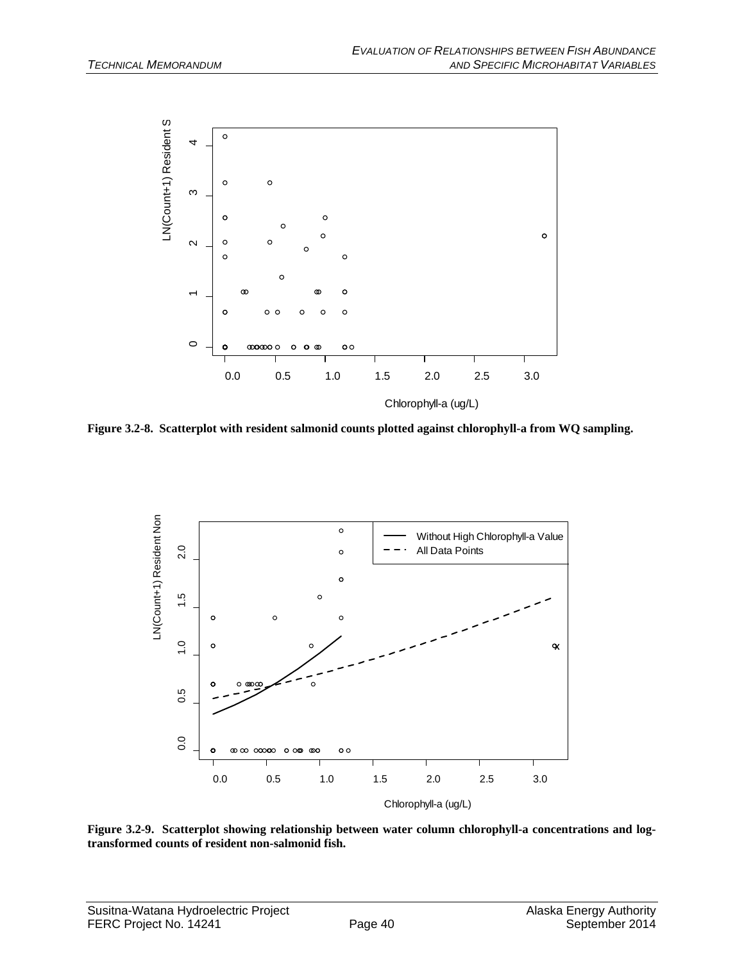

**Figure 3.2-8. Scatterplot with resident salmonid counts plotted against chlorophyll-a from WQ sampling.**



**Figure 3.2-9. Scatterplot showing relationship between water column chlorophyll-a concentrations and logtransformed counts of resident non-salmonid fish.**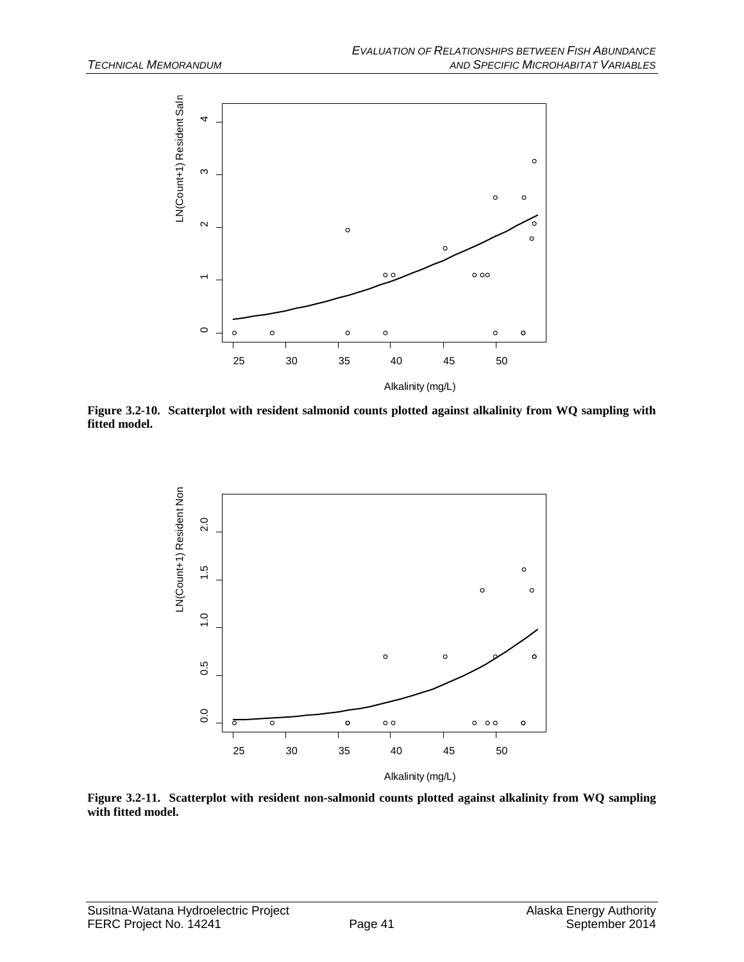

**Figure 3.2-10. Scatterplot with resident salmonid counts plotted against alkalinity from WQ sampling with fitted model.**



**Figure 3.2-11. Scatterplot with resident non-salmonid counts plotted against alkalinity from WQ sampling with fitted model.**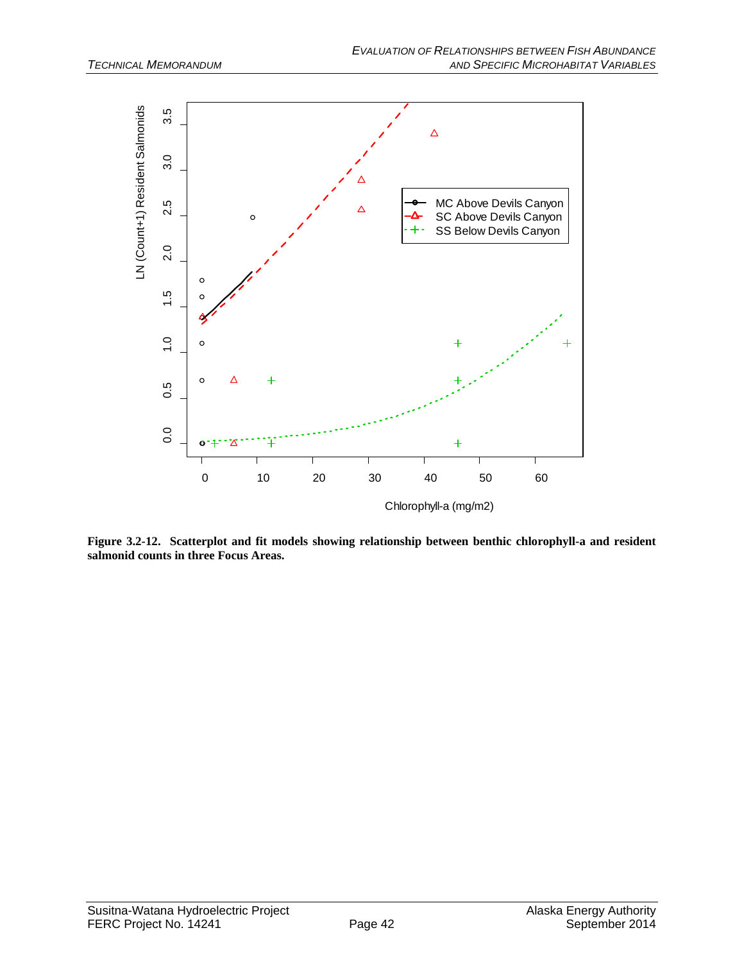

**Figure 3.2-12. Scatterplot and fit models showing relationship between benthic chlorophyll-a and resident salmonid counts in three Focus Areas.**